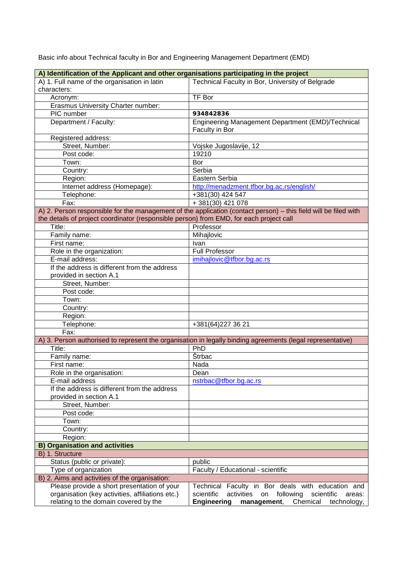Basic info about Technical faculty in Bor and Engineering Management Department (EMD)

| A) Identification of the Applicant and other organisations participating in the project |                                                                                                                 |
|-----------------------------------------------------------------------------------------|-----------------------------------------------------------------------------------------------------------------|
| A) 1. Full name of the organisation in latin                                            | Technical Faculty in Bor, University of Belgrade                                                                |
| characters:                                                                             |                                                                                                                 |
| Acronym:                                                                                | <b>TF Bor</b>                                                                                                   |
| Erasmus University Charter number:                                                      |                                                                                                                 |
| PIC number                                                                              | 934842836                                                                                                       |
| Department / Faculty:                                                                   | Engineering Management Department (EMD)/Technical                                                               |
|                                                                                         | Faculty in Bor                                                                                                  |
| Registered address:                                                                     |                                                                                                                 |
| Street, Number:                                                                         | Vojske Jugoslavije, 12                                                                                          |
| Post code:                                                                              | 19210                                                                                                           |
| Town:                                                                                   | Bor                                                                                                             |
| Country:                                                                                | Serbia                                                                                                          |
| Region:                                                                                 | Eastern Serbia                                                                                                  |
| Internet address (Homepage):                                                            | http://menadzment.tfbor.bg.ac.rs/english/                                                                       |
| Telephone:                                                                              | +381(30) 424 547                                                                                                |
| Fax:                                                                                    | +381(30) 421 078                                                                                                |
|                                                                                         | A) 2. Person responsible for the management of the application (contact person) - this field will be filed with |
| the details of project coordinator (responsible person) from EMD, for each project call |                                                                                                                 |
| Title:                                                                                  | Professor                                                                                                       |
| Family name:                                                                            | Mihajlovic                                                                                                      |
| First name:                                                                             | <b>Ivan</b>                                                                                                     |
| Role in the organization:                                                               | <b>Full Professor</b>                                                                                           |
| E-mail address:                                                                         | imihajlovic@tfbor.bg.ac.rs                                                                                      |
| If the address is different from the address                                            |                                                                                                                 |
| provided in section A.1                                                                 |                                                                                                                 |
| Street, Number:                                                                         |                                                                                                                 |
| Post code:                                                                              |                                                                                                                 |
| Town:                                                                                   |                                                                                                                 |
| Country:                                                                                |                                                                                                                 |
| Region:                                                                                 |                                                                                                                 |
| Telephone:                                                                              | +381(64)227 36 21                                                                                               |
| Fax:                                                                                    |                                                                                                                 |
|                                                                                         | A) 3. Person authorised to represent the organisation in legally binding agreements (legal representative)      |
| Title:                                                                                  | PhD                                                                                                             |
| Family name:                                                                            | <b>Štrbac</b>                                                                                                   |
| First name:                                                                             | Nada                                                                                                            |
| Role in the organisation:                                                               | Dean                                                                                                            |
| E-mail address                                                                          | nstrbac@tfbor.bg.ac.rs                                                                                          |
| If the address is different from the address                                            |                                                                                                                 |
| provided in section A.1                                                                 |                                                                                                                 |
| Street, Number:                                                                         |                                                                                                                 |
| Post code:                                                                              |                                                                                                                 |
| Town:                                                                                   |                                                                                                                 |
| Country:                                                                                |                                                                                                                 |
| Region:                                                                                 |                                                                                                                 |
| <b>Organisation and activities</b><br>B)                                                |                                                                                                                 |
| B) 1. Structure                                                                         |                                                                                                                 |
| Status (public or private):                                                             | public                                                                                                          |
| Type of organization                                                                    | Faculty / Educational - scientific                                                                              |
| B) 2. Aims and activities of the organisation:                                          |                                                                                                                 |
| Please provide a short presentation of your                                             | Technical Faculty in Bor deals with education and                                                               |
| organisation (key activities, affiliations etc.)                                        | scientific<br>activities<br>on<br>following<br>scientific<br>areas:                                             |
| relating to the domain covered by the                                                   | <b>Engineering</b><br>management,<br>Chemical<br>technology,                                                    |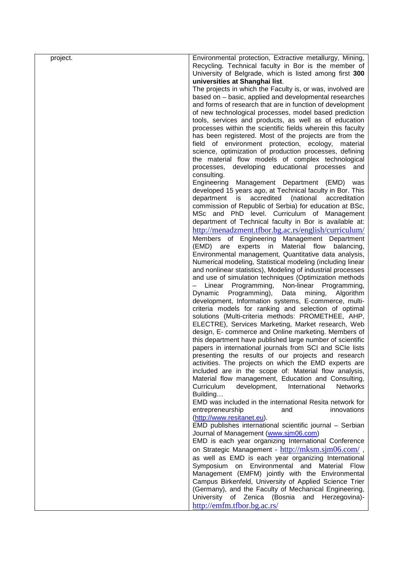| project. | Environmental protection, Extractive metallurgy, Mining,       |
|----------|----------------------------------------------------------------|
|          | Recycling. Technical faculty in Bor is the member of           |
|          | University of Belgrade, which is listed among first 300        |
|          |                                                                |
|          | universities at Shanghai list.                                 |
|          | The projects in which the Faculty is, or was, involved are     |
|          | based on - basic, applied and developmental researches         |
|          | and forms of research that are in function of development      |
|          | of new technological processes, model based prediction         |
|          | tools, services and products, as well as of education          |
|          | processes within the scientific fields wherein this faculty    |
|          | has been registered. Most of the projects are from the         |
|          | field of environment protection, ecology,<br>material          |
|          | science, optimization of production processes, defining        |
|          | the material flow models of complex technological              |
|          | developing educational processes<br>processes,<br>and          |
|          | consulting.                                                    |
|          | Engineering Management Department (EMD) was                    |
|          | developed 15 years ago, at Technical faculty in Bor. This      |
|          | accredited<br>(national<br>department<br>is<br>accreditation   |
|          |                                                                |
|          | commission of Republic of Serbia) for education at BSc,        |
|          | MSc and PhD level. Curriculum of Management                    |
|          | department of Technical faculty in Bor is available at:        |
|          | http://menadzment.tfbor.bg.ac.rs/english/curriculum/           |
|          | Members of Engineering Management Department                   |
|          | experts in<br>Material flow<br>(EMD) are<br>balancing,         |
|          | Environmental management, Quantitative data analysis,          |
|          | Numerical modeling, Statistical modeling (including linear     |
|          | and nonlinear statistics), Modeling of industrial processes    |
|          | and use of simulation techniques (Optimization methods         |
|          | Programming, Non-linear<br>Linear<br>Programming,              |
|          | Dynamic<br>Programming),<br>Data<br>mining,<br>Algorithm       |
|          | development, Information systems, E-commerce, multi-           |
|          | criteria models for ranking and selection of optimal           |
|          | solutions (Multi-criteria methods: PROMETHEE, AHP,             |
|          | ELECTRE), Services Marketing, Market research, Web             |
|          | design, E- commerce and Online marketing. Members of           |
|          | this department have published large number of scientific      |
|          | papers in international journals from SCI and SCIe lists       |
|          |                                                                |
|          | presenting the results of our projects and research            |
|          | activities. The projects on which the EMD experts are          |
|          | included are in the scope of: Material flow analysis,          |
|          | Material flow management, Education and Consulting,            |
|          | Curriculum<br>development,<br>International<br><b>Networks</b> |
|          | Building                                                       |
|          | EMD was included in the international Resita network for       |
|          | entrepreneurship<br>innovations<br>and                         |
|          | (http://www.resitanet.eu).                                     |
|          | EMD publishes international scientific journal - Serbian       |
|          | Journal of Management (www.sim06.com)                          |
|          | EMD is each year organizing International Conference           |
|          | on Strategic Management - http://mksm.sjm06.com/,              |
|          | as well as EMD is each year organizing International           |
|          | Symposium on Environmental and Material<br>Flow                |
|          | Management (EMFM) jointly with the Environmental               |
|          | Campus Birkenfeld, University of Applied Science Trier         |
|          | (Germany), and the Faculty of Mechanical Engineering,          |
|          |                                                                |
|          | University<br>of<br>Zenica (Bosnia<br>Herzegovina)-<br>and     |
|          | http://emfm.tfbor.bg.ac.rs/                                    |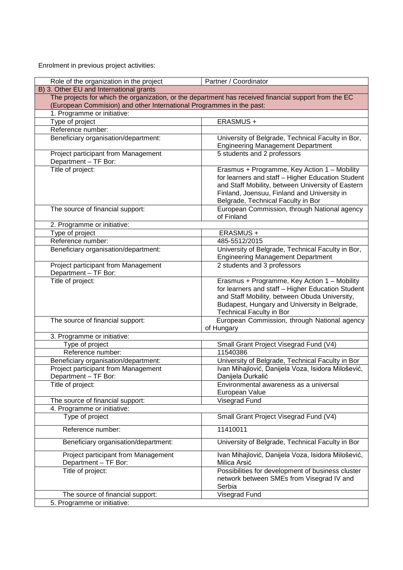Enrolment in previous project activities:

| Partner / Coordinator<br>Role of the organization in the project     |                                                                                                                                                                                                                                             |  |
|----------------------------------------------------------------------|---------------------------------------------------------------------------------------------------------------------------------------------------------------------------------------------------------------------------------------------|--|
| B) 3. Other EU and International grants                              |                                                                                                                                                                                                                                             |  |
|                                                                      | The projects for which the organization, or the department has received financial support from the EC                                                                                                                                       |  |
| (European Commision) and other International Programmes in the past: |                                                                                                                                                                                                                                             |  |
| 1. Programme or initiative:                                          |                                                                                                                                                                                                                                             |  |
| Type of project                                                      | ERASMUS +                                                                                                                                                                                                                                   |  |
| Reference number:                                                    |                                                                                                                                                                                                                                             |  |
| Beneficiary organisation/department:                                 | University of Belgrade, Technical Faculty in Bor,<br><b>Engineering Management Department</b>                                                                                                                                               |  |
| Project participant from Management<br>Department - TF Bor:          | 5 students and 2 professors                                                                                                                                                                                                                 |  |
| Title of project:                                                    | Erasmus + Programme, Key Action 1 - Mobility<br>for learners and staff - Higher Education Student<br>and Staff Mobility, between University of Eastern<br>Finland, Joensuu, Finland and University in<br>Belgrade, Technical Faculty in Bor |  |
| The source of financial support:                                     | European Commission, through National agency<br>of Finland                                                                                                                                                                                  |  |
| 2. Programme or initiative:                                          |                                                                                                                                                                                                                                             |  |
| Type of project                                                      | ERASMUS +                                                                                                                                                                                                                                   |  |
| Reference number:                                                    | 485-5512/2015                                                                                                                                                                                                                               |  |
| Beneficiary organisation/department:                                 | University of Belgrade, Technical Faculty in Bor,<br><b>Engineering Management Department</b>                                                                                                                                               |  |
| Project participant from Management                                  | 2 students and 3 professors                                                                                                                                                                                                                 |  |
| Department - TF Bor:                                                 |                                                                                                                                                                                                                                             |  |
| Title of project:                                                    | Erasmus + Programme, Key Action 1 - Mobility<br>for learners and staff - Higher Education Student<br>and Staff Mobility, between Obuda University,<br>Budapest, Hungary and University in Belgrade,<br><b>Technical Faculty in Bor</b>      |  |
| The source of financial support:                                     | European Commission, through National agency<br>of Hungary                                                                                                                                                                                  |  |
| 3. Programme or initiative:                                          |                                                                                                                                                                                                                                             |  |
| Type of project                                                      | Small Grant Project Visegrad Fund (V4)                                                                                                                                                                                                      |  |
| Reference number:                                                    | 11540386                                                                                                                                                                                                                                    |  |
| Beneficiary organisation/department:                                 | University of Belgrade, Technical Faculty in Bor                                                                                                                                                                                            |  |
| Project participant from Management<br>Department - TF Bor:          | Ivan Mihajlović, Danijela Voza, Isidora Milošević,<br>Danijela Durkalić                                                                                                                                                                     |  |
| Title of project:                                                    | Environmental awareness as a universal<br>European Value                                                                                                                                                                                    |  |
| The source of financial support:                                     | Visegrad Fund                                                                                                                                                                                                                               |  |
| 4. Programme or initiative:                                          |                                                                                                                                                                                                                                             |  |
| Type of project                                                      | Small Grant Project Visegrad Fund (V4)                                                                                                                                                                                                      |  |
| Reference number:                                                    | 11410011                                                                                                                                                                                                                                    |  |
| Beneficiary organisation/department:                                 | University of Belgrade, Technical Faculty in Bor                                                                                                                                                                                            |  |
| Project participant from Management<br>Department - TF Bor:          | Ivan Mihajlović, Danijela Voza, Isidora Milošević,<br>Milica Arsić                                                                                                                                                                          |  |
| Title of project:                                                    | Possibilities for development of business cluster<br>network between SMEs from Visegrad IV and<br>Serbia                                                                                                                                    |  |
| The source of financial support:                                     | Visegrad Fund                                                                                                                                                                                                                               |  |
| 5. Programme or initiative:                                          |                                                                                                                                                                                                                                             |  |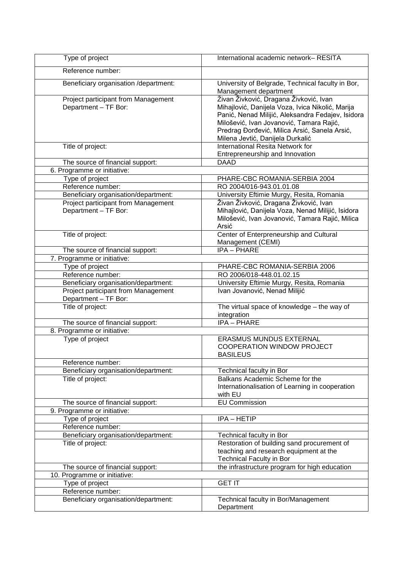| Type of project                                             | International academic network-RESITA                                                                                                                                                                                                                                            |
|-------------------------------------------------------------|----------------------------------------------------------------------------------------------------------------------------------------------------------------------------------------------------------------------------------------------------------------------------------|
| Reference number:                                           |                                                                                                                                                                                                                                                                                  |
| Beneficiary organisation /department:                       | University of Belgrade, Technical faculty in Bor,<br>Management department                                                                                                                                                                                                       |
| Project participant from Management<br>Department - TF Bor: | Živan Živković, Dragana Živković, Ivan<br>Mihajlović, Danijela Voza, Ivica Nikolić, Marija<br>Panić, Nenad Milijić, Aleksandra Fedajev, Isidora<br>Milošević, Ivan Jovanović, Tamara Rajić,<br>Predrag Đorđević, Milica Arsić, Sanela Arsić,<br>Milena Jevtić, Danijela Durkalić |
| Title of project:                                           | <b>International Resita Network for</b><br>Entrepreneurship and Innovation                                                                                                                                                                                                       |
| The source of financial support:                            | <b>DAAD</b>                                                                                                                                                                                                                                                                      |
| 6. Programme or initiative:                                 |                                                                                                                                                                                                                                                                                  |
| Type of project                                             | PHARE-CBC ROMANIA-SERBIA 2004                                                                                                                                                                                                                                                    |
| Reference number:                                           | RO 2004/016-943.01.01.08                                                                                                                                                                                                                                                         |
| Beneficiary organisation/department:                        | University Eftimie Murgy, Resita, Romania                                                                                                                                                                                                                                        |
| Project participant from Management<br>Department - TF Bor: | Živan Živković, Dragana Živković, Ivan<br>Mihajlović, Danijela Voza, Nenad Milijić, Isidora<br>Milošević, Ivan Jovanović, Tamara Rajić, Milica<br>Arsić                                                                                                                          |
| Title of project:                                           | Center of Enterpreneurship and Cultural<br>Management (CEMI)                                                                                                                                                                                                                     |
| The source of financial support:                            | IPA - PHARE                                                                                                                                                                                                                                                                      |
| 7. Programme or initiative:                                 |                                                                                                                                                                                                                                                                                  |
| Type of project                                             | PHARE-CBC ROMANIA-SERBIA 2006                                                                                                                                                                                                                                                    |
| Reference number:                                           | RO 2006/018-448.01.02.15                                                                                                                                                                                                                                                         |
| Beneficiary organisation/department:                        | University Eftimie Murgy, Resita, Romania                                                                                                                                                                                                                                        |
| Project participant from Management<br>Department - TF Bor: | Ivan Jovanović, Nenad Milijić                                                                                                                                                                                                                                                    |
| Title of project:                                           | The virtual space of knowledge - the way of<br>integration                                                                                                                                                                                                                       |
| The source of financial support:                            | <b>IPA - PHARE</b>                                                                                                                                                                                                                                                               |
| 8. Programme or initiative:                                 |                                                                                                                                                                                                                                                                                  |
| Type of project                                             | <b>ERASMUS MUNDUS EXTERNAL</b><br><b>COOPERATION WINDOW PROJECT</b><br><b>BASILEUS</b>                                                                                                                                                                                           |
| Reference number:                                           |                                                                                                                                                                                                                                                                                  |
| Beneficiary organisation/department:                        | Technical faculty in Bor                                                                                                                                                                                                                                                         |
| Title of project:                                           | Balkans Academic Scheme for the<br>Internationalisation of Learning in cooperation<br>with EU                                                                                                                                                                                    |
| The source of financial support:                            | <b>EU Commission</b>                                                                                                                                                                                                                                                             |
| 9. Programme or initiative:                                 |                                                                                                                                                                                                                                                                                  |
| Type of project                                             | IPA - HETIP                                                                                                                                                                                                                                                                      |
| Reference number:                                           |                                                                                                                                                                                                                                                                                  |
| Beneficiary organisation/department:                        | Technical faculty in Bor                                                                                                                                                                                                                                                         |
| Title of project:                                           | Restoration of building sand procurement of<br>teaching and research equipment at the<br><b>Technical Faculty in Bor</b>                                                                                                                                                         |
| The source of financial support:                            | the infrastructure program for high education                                                                                                                                                                                                                                    |
| 10. Programme or initiative:                                |                                                                                                                                                                                                                                                                                  |
| Type of project                                             | <b>GET IT</b>                                                                                                                                                                                                                                                                    |
| Reference number:                                           |                                                                                                                                                                                                                                                                                  |
| Beneficiary organisation/department:                        | Technical faculty in Bor/Management<br>Department                                                                                                                                                                                                                                |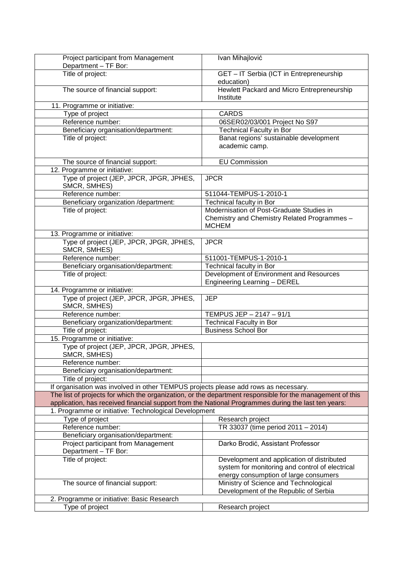| Project participant from Management<br>Department - TF Bor:                                         | Ivan Mihajlović                                                                                           |
|-----------------------------------------------------------------------------------------------------|-----------------------------------------------------------------------------------------------------------|
| Title of project:                                                                                   | GET - IT Serbia (ICT in Entrepreneurship<br>education)                                                    |
| The source of financial support:                                                                    | Hewlett Packard and Micro Entrepreneurship<br>Institute                                                   |
| 11. Programme or initiative:                                                                        |                                                                                                           |
| Type of project                                                                                     | <b>CARDS</b>                                                                                              |
| Reference number:                                                                                   | 06SER02/03/001 Project No S97                                                                             |
| Beneficiary organisation/department:                                                                | <b>Technical Faculty in Bor</b>                                                                           |
| Title of project:                                                                                   | Banat regions' sustainable development<br>academic camp.                                                  |
| The source of financial support:                                                                    | <b>EU Commission</b>                                                                                      |
| 12. Programme or initiative:                                                                        |                                                                                                           |
| Type of project (JEP, JPCR, JPGR, JPHES,<br>SMCR, SMHES)                                            | <b>JPCR</b>                                                                                               |
| Reference number:                                                                                   | 511044-TEMPUS-1-2010-1                                                                                    |
| Beneficiary organization /department:                                                               | Technical faculty in Bor                                                                                  |
| Title of project:                                                                                   | Modernisation of Post-Graduate Studies in<br>Chemistry and Chemistry Related Programmes -<br><b>MCHEM</b> |
| 13. Programme or initiative:                                                                        |                                                                                                           |
| Type of project (JEP, JPCR, JPGR, JPHES,<br>SMCR, SMHES)                                            | <b>JPCR</b>                                                                                               |
| Reference number:                                                                                   | 511001-TEMPUS-1-2010-1                                                                                    |
| Beneficiary organisation/department:                                                                | Technical faculty in Bor                                                                                  |
| Title of project:                                                                                   | Development of Environment and Resources<br>Engineering Learning - DEREL                                  |
| 14. Programme or initiative:                                                                        |                                                                                                           |
| Type of project (JEP, JPCR, JPGR, JPHES,<br>SMCR, SMHES)                                            | <b>JEP</b>                                                                                                |
| Reference number:                                                                                   | TEMPUS JEP - 2147 - 91/1                                                                                  |
| Beneficiary organization/department:                                                                | <b>Technical Faculty in Bor</b>                                                                           |
| Title of project:                                                                                   | <b>Business School Bor</b>                                                                                |
| 15. Programme or initiative:                                                                        |                                                                                                           |
| Type of project (JEP, JPCR, JPGR, JPHES,<br>SMCR, SMHES)                                            |                                                                                                           |
| Reference number:                                                                                   |                                                                                                           |
| Beneficiary organisation/department:                                                                |                                                                                                           |
| Title of project:                                                                                   |                                                                                                           |
| If organisation was involved in other TEMPUS projects please add rows as necessary.                 |                                                                                                           |
|                                                                                                     | The list of projects for which the organization, or the department responsible for the management of this |
| application, has received financial support from the National Programmes during the last ten years: |                                                                                                           |
| 1. Programme or initiative: Technological Development                                               |                                                                                                           |
| Type of project                                                                                     | Research project                                                                                          |
| Reference number:<br>Beneficiary organisation/department:                                           | TR 33037 (time period 2011 - 2014)                                                                        |
| Project participant from Management                                                                 | Darko Brodić, Assistant Professor                                                                         |
| Department - TF Bor:                                                                                |                                                                                                           |
| Title of project:                                                                                   | Development and application of distributed                                                                |
|                                                                                                     | system for monitoring and control of electrical                                                           |
|                                                                                                     | energy consumption of large consumers                                                                     |
| The source of financial support:                                                                    | Ministry of Science and Technological                                                                     |
|                                                                                                     | Development of the Republic of Serbia                                                                     |
| 2. Programme or initiative: Basic Research                                                          |                                                                                                           |
| Type of project                                                                                     | Research project                                                                                          |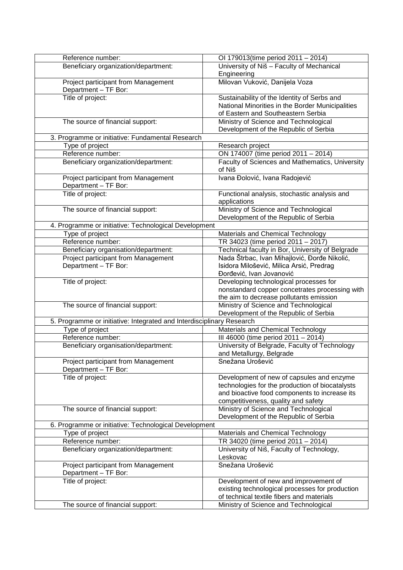| Reference number:                                                     | OI 179013(time period 2011 - 2014)                                               |
|-----------------------------------------------------------------------|----------------------------------------------------------------------------------|
| Beneficiary organization/department:                                  | University of Niš - Faculty of Mechanical                                        |
|                                                                       | Engineering                                                                      |
| Project participant from Management                                   | Milovan Vuković, Danijela Voza                                                   |
| Department - TF Bor:                                                  |                                                                                  |
| Title of project:                                                     | Sustainability of the Identity of Serbs and                                      |
|                                                                       | National Minorities in the Border Municipalities                                 |
|                                                                       | of Eastern and Southeastern Serbia                                               |
| The source of financial support:                                      | Ministry of Science and Technological                                            |
|                                                                       | Development of the Republic of Serbia                                            |
| 3. Programme or initiative: Fundamental Research                      |                                                                                  |
| Type of project<br>Reference number:                                  | Research project<br>ON 174007 (time period 2011 - 2014)                          |
| Beneficiary organization/department:                                  | Faculty of Sciences and Mathematics, University                                  |
|                                                                       | of Niš                                                                           |
| Project participant from Management                                   | Ivana Đolović, Ivana Radojević                                                   |
| Department - TF Bor:                                                  |                                                                                  |
| Title of project:                                                     | Functional analysis, stochastic analysis and<br>applications                     |
| The source of financial support:                                      | Ministry of Science and Technological                                            |
|                                                                       | Development of the Republic of Serbia                                            |
| 4. Programme or initiative: Technological Development                 |                                                                                  |
| Type of project                                                       | Materials and Chemical Technology                                                |
| Reference number:                                                     | TR 34023 (time period 2011 - 2017)                                               |
| Beneficiary organisation/department:                                  | Technical faculty in Bor, University of Belgrade                                 |
| Project participant from Management                                   | Nada Štrbac, Ivan Mihajlović, Đorđe Nikolić,                                     |
| Department - TF Bor:                                                  | Isidora Milošević, Milica Arsić, Predrag                                         |
|                                                                       | Đorđević, Ivan Jovanović                                                         |
| Title of project:                                                     | Developing technological processes for                                           |
|                                                                       | nonstandard copper concetrates processing with                                   |
|                                                                       | the aim to decrease pollutants emission<br>Ministry of Science and Technological |
| The source of financial support:                                      | Development of the Republic of Serbia                                            |
| 5. Programme or initiative: Integrated and Interdisciplinary Research |                                                                                  |
| Type of project                                                       | Materials and Chemical Technology                                                |
| Reference number:                                                     | III 46000 (time period 2011 - 2014)                                              |
| Beneficiary organisation/department:                                  | University of Belgrade, Faculty of Technology                                    |
|                                                                       | and Metallurgy, Belgrade                                                         |
| Project participant from Management                                   | Snežana Urošević                                                                 |
| Department - TF Bor:                                                  |                                                                                  |
| Title of project:                                                     | Development of new of capsules and enzyme                                        |
|                                                                       | technologies for the production of biocatalysts                                  |
|                                                                       | and bioactive food components to increase its                                    |
|                                                                       | competitiveness, quality and safety                                              |
| The source of financial support:                                      | Ministry of Science and Technological                                            |
|                                                                       | Development of the Republic of Serbia                                            |
| 6. Programme or initiative: Technological Development                 |                                                                                  |
| Type of project                                                       | Materials and Chemical Technology                                                |
| Reference number:                                                     | TR 34020 (time period 2011 - 2014)                                               |
| Beneficiary organization/department:                                  | University of Niš, Faculty of Technology,<br>Leskovac                            |
| Project participant from Management                                   | Snežana Urošević                                                                 |
| Department - TF Bor:                                                  |                                                                                  |
| Title of project:                                                     | Development of new and improvement of                                            |
|                                                                       | existing technological processes for production                                  |
|                                                                       | of technical textile fibers and materials                                        |
| The source of financial support:                                      | Ministry of Science and Technological                                            |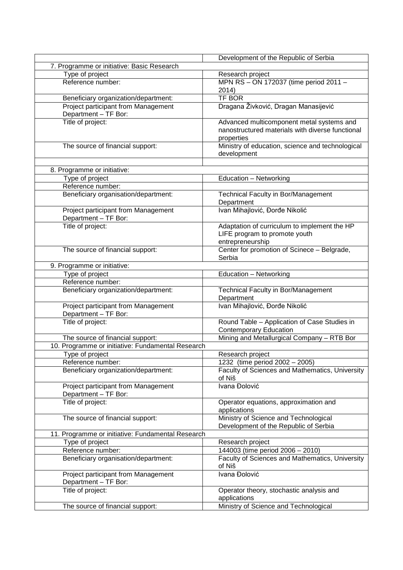|                                                             | Development of the Republic of Serbia                                                                       |
|-------------------------------------------------------------|-------------------------------------------------------------------------------------------------------------|
| 7. Programme or initiative: Basic Research                  |                                                                                                             |
| Type of project                                             | Research project                                                                                            |
| Reference number:                                           | MPN RS - ON 172037 (time period 2011 -<br>2014)                                                             |
| Beneficiary organization/department:                        | <b>TF BOR</b>                                                                                               |
| Project participant from Management<br>Department - TF Bor: | Dragana Živković, Dragan Manasijević                                                                        |
| Title of project:                                           | Advanced multicomponent metal systems and<br>nanostructured materials with diverse functional<br>properties |
| The source of financial support:                            | Ministry of education, science and technological<br>development                                             |
| 8. Programme or initiative:                                 |                                                                                                             |
| Type of project                                             | Education - Networking                                                                                      |
| Reference number:                                           |                                                                                                             |
| Beneficiary organisation/department:                        | <b>Technical Faculty in Bor/Management</b><br>Department                                                    |
| Project participant from Management<br>Department - TF Bor: | Ivan Mihajlović, Đorđe Nikolić                                                                              |
| Title of project:                                           | Adaptation of curriculum to implement the HP<br>LIFE program to promote youth<br>entrepreneurship           |
| The source of financial support:                            | Center for promotion of Scinece - Belgrade,<br>Serbia                                                       |
| 9. Programme or initiative:                                 |                                                                                                             |
| Type of project                                             | Education - Networking                                                                                      |
| Reference number:                                           |                                                                                                             |
| Beneficiary organization/department:                        | <b>Technical Faculty in Bor/Management</b><br>Department                                                    |
| Project participant from Management<br>Department - TF Bor: | Ivan Mihajlović, Đorđe Nikolić                                                                              |
| Title of project:                                           | Round Table - Application of Case Studies in<br><b>Contemporary Education</b>                               |
| The source of financial support:                            | Mining and Metallurgical Company - RTB Bor                                                                  |
| 10. Programme or initiative: Fundamental Research           |                                                                                                             |
| Type of project                                             | Research project                                                                                            |
| Reference number:                                           | 1232 (time period 2002 - 2005)                                                                              |
| Beneficiary organization/department:                        | Faculty of Sciences and Mathematics, University<br>of Niš                                                   |
| Project participant from Management<br>Department - TF Bor: | Ivana Đolović                                                                                               |
| Title of project:                                           | Operator equations, approximation and<br>applications                                                       |
| The source of financial support:                            | Ministry of Science and Technological<br>Development of the Republic of Serbia                              |
| 11. Programme or initiative: Fundamental Research           |                                                                                                             |
| Type of project                                             | Research project                                                                                            |
| Reference number:                                           | 144003 (time period 2006 - 2010)                                                                            |
| Beneficiary organisation/department:                        | Faculty of Sciences and Mathematics, University<br>of Niš                                                   |
| Project participant from Management<br>Department - TF Bor: | Ivana Đolović                                                                                               |
| Title of project:                                           | Operator theory, stochastic analysis and<br>applications                                                    |
| The source of financial support:                            | Ministry of Science and Technological                                                                       |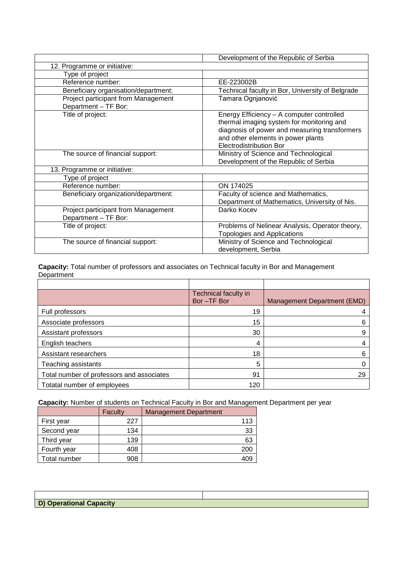|                                                             | Development of the Republic of Serbia                                                                                                                                                                           |
|-------------------------------------------------------------|-----------------------------------------------------------------------------------------------------------------------------------------------------------------------------------------------------------------|
| 12. Programme or initiative:                                |                                                                                                                                                                                                                 |
| Type of project                                             |                                                                                                                                                                                                                 |
| Reference number:                                           | EE-223002B                                                                                                                                                                                                      |
| Beneficiary organisation/department:                        | Technical faculty in Bor, University of Belgrade                                                                                                                                                                |
| Project participant from Management<br>Department - TF Bor: | Tamara Ognjanović                                                                                                                                                                                               |
| Title of project:                                           | Energy Efficiency - A computer controlled<br>thermal imaging system for monitoring and<br>diagnosis of power and measuring transformers<br>and other elements in power plants<br><b>Electrodistribution Bor</b> |
| The source of financial support:                            | Ministry of Science and Technological<br>Development of the Republic of Serbia                                                                                                                                  |
| 13. Programme or initiative:                                |                                                                                                                                                                                                                 |
| Type of project                                             |                                                                                                                                                                                                                 |
| Reference number:                                           | ON 174025                                                                                                                                                                                                       |
| Beneficiary organization/department:                        | Faculty of science and Mathematics,<br>Department of Mathematics, University of Nis.                                                                                                                            |
| Project participant from Management<br>Department - TF Bor: | Darko Kocev                                                                                                                                                                                                     |
| Title of project:                                           | Problems of Nelinear Analysis, Operator theory,<br><b>Topologies and Applications</b>                                                                                                                           |
| The source of financial support:                            | Ministry of Science and Technological<br>development, Serbia                                                                                                                                                    |

**Capacity:** Total number of professors and associates on Technical faculty in Bor and Management Department

|                                           | Technical faculty in<br>Bor-TF Bor | Management Department (EMD) |
|-------------------------------------------|------------------------------------|-----------------------------|
| Full professors                           | 19                                 |                             |
| Associate professors                      | 15                                 | 6                           |
| Assistant professors                      | 30                                 | 9                           |
| English teachers                          | 4                                  | 4                           |
| Assistant researchers                     | 18                                 | 6                           |
| Teaching assistants                       | 5                                  |                             |
| Total number of professors and associates | 91                                 | 29                          |
| Totatal number of employees               | 120                                |                             |

**Capacity:** Number of students on Technical Faculty in Bor and Management Department per year

|              | Faculty | <b>Management Department</b> |     |
|--------------|---------|------------------------------|-----|
| First year   | 227     |                              | 113 |
| Second year  | 134     |                              | 33  |
| Third year   | 139     |                              | 63  |
| Fourth year  | 408     |                              | 200 |
| Total number | 908     |                              |     |

| D) Operational Capacity |  |
|-------------------------|--|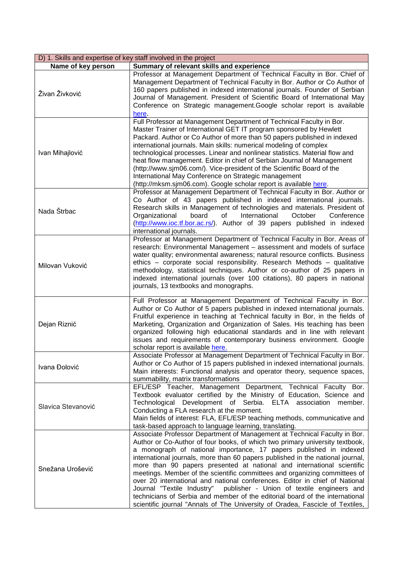| D) 1. Skills and expertise of key staff involved in the project |                                                                                                                                                                                                                                                                                                                                                                                                                                                                                                                                                                                                                                                                                                                                                                                                       |  |
|-----------------------------------------------------------------|-------------------------------------------------------------------------------------------------------------------------------------------------------------------------------------------------------------------------------------------------------------------------------------------------------------------------------------------------------------------------------------------------------------------------------------------------------------------------------------------------------------------------------------------------------------------------------------------------------------------------------------------------------------------------------------------------------------------------------------------------------------------------------------------------------|--|
| Name of key person                                              | Summary of relevant skills and experience                                                                                                                                                                                                                                                                                                                                                                                                                                                                                                                                                                                                                                                                                                                                                             |  |
| Živan Živković                                                  | Professor at Management Department of Technical Faculty in Bor. Chief of<br>Management Department of Technical Faculty in Bor. Author or Co Author of<br>160 papers published in indexed international journals. Founder of Serbian<br>Journal of Management. President of Scientific Board of International May<br>Conference on Strategic management.Google scholar report is available<br>here.                                                                                                                                                                                                                                                                                                                                                                                                    |  |
| Ivan Mihajlović                                                 | Full Professor at Management Department of Technical Faculty in Bor.<br>Master Trainer of International GET IT program sponsored by Hewlett<br>Packard. Author or Co Author of more than 50 papers published in indexed<br>international journals. Main skills: numerical modeling of complex<br>technological processes. Linear and nonlinear statistics. Material flow and<br>heat flow management. Editor in chief of Serbian Journal of Management<br>(http://www.sjm06.com/). Vice-president of the Scientific Board of the<br>International May Conference on Strategic management<br>(http://mksm.sjm06.com). Google scholar report is available here.                                                                                                                                         |  |
| Nada Štrbac                                                     | Professor at Management Department of Technical Faculty in Bor. Author or<br>Co Author of 43 papers published in indexed international journals.<br>Research skills in Management of technologies and materials. President of<br>Organizational<br>board<br>of<br>International<br>October<br>Conference<br>(http://www.ioc.tf.bor.ac.rs/). Author of 39 papers published in indexed<br>international journals.                                                                                                                                                                                                                                                                                                                                                                                       |  |
| Milovan Vuković                                                 | Professor at Management Department of Technical Faculty in Bor. Areas of<br>research: Environmental Management - assessment and models of surface<br>water quality; environmental awareness; natural resource conflicts. Business<br>ethics – corporate social responsibility. Research Methods – qualitative<br>methodology, statistical techniques. Author or co-author of 25 papers in<br>indexed international journals (over 100 citations), 80 papers in national<br>journals, 13 textbooks and monographs.                                                                                                                                                                                                                                                                                     |  |
| Dejan Riznić                                                    | Full Professor at Management Department of Technical Faculty in Bor.<br>Author or Co Author of 5 papers published in indexed international journals.<br>Fruitful experience in teaching at Technical faculty in Bor, in the fields of<br>Marketing, Organization and Organization of Sales. His teaching has been<br>organized following high educational standards and in line with relevant<br>issues and requirements of contemporary business environment. Google<br>scholar report is available here.                                                                                                                                                                                                                                                                                            |  |
| Ivana Đolović                                                   | Associate Professor at Management Department of Technical Faculty in Bor.<br>Author or Co Author of 15 papers published in indexed international journals.<br>Main interests: Functional analysis and operator theory, sequence spaces,<br>summability, matrix transformations                                                                                                                                                                                                                                                                                                                                                                                                                                                                                                                        |  |
| Slavica Stevanović                                              | EFL/ESP Teacher, Management Department, Technical Faculty Bor.<br>Textbook evaluator certified by the Ministry of Education, Science and<br>Technological Development of Serbia. ELTA association member.<br>Conducting a FLA research at the moment.<br>Main fields of interest: FLA, EFL/ESP teaching methods, communicative and<br>task-based approach to language learning, translating.                                                                                                                                                                                                                                                                                                                                                                                                          |  |
| Snežana Urošević                                                | Associate Professor Department of Management at Technical Faculty in Bor.<br>Author or Co-Author of four books, of which two primary university textbook,<br>a monograph of national importance, 17 papers published in indexed<br>international journals, more than 60 papers published in the national journal,<br>more than 90 papers presented at national and international scientific<br>meetings. Member of the scientific committees and organizing committees of<br>over 20 international and national conferences. Editor in chief of National<br>Journal "Textile Industry"<br>publisher - Union of textile engineers and<br>technicians of Serbia and member of the editorial board of the international<br>scientific journal "Annals of The University of Oradea, Fascicle of Textiles, |  |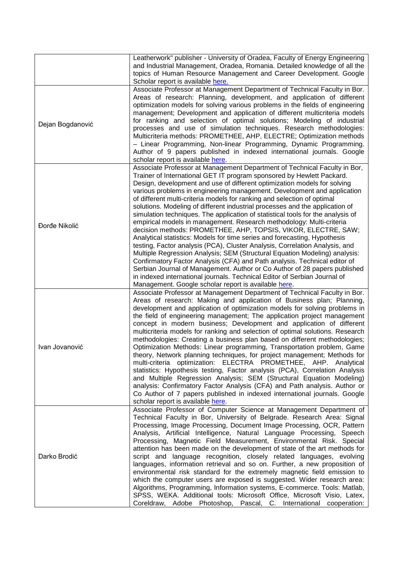|                  | Leatherwork" publisher - University of Oradea, Faculty of Energy Engineering<br>and Industrial Management, Oradea, Romania. Detailed knowledge of all the<br>topics of Human Resource Management and Career Development. Google<br>Scholar report is available here.                                                                                                                                                                                                                                                                                                                                                                                                                                                                                                                                                                                                                                                                                                                                                                                                                                                                                                                                                                       |
|------------------|--------------------------------------------------------------------------------------------------------------------------------------------------------------------------------------------------------------------------------------------------------------------------------------------------------------------------------------------------------------------------------------------------------------------------------------------------------------------------------------------------------------------------------------------------------------------------------------------------------------------------------------------------------------------------------------------------------------------------------------------------------------------------------------------------------------------------------------------------------------------------------------------------------------------------------------------------------------------------------------------------------------------------------------------------------------------------------------------------------------------------------------------------------------------------------------------------------------------------------------------|
| Dejan Bogdanović | Associate Professor at Management Department of Technical Faculty in Bor.<br>Areas of research: Planning, development, and application of different<br>optimization models for solving various problems in the fields of engineering<br>management; Development and application of different multicriteria models<br>for ranking and selection of optimal solutions; Modeling of industrial<br>processes and use of simulation techniques. Research methodologies:<br>Multicriteria methods: PROMETHEE, AHP, ELECTRE; Optimization methods<br>- Linear Programming, Non-linear Programming, Dynamic Programming.<br>Author of 9 papers published in indexed international journals. Google<br>scholar report is available here.                                                                                                                                                                                                                                                                                                                                                                                                                                                                                                            |
| Đorđe Nikolić    | Associate Professor at Management Department of Technical Faculty in Bor,<br>Trainer of International GET IT program sponsored by Hewlett Packard.<br>Design, development and use of different optimization models for solving<br>various problems in engineering management. Development and application<br>of different multi-criteria models for ranking and selection of optimal<br>solutions. Modeling of different industrial processes and the application of<br>simulation techniques. The application of statistical tools for the analysis of<br>empirical models in management. Research methodology: Multi-criteria<br>decision methods: PROMETHEE, AHP, TOPSIS, VIKOR, ELECTRE, SAW;<br>Analytical statistics: Models for time series and forecasting, Hypothesis<br>testing, Factor analysis (PCA), Cluster Analysis, Correlation Analysis, and<br>Multiple Regression Analysis; SEM (Structural Equation Modeling) analysis:<br>Confirmatory Factor Analysis (CFA) and Path analysis. Technical editor of<br>Serbian Journal of Management. Author or Co Author of 28 papers published<br>in indexed international journals. Technical Editor of Serbian Journal of<br>Management. Google scholar report is available here. |
| Ivan Jovanović   | Associate Professor at Management Department of Technical Faculty in Bor.<br>Areas of research: Making and application of Business plan; Planning,<br>development and application of optimization models for solving problems in<br>the field of engineering management; The application project management<br>concept in modern business; Development and application of different<br>multicriteria models for ranking and selection of optimal solutions. Research<br>methodologies: Creating a business plan based on different methodologies;<br>Optimization Methods: Linear programming, Transportation problem, Game<br>theory, Network planning techniques, for project management; Methods for<br>multi-criteria optimization: ELECTRA PROMETHEE, AHP. Analytical<br>statistics: Hypothesis testing, Factor analysis (PCA), Correlation Analysis<br>and Multiple Regression Analysis; SEM (Structural Equation Modeling)<br>analysis: Confirmatory Factor Analysis (CFA) and Path analysis. Author or<br>Co Author of 7 papers published in indexed international journals. Google<br>scholar report is available here.                                                                                                           |
| Darko Brodić     | Associate Professor of Computer Science at Management Department of<br>Technical Faculty in Bor, University of Belgrade. Research Area: Signal<br>Processing, Image Processing, Document Image Processing, OCR, Pattern<br>Analysis, Artificial Intelligence, Natural Language Processing, Speech<br>Processing, Magnetic Field Measurement, Environmental Risk. Special<br>attention has been made on the development of state of the art methods for<br>script and language recognition, closely related languages, evolving<br>languages, information retrieval and so on. Further, a new proposition of<br>environmental risk standard for the extremely magnetic field emission to<br>which the computer users are exposed is suggested. Wider research area:<br>Algorithms, Programming, Information systems, E-commerce. Tools: Matlab,<br>SPSS, WEKA. Additional tools: Microsoft Office, Microsoft Visio, Latex,<br>Coreldraw, Adobe Photoshop, Pascal, C. International cooperation:                                                                                                                                                                                                                                             |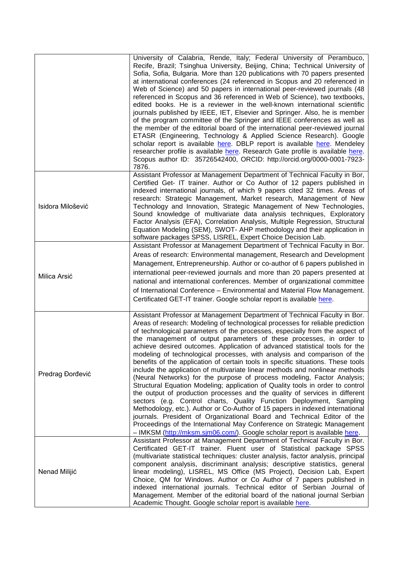|                   | University of Calabria, Rende, Italy; Federal University of Perambuco,<br>Recife, Brazil; Tsinghua University, Beijing, China; Technical University of<br>Sofia, Sofia, Bulgaria. More than 120 publications with 70 papers presented<br>at international conferences (24 referenced in Scopus and 20 referenced in<br>Web of Science) and 50 papers in international peer-reviewed journals (48<br>referenced in Scopus and 36 referenced in Web of Science), two textbooks,<br>edited books. He is a reviewer in the well-known international scientific<br>journals published by IEEE, IET, Elsevier and Springer. Also, he is member<br>of the program committee of the Springer and IEEE conferences as well as<br>the member of the editorial board of the international peer-reviewed journal<br>ETASR (Engineering, Technology & Applied Science Research). Google<br>scholar report is available here. DBLP report is available here. Mendeley<br>researcher profile is available here. Research Gate profile is available here.<br>Scopus author ID: 35726542400, ORCID: http://orcid.org/0000-0001-7923-<br>7876.                                                                                                                                                             |
|-------------------|------------------------------------------------------------------------------------------------------------------------------------------------------------------------------------------------------------------------------------------------------------------------------------------------------------------------------------------------------------------------------------------------------------------------------------------------------------------------------------------------------------------------------------------------------------------------------------------------------------------------------------------------------------------------------------------------------------------------------------------------------------------------------------------------------------------------------------------------------------------------------------------------------------------------------------------------------------------------------------------------------------------------------------------------------------------------------------------------------------------------------------------------------------------------------------------------------------------------------------------------------------------------------------------|
| Isidora Milošević | Assistant Professor at Management Department of Technical Faculty in Bor,<br>Certified Get- IT trainer. Author or Co Author of 12 papers published in<br>indexed international journals, of which 9 papers cited 32 times. Areas of<br>research: Strategic Management, Market research, Management of New<br>Technology and Innovation, Strategic Management of New Technologies,<br>Sound knowledge of multivariate data analysis techniques, Exploratory<br>Factor Analysis (EFA), Correlation Analysis, Multiple Regression, Structural<br>Equation Modeling (SEM), SWOT- AHP methodology and their application in<br>software packages SPSS, LISREL, Expert Choice Decision Lab.                                                                                                                                                                                                                                                                                                                                                                                                                                                                                                                                                                                                     |
| Milica Arsić      | Assistant Professor at Management Department of Technical Faculty in Bor.<br>Areas of research: Environmental management, Research and Development<br>Management, Entrepreneurship. Author or co-author of 6 papers published in<br>international peer-reviewed journals and more than 20 papers presented at<br>national and international conferences. Member of organizational committee<br>of International Conference - Environmental and Material Flow Management.<br>Certificated GET-IT trainer. Google scholar report is available here.                                                                                                                                                                                                                                                                                                                                                                                                                                                                                                                                                                                                                                                                                                                                        |
| Predrag Đorđević  | Assistant Professor at Management Department of Technical Faculty in Bor.<br>Areas of research: Modeling of technological processes for reliable prediction<br>of technological parameters of the processes, especially from the aspect of<br>the management of output parameters of these processes, in order to<br>achieve desired outcomes. Application of advanced statistical tools for the<br>modeling of technological processes, with analysis and comparison of the<br>benefits of the application of certain tools in specific situations. These tools<br>include the application of multivariate linear methods and nonlinear methods<br>(Neural Networks) for the purpose of process modeling, Factor Analysis;<br>Structural Equation Modeling; application of Quality tools in order to control<br>the output of production processes and the quality of services in different<br>sectors (e.g. Control charts, Quality Function Deployment, Sampling<br>Methodology, etc.). Author or Co-Author of 15 papers in indexed international<br>journals. President of Organizational Board and Technical Editor of the<br>Proceedings of the International May Conference on Strategic Management<br>- IMKSM (http://mksm.sjm06.com/). Google scholar report is available here. |
| Nenad Milijić     | Assistant Professor at Management Department of Technical Faculty in Bor.<br>Certificated GET-IT trainer. Fluent user of Statistical package SPSS<br>(multivariate statistical techniques: cluster analysis, factor analysis, principal<br>component analysis, discriminant analysis; descriptive statistics, general<br>linear modeling), LISREL, MS Office (MS Project), Decision Lab, Expert<br>Choice, QM for Windows. Author or Co Author of 7 papers published in<br>indexed international journals. Technical editor of Serbian Journal of<br>Management. Member of the editorial board of the national journal Serbian<br>Academic Thought. Google scholar report is available here.                                                                                                                                                                                                                                                                                                                                                                                                                                                                                                                                                                                             |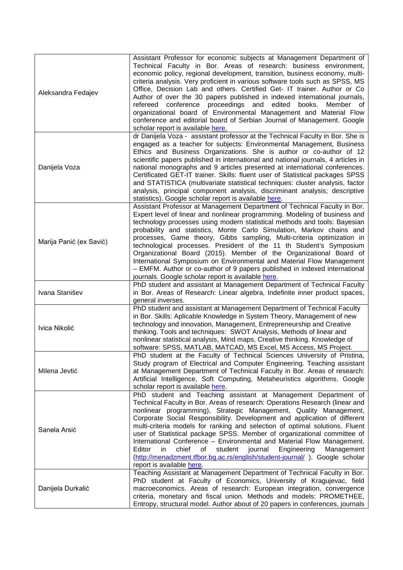| Aleksandra Fedajev      | Assistant Professor for economic subjects at Management Department of<br>Technical Faculty in Bor. Areas of research: business environment,<br>economic policy, regional development, transition, business economy, multi-<br>criteria analysis. Very proficient in various software tools such as SPSS, MS<br>Office, Decision Lab and others. Certified Get- IT trainer. Author or Co<br>Author of over the 30 papers published in indexed international journals,<br>refereed conference proceedings and edited<br>books.<br>Member of<br>organizational board of Environmental Management and Material Flow<br>conference and editorial board of Serbian Journal of Management. Google<br>scholar report is available here.                   |
|-------------------------|---------------------------------------------------------------------------------------------------------------------------------------------------------------------------------------------------------------------------------------------------------------------------------------------------------------------------------------------------------------------------------------------------------------------------------------------------------------------------------------------------------------------------------------------------------------------------------------------------------------------------------------------------------------------------------------------------------------------------------------------------|
| Danijela Voza           | dr Danijela Voza - assistant professor at the Technical Faculty in Bor. She is<br>engaged as a teacher for subjects: Environmental Management, Business<br>Ethics and Business Organizations. She is author or co-author of 12<br>scientific papers published in international and national journals, 4 articles in<br>national monographs and 9 articles presented at international conferences.<br>Certificated GET-IT trainer. Skills: fluent user of Statistical packages SPSS<br>and STATISTICA (multivariate statistical techniques: cluster analysis, factor<br>analysis, principal component analysis, discriminant analysis; descriptive<br>statistics). Google scholar report is available here.                                        |
| Marija Panić (ex Savić) | Assistant Professor at Management Department of Technical Faculty in Bor.<br>Expert level of linear and nonlinear programming. Modeling of business and<br>technology processes using modern statistical methods and tools: Bayesian<br>probability and statistics, Monte Carlo Simulation, Markov chains and<br>processes, Game theory, Gibbs sampling, Multi-criteria optimization in<br>technological processes. President of the 11 th Student's Symposium<br>Organizational Board (2015). Member of the Organizational Board of<br>International Symposium on Environmental and Material Flow Management<br>- EMFM. Author or co-author of 9 papers published in indexed international<br>journals. Google scholar report is available here. |
| Ivana Stanišev          | PhD student and assistant at Management Department of Technical Faculty<br>in Bor. Areas of Research: Linear algebra, Indefinite inner product spaces,<br>general inverses.                                                                                                                                                                                                                                                                                                                                                                                                                                                                                                                                                                       |
| Ivica Nikolić           | PhD student and assistant at Management Department of Technical Faculty<br>in Bor. Skills: Aplicable Knowledge in System Theory, Management of new<br>technology and innovation, Management, Entrepreneurship and Creative<br>thinking. Tools and techniques: SWOT Analysis, Methods of linear and<br>nonlinear statistical analysis, Mind maps, Creative thinking. Knowledge of<br>software: SPSS, MATLAB, MATCAD, MS Excel, MS Access, MS Project.                                                                                                                                                                                                                                                                                              |
| Milena Jevtić           | PhD student at the Faculty of Technical Sciences University of Pristina,<br>Study program of Electrical and Computer Engineering. Teaching assistant<br>at Management Department of Technical Faculty in Bor. Areas of research:<br>Artificial Intelligence, Soft Computing, Metaheuristics algorithms. Google<br>scholar report is available here.                                                                                                                                                                                                                                                                                                                                                                                               |
| Sanela Arsić            | PhD student and Teaching assistant at Management Department of<br>Technical Faculty in Bor. Areas of research: Operations Research (linear and<br>nonlinear programming), Strategic Management, Quality Management,<br>Corporate Social Responsibility. Development and application of different<br>multi-criteria models for ranking and selection of optimal solutions. Fluent<br>user of Statistical package SPSS. Member of organizational committee of<br>International Conference - Environmental and Material Flow Management.<br>Editor<br>chief<br>of<br>student<br>journal<br>Engineering<br>Management<br>in.<br>(http://menadzment.tfbor.bg.ac.rs/english/student-journal/). Google scholar<br>report is available here.              |
| Danijela Durkalić       | Teaching Assistant at Management Department of Technical Faculty in Bor.<br>PhD student at Faculty of Economics, University of Kragujevac, field<br>macroeconomics. Areas of research: European integration, convergence<br>criteria, monetary and fiscal union. Methods and models: PROMETHEE,<br>Entropy, structural model. Author about of 20 papers in conferences, journals                                                                                                                                                                                                                                                                                                                                                                  |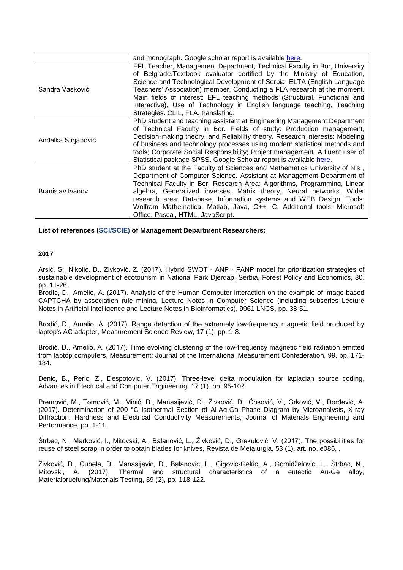|                    | and monograph. Google scholar report is available here.                                                                                                                                                                                                                                                                                                                                                                                                                                                 |
|--------------------|---------------------------------------------------------------------------------------------------------------------------------------------------------------------------------------------------------------------------------------------------------------------------------------------------------------------------------------------------------------------------------------------------------------------------------------------------------------------------------------------------------|
| Sandra Vasković    | EFL Teacher, Management Department, Technical Faculty in Bor, University<br>of Belgrade. Textbook evaluator certified by the Ministry of Education,<br>Science and Technological Development of Serbia. ELTA (English Language<br>Teachers' Association) member. Conducting a FLA research at the moment.<br>Main fields of interest: EFL teaching methods (Structural, Functional and<br>Interactive), Use of Technology in English language teaching, Teaching<br>Strategies. CLIL, FLA, translating. |
| Anđelka Stojanović | PhD student and teaching assistant at Engineering Management Department<br>of Technical Faculty in Bor. Fields of study: Production management,<br>Decision-making theory, and Reliability theory. Research interests: Modeling<br>of business and technology processes using modern statistical methods and<br>tools; Corporate Social Responsibility; Project management. A fluent user of<br>Statistical package SPSS. Google Scholar report is available here.                                      |
| Branislav Ivanov   | PhD student at the Faculty of Sciences and Mathematics University of Nis,<br>Department of Computer Science. Assistant at Management Department of<br>Technical Faculty in Bor. Research Area: Algorithms, Programming, Linear<br>algebra, Generalized inverses, Matrix theory, Neural networks. Wider<br>research area: Database, Information systems and WEB Design. Tools:<br>Wolfram Mathematica, Matlab, Java, C++, C. Additional tools: Microsoft<br>Office, Pascal, HTML, JavaScript.            |

**List of references (SCI/SCIE) of Management Department Researchers:**

# **2017**

Arsić, S., Nikolić, D., Živković, Z. (2017). Hybrid SWOT - ANP - FANP model for prioritization strategies of sustainable development of ecotourism in National Park Djerdap, Serbia, Forest Policy and Economics, 80, pp. 11-26.

Brodíc, D., Amelio, A. (2017). Analysis of the Human-Computer interaction on the example of image-based CAPTCHA by association rule mining, Lecture Notes in Computer Science (including subseries Lecture Notes in Artificial Intelligence and Lecture Notes in Bioinformatics), 9961 LNCS, pp. 38-51.

Brodić, D., Amelio, A. (2017). Range detection of the extremely low-frequency magnetic field produced by laptop's AC adapter, Measurement Science Review, 17 (1), pp. 1-8.

Brodić, D., Amelio, A. (2017). Time evolving clustering of the low-frequency magnetic field radiation emitted from laptop computers, Measurement: Journal of the International Measurement Confederation, 99, pp. 171- 184.

Denic, B., Peric, Z., Despotovic, V. (2017). Three-level delta modulation for laplacian source coding, Advances in Electrical and Computer Engineering, 17 (1), pp. 95-102.

Premović, M., Tomović, M., Minić, D., Manasijević, D., Živković, D., Ćosović, V., Grković, V., Đorđević, A. (2017). Determination of 200 °C Isothermal Section of Al-Ag-Ga Phase Diagram by Microanalysis, X-ray Diffraction, Hardness and Electrical Conductivity Measurements, Journal of Materials Engineering and Performance, pp. 1-11.

Štrbac, N., Marković, I., Mitovski, A., Balanović, L., Živković, D., Grekulović, V. (2017). The possibilities for reuse of steel scrap in order to obtain blades for knives, Revista de Metalurgia, 53 (1), art. no. e086, .

Živković, D., Cubela, D., Manasijevic, D., Balanovic, L., Gigovic-Gekic, A., Gomidželovic, L., Štrbac, N., Mitovski, A. (2017). Thermal and structural characteristics of a eutectic Au-Ge alloy, Materialpruefung/Materials Testing, 59 (2), pp. 118-122.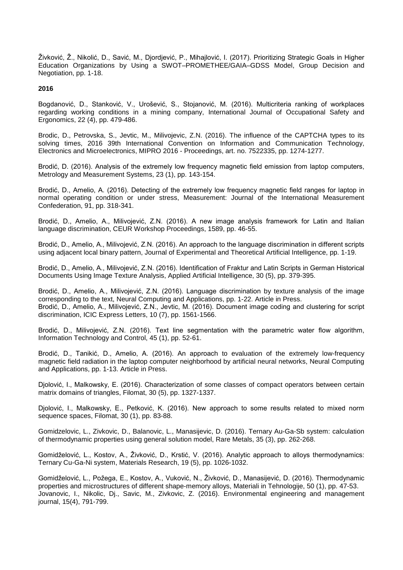Živković, Ž., Nikolić, D., Savić, M., Djordjević, P., Mihajlović, I. (2017). Prioritizing Strategic Goals in Higher Education Organizations by Using a SWOT–PROMETHEE/GAIA–GDSS Model, Group Decision and Negotiation, pp. 1-18.

# **2016**

Bogdanović, D., Stanković, V., Urošević, S., Stojanović, M. (2016). Multicriteria ranking of workplaces regarding working conditions in a mining company, International Journal of Occupational Safety and Ergonomics, 22 (4), pp. 479-486.

Brodic, D., Petrovska, S., Jevtic, M., Milivojevic, Z.N. (2016). The influence of the CAPTCHA types to its solving times, 2016 39th International Convention on Information and Communication Technology, Electronics and Microelectronics, MIPRO 2016 - Proceedings, art. no. 7522335, pp. 1274-1277.

Brodić, D. (2016). Analysis of the extremely low frequency magnetic field emission from laptop computers, Metrology and Measurement Systems, 23 (1), pp. 143-154.

Brodić, D., Amelio, A. (2016). Detecting of the extremely low frequency magnetic field ranges for laptop in normal operating condition or under stress, Measurement: Journal of the International Measurement Confederation, 91, pp. 318-341.

Brodić, D., Amelio, A., Milivojević, Z.N. (2016). A new image analysis framework for Latin and Italian language discrimination, CEUR Workshop Proceedings, 1589, pp. 46-55.

Brodić, D., Amelio, A., Milivojević, Z.N. (2016). An approach to the language discrimination in different scripts using adjacent local binary pattern, Journal of Experimental and Theoretical Artificial Intelligence, pp. 1-19.

Brodić, D., Amelio, A., Milivojević, Z.N. (2016). Identification of Fraktur and Latin Scripts in German Historical Documents Using Image Texture Analysis, Applied Artificial Intelligence, 30 (5), pp. 379-395.

Brodić, D., Amelio, A., Milivojević, Z.N. (2016). Language discrimination by texture analysis of the image corresponding to the text, Neural Computing and Applications, pp. 1-22. Article in Press. Brodić, D., Amelio, A., Milivojević, Z.N., Jevtic, M. (2016). Document image coding and clustering for script discrimination, ICIC Express Letters, 10 (7), pp. 1561-1566.

Brodić, D., Milivojević, Z.N. (2016). Text line segmentation with the parametric water flow algorithm, Information Technology and Control, 45 (1), pp. 52-61.

Brodić, D., Tanikić, D., Amelio, A. (2016). An approach to evaluation of the extremely low-frequency magnetic field radiation in the laptop computer neighborhood by artificial neural networks, Neural Computing and Applications, pp. 1-13. Article in Press.

Djolović, I., Malkowsky, E. (2016). Characterization of some classes of compact operators between certain matrix domains of triangles, Filomat, 30 (5), pp. 1327-1337.

Djolović, I., Malkowsky, E., Petković, K. (2016). New approach to some results related to mixed norm sequence spaces, Filomat, 30 (1), pp. 83-88.

Gomidzelovic, L., Zivkovic, D., Balanovic, L., Manasijevic, D. (2016). Ternary Au-Ga-Sb system: calculation of thermodynamic properties using general solution model, Rare Metals, 35 (3), pp. 262-268.

Gomidželović, L., Kostov, A., Živković, D., Krstić, V. (2016). Analytic approach to alloys thermodynamics: Ternary Cu-Ga-Ni system, Materials Research, 19 (5), pp. 1026-1032.

Gomidželović, L., Požega, E., Kostov, A., Vuković, N., Živković, D., Manasijević, D. (2016). Thermodynamic properties and microstructures of different shape-memory alloys, Materiali in Tehnologije, 50 (1), pp. 47-53. Jovanovic, I., Nikolic, Dj., Savic, M., Zivkovic, Z. (2016). Environmental engineering and management journal, 15(4), 791-799.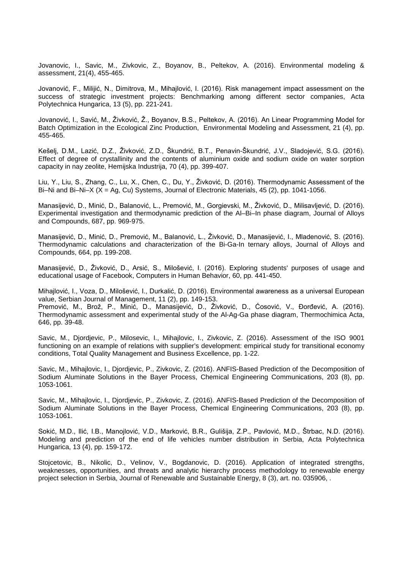Jovanovic, I., Savic, M., Zivkovic, Z., Boyanov, B., Peltekov, A. (2016). Environmental modeling & assessment, 21(4), 455-465.

Jovanović, F., Milijić, N., Dimitrova, M., Mihajlović, I. (2016). Risk management impact assessment on the success of strategic investment projects: Benchmarking among different sector companies, Acta Polytechnica Hungarica, 13 (5), pp. 221-241.

Jovanović, I., Savić, M., Živković, Ž., Boyanov, B.S., Peltekov, A. (2016). An Linear Programming Model for Batch Optimization in the Ecological Zinc Production, Environmental Modeling and Assessment, 21 (4), pp. 455-465.

Kešelj, D.M., Lazić, D.Z., Živković, Z.D., Škundrić, B.T., Penavin-Škundrić, J.V., Sladojević, S.G. (2016). Effect of degree of crystallinity and the contents of aluminium oxide and sodium oxide on water sorption capacity in nay zeolite, Hemijska Industrija, 70 (4), pp. 399-407.

Liu, Y., Liu, S., Zhang, C., Lu, X., Chen, C., Du, Y., Živković, D. (2016). Thermodynamic Assessment of the Bi–Ni and Bi–Ni–X (X = Ag, Cu) Systems, Journal of Electronic Materials, 45 (2), pp. 1041-1056.

Manasijević, D., Minić, D., Balanović, L., Premović, M., Gorgievski, M., Živković, D., Milisavljević, D. (2016). Experimental investigation and thermodynamic prediction of the Al–Bi–In phase diagram, Journal of Alloys and Compounds, 687, pp. 969-975.

Manasijević, D., Minić, D., Premović, M., Balanović, L., Živković, D., Manasijević, I., Mladenović, S. (2016). Thermodynamic calculations and characterization of the Bi-Ga-In ternary alloys, Journal of Alloys and Compounds, 664, pp. 199-208.

Manasijević, D., Živković, D., Arsić, S., Milošević, I. (2016). Exploring students' purposes of usage and educational usage of Facebook, Computers in Human Behavior, 60, pp. 441-450.

Mihajlović, I., Voza, D., Milošević, I., Durkalić, D. (2016). Environmental awareness as a universal European value, Serbian Journal of Management, 11 (2), pp. 149-153.

Premović, M., Brož, P., Minić, D., Manasijević, D., Živković, D., Ćosović, V., Đorđević, A. (2016). Thermodynamic assessment and experimental study of the Al-Ag-Ga phase diagram, Thermochimica Acta, 646, pp. 39-48.

Savic, M., Djordjevic, P., Milosevic, I., Mihajlovic, I., Zivkovic, Z. (2016). Assessment of the ISO 9001 functioning on an example of relations with supplier's development: empirical study for transitional economy conditions, Total Quality Management and Business Excellence, pp. 1-22.

Savic, M., Mihajlovic, I., Djordjevic, P., Zivkovic, Z. (2016). ANFIS-Based Prediction of the Decomposition of Sodium Aluminate Solutions in the Bayer Process, Chemical Engineering Communications, 203 (8), pp. 1053-1061.

Savic, M., Mihajlovic, I., Djordjevic, P., Zivkovic, Z. (2016). ANFIS-Based Prediction of the Decomposition of Sodium Aluminate Solutions in the Bayer Process, Chemical Engineering Communications, 203 (8), pp. 1053-1061.

Sokić, M.D., Ilić, I.B., Manojlović, V.D., Marković, B.R., Gulišija, Z.P., Pavlović, M.D., Štrbac, N.D. (2016). Modeling and prediction of the end of life vehicles number distribution in Serbia, Acta Polytechnica Hungarica, 13 (4), pp. 159-172.

Stojcetovic, B., Nikolic, D., Velinov, V., Bogdanovic, D. (2016). Application of integrated strengths, weaknesses, opportunities, and threats and analytic hierarchy process methodology to renewable energy project selection in Serbia, Journal of Renewable and Sustainable Energy, 8 (3), art. no. 035906, .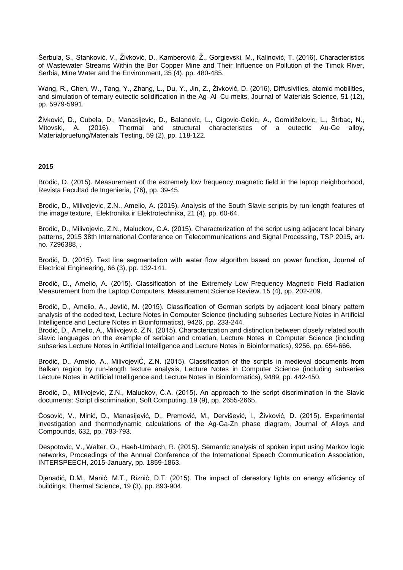Šerbula, S., Stanković, V., Živković, D., Kamberović, Ž., Gorgievski, M., Kalinović, T. (2016). Characteristics of Wastewater Streams Within the Bor Copper Mine and Their Influence on Pollution of the Timok River, Serbia, Mine Water and the Environment, 35 (4), pp. 480-485.

Wang, R., Chen, W., Tang, Y., Zhang, L., Du, Y., Jin, Z., Živković, D. (2016). Diffusivities, atomic mobilities, and simulation of ternary eutectic solidification in the Ag–Al–Cu melts, Journal of Materials Science, 51 (12), pp. 5979-5991.

Živković, D., Cubela, D., Manasijevic, D., Balanovic, L., Gigovic-Gekic, A., Gomidželovic, L., Štrbac, N., Mitovski, A. (2016). Thermal and structural characteristics of a eutectic Au-Ge alloy, Materialpruefung/Materials Testing, 59 (2), pp. 118-122.

# **2015**

Brodic, D. (2015). Measurement of the extremely low frequency magnetic field in the laptop neighborhood, Revista Facultad de Ingenieria, (76), pp. 39-45.

Brodic, D., Milivojevic, Z.N., Amelio, A. (2015). Analysis of the South Slavic scripts by run-length features of the image texture, Elektronika ir Elektrotechnika, 21 (4), pp. 60-64.

Brodic, D., Milivojevic, Z.N., Maluckov, C.A. (2015). Characterization of the script using adjacent local binary patterns, 2015 38th International Conference on Telecommunications and Signal Processing, TSP 2015, art. no. 7296388, .

Brodić, D. (2015). Text line segmentation with water flow algorithm based on power function, Journal of Electrical Engineering, 66 (3), pp. 132-141.

Brodić, D., Amelio, A. (2015). Classification of the Extremely Low Frequency Magnetic Field Radiation Measurement from the Laptop Computers, Measurement Science Review, 15 (4), pp. 202-209.

Brodić, D., Amelio, A., Jevtić, M. (2015). Classification of German scripts by adjacent local binary pattern analysis of the coded text, Lecture Notes in Computer Science (including subseries Lecture Notes in Artificial Intelligence and Lecture Notes in Bioinformatics), 9426, pp. 233-244.

Brodić, D., Amelio, A., Milivojević, Z.N. (2015). Characterization and distinction between closely related south slavic languages on the example of serbian and croatian, Lecture Notes in Computer Science (including subseries Lecture Notes in Artificial Intelligence and Lecture Notes in Bioinformatics), 9256, pp. 654-666.

Brodić, D., Amelio, A., MilivojeviĆ, Z.N. (2015). Classification of the scripts in medieval documents from Balkan region by run-length texture analysis, Lecture Notes in Computer Science (including subseries Lecture Notes in Artificial Intelligence and Lecture Notes in Bioinformatics), 9489, pp. 442-450.

Brodić, D., Milivojević, Z.N., Maluckov, Č.A. (2015). An approach to the script discrimination in the Slavic documents: Script discrimination, Soft Computing, 19 (9), pp. 2655-2665.

Ćosović, V., Minić, D., Manasijević, D., Premović, M., Dervišević, I., Živković, D. (2015). Experimental investigation and thermodynamic calculations of the Ag-Ga-Zn phase diagram, Journal of Alloys and Compounds, 632, pp. 783-793.

Despotovic, V., Walter, O., Haeb-Umbach, R. (2015). Semantic analysis of spoken input using Markov logic networks, Proceedings of the Annual Conference of the International Speech Communication Association, INTERSPEECH, 2015-January, pp. 1859-1863.

Djenadić, D.M., Manić, M.T., Riznić, D.T. (2015). The impact of clerestory lights on energy efficiency of buildings, Thermal Science, 19 (3), pp. 893-904.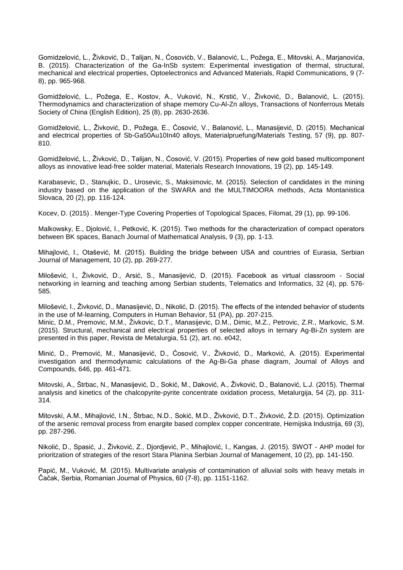Gomidzelović, L., Živković, D., Talijan, N., Ćosovićb, V., Balanović, L., Požega, E., Mitovski, A., Marjanovića, B. (2015). Characterization of the Ga-InSb system: Experimental investigation of thermal, structural, mechanical and electrical properties, Optoelectronics and Advanced Materials, Rapid Communications, 9 (7- 8), pp. 965-968.

Gomidželović, L., Požega, E., Kostov, A., Vuković, N., Krstić, V., Živković, D., Balanović, L. (2015). Thermodynamics and characterization of shape memory Cu-Al-Zn alloys, Transactions of Nonferrous Metals Society of China (English Edition), 25 (8), pp. 2630-2636.

Gomidželović, L., Živković, D., Požega, E., Ćosović, V., Balanović, L., Manasijević, D. (2015). Mechanical and electrical properties of Sb-Ga50Au10In40 alloys, Materialpruefung/Materials Testing, 57 (9), pp. 807- 810.

Gomidželović, L., Živković, D., Talijan, N., Ćosović, V. (2015). Properties of new gold based multicomponent alloys as innovative lead-free solder material, Materials Research Innovations, 19 (2), pp. 145-149.

Karabasevic, D., Stanujkic, D., Urosevic, S., Maksimovic, M. (2015). Selection of candidates in the mining industry based on the application of the SWARA and the MULTIMOORA methods, Acta Montanistica Slovaca, 20 (2), pp. 116-124.

Kocev, D. (2015) . Menger-Type Covering Properties of Topological Spaces, Filomat, 29 (1), pp. 99-106.

Malkowsky, E., Djolović, I., Petković, K. (2015). Two methods for the characterization of compact operators between BK spaces, Banach Journal of Mathematical Analysis, 9 (3), pp. 1-13.

Mihajlović, I., Otašević, M. (2015). Building the bridge between USA and countries of Eurasia, Serbian Journal of Management, 10 (2), pp. 269-277.

Milošević, I., Živković, D., Arsić, S., Manasijević, D. (2015). Facebook as virtual classroom - Social networking in learning and teaching among Serbian students, Telematics and Informatics, 32 (4), pp. 576- 585.

Milošević, I., Živković, D., Manasijević, D., Nikolić, D. (2015). The effects of the intended behavior of students in the use of M-learning, Computers in Human Behavior, 51 (PA), pp. 207-215.

Minic, D.M., Premovic, M.M., Živkovic, D.T., Manasijevic, D.M., Dimic, M.Z., Petrovic, Z.R., Markovic, S.M. (2015). Structural, mechanical and electrical properties of selected alloys in ternary Ag-Bi-Zn system are presented in this paper, Revista de Metalurgia, 51 (2), art. no. e042,

Minić, D., Premović, M., Manasijević, D., Ćosović, V., Živković, D., Marković, A. (2015). Experimental investigation and thermodynamic calculations of the Ag-Bi-Ga phase diagram, Journal of Alloys and Compounds, 646, pp. 461-471.

Mitovski, A., Štrbac, N., Manasijević, D., Sokić, M., Daković, A., Živković, D., Balanović, L.J. (2015). Thermal analysis and kinetics of the chalcopyrite-pyrite concentrate oxidation process, Metalurgija, 54 (2), pp. 311- 314.

Mitovski, A.M., Mihajlović, I.N., Štrbac, N.D., Sokić, M.D., Živković, D.T., Živković, Ž.D. (2015). Optimization of the arsenic removal process from enargite based complex copper concentrate, Hemijska Industrija, 69 (3), pp. 287-296.

Nikolić, D., Spasić, J., Živković, Z., Djordjević, P., Mihajlović, I., Kangas, J. (2015). SWOT - AHP model for prioritzation of strategies of the resort Stara Planina Serbian Journal of Management, 10 (2), pp. 141-150.

Papić, M., Vuković, M. (2015). Multivariate analysis of contamination of alluvial soils with heavy metals in Čačak, Serbia, Romanian Journal of Physics, 60 (7-8), pp. 1151-1162.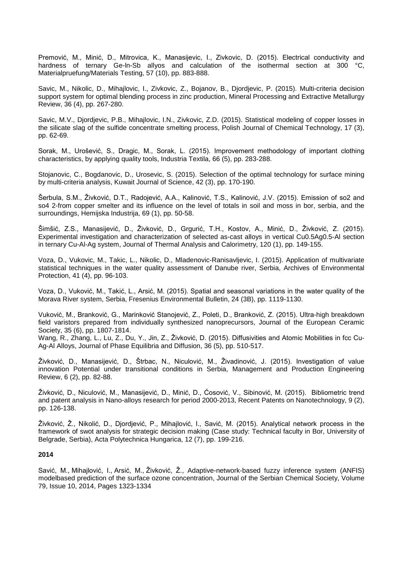Premović, M., Minić, D., Mitrovica, K., Manasijevic, I., Zivkovic, D. (2015). Electrical conductivity and hardness of ternary Ge-In-Sb allyos and calculation of the isothermal section at 300 °C, Materialpruefung/Materials Testing, 57 (10), pp. 883-888.

Savic, M., Nikolic, D., Mihajlovic, I., Zivkovic, Z., Bojanov, B., Djordjevic, P. (2015). Multi-criteria decision support system for optimal blending process in zinc production, Mineral Processing and Extractive Metallurgy Review, 36 (4), pp. 267-280.

Savic, M.V., Djordjevic, P.B., Mihajlovic, I.N., Zivkovic, Z.D. (2015). Statistical modeling of copper losses in the silicate slag of the sulfide concentrate smelting process, Polish Journal of Chemical Technology, 17 (3), pp. 62-69.

Sorak, M., Urošević, S., Dragic, M., Sorak, L. (2015). Improvement methodology of important clothing characteristics, by applying quality tools, Industria Textila, 66 (5), pp. 283-288.

Stojanovic, C., Bogdanovic, D., Urosevic, S. (2015). Selection of the optimal technology for surface mining by multi-criteria analysis, Kuwait Journal of Science, 42 (3), pp. 170-190.

Šerbula, S.M., Živković, D.T., Radojević, A.A., Kalinović, T.S., Kalinović, J.V. (2015). Emission of so2 and so4 2-from copper smelter and its influence on the level of totals in soil and moss in bor, serbia, and the surroundings, Hemijska Industrija, 69 (1), pp. 50-58.

Šimšić, Z.S., Manasijević, D., Živković, D., Grgurić, T.H., Kostov, A., Minić, D., Živković, Z. (2015). Experimental investigation and characterization of selected as-cast alloys in vertical Cu0.5Ag0.5-Al section in ternary Cu-Al-Ag system, Journal of Thermal Analysis and Calorimetry, 120 (1), pp. 149-155.

Voza, D., Vukovic, M., Takic, L., Nikolic, D., Mladenovic-Ranisavljevic, I. (2015). Application of multivariate statistical techniques in the water quality assessment of Danube river, Serbia, Archives of Environmental Protection, 41 (4), pp. 96-103.

Voza, D., Vuković, M., Takić, L., Arsić, M. (2015). Spatial and seasonal variations in the water quality of the Morava River system, Serbia, Fresenius Environmental Bulletin, 24 (3B), pp. 1119-1130.

Vuković, M., Branković, G., Marinković Stanojević, Z., Poleti, D., Branković, Z. (2015). Ultra-high breakdown field varistors prepared from individually synthesized nanoprecursors, Journal of the European Ceramic Society, 35 (6), pp. 1807-1814.

Wang, R., Zhang, L., Lu, Z., Du, Y., Jin, Z., Živković, D. (2015). Diffusivities and Atomic Mobilities in fcc Cu-Ag-Al Alloys, Journal of Phase Equilibria and Diffusion, 36 (5), pp. 510-517.

Živković, D., Manasijević, D., Štrbac, N., Niculović, M., Živadinović, J. (2015). Investigation of value innovation Potential under transitional conditions in Serbia, Management and Production Engineering Review, 6 (2), pp. 82-88.

Živković, D., Niculović, M., Manasijević, D., Minić, D., Ćosović, V., Sibinović, M. (2015). Bibliometric trend and patent analysis in Nano-alloys research for period 2000-2013, Recent Patents on Nanotechnology, 9 (2), pp. 126-138.

Živković, Ž., Nikolić, D., Djordjević, P., Mihajlović, I., Savić, M. (2015). Analytical network process in the framework of swot analysis for strategic decision making (Case study: Technical faculty in Bor, University of Belgrade, Serbia), Acta Polytechnica Hungarica, 12 (7), pp. 199-216.

# **2014**

[Savić, M.](http://www.scopus.com/authid/detail.url?authorId=36106405800&eid=2-s2.0-84920775547), [Mihajlović, I.](http://www.scopus.com/authid/detail.url?authorId=55915574200&eid=2-s2.0-84920775547), [Arsić, M.](http://www.scopus.com/authid/detail.url?authorId=49661032900&eid=2-s2.0-84920775547), [Živković, Ž.](http://www.scopus.com/authid/detail.url?authorId=7006208145&eid=2-s2.0-84920775547), Adaptive-network-based fuzzy inference system (ANFIS) modelbased prediction of the surface ozone concentration, [Journal of the Serbian Chemical Society,](http://www.scopus.com/source/sourceInfo.url?sourceId=21535&origin=recordpage) Volume 79, Issue 10, 2014, Pages 1323-1334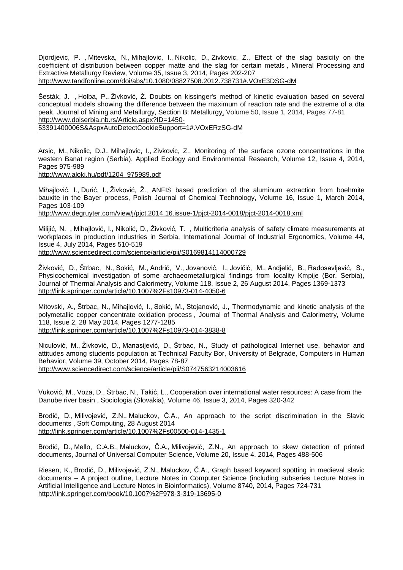[Djordjevic, P.](http://www.scopus.com/authid/detail.url?authorId=7003710951&eid=2-s2.0-84896713514) [,](mailto:pdjordjevic@tf.bor.ac.rs) [Mitevska, N.,](http://www.scopus.com/authid/detail.url?authorId=6506848230&eid=2-s2.0-84896713514) Mihajlovic, I., [Nikolic, D.,](http://www.scopus.com/authid/detail.url?authorId=7005493850&eid=2-s2.0-84896713514) [Zivkovic, Z.,](http://www.scopus.com/authid/detail.url?authorId=7006208145&eid=2-s2.0-84896713514) Effect of the slag basicity on the coefficient of distribution between copper matte and the slag for certain metals , [Mineral Processing and](http://www.scopus.com/source/sourceInfo.url?sourceId=27804&origin=recordpage)  [Extractive Metallurgy Review,](http://www.scopus.com/source/sourceInfo.url?sourceId=27804&origin=recordpage) Volume 35, Issue 3, 2014, Pages 202-207 [http://www.tandfonline.com/doi/abs/10.1080/08827508.2012.738731#.VOxE3DSG-dM](http://www.tandfonline.com/doi/abs/10.1080/08827508.2012.738731%23.VOxE3DSG-dM)

[Šesták, J.](http://www.scopus.com/authid/detail.url?authorId=56247858500&eid=2-s2.0-84897473667) , [Holba, P.,](http://www.scopus.com/authid/detail.url?authorId=24351892100&eid=2-s2.0-84897473667) [Živković, Ž.](http://www.scopus.com/authid/detail.url?authorId=7006208145&eid=2-s2.0-84897473667) Doubts on kissinger's method of kinetic evaluation based on several conceptual models showing the difference between the maximum of reaction rate and the extreme of a dta peak, [Journal of Mining and Metallurgy, Section B: Metallurgy,](http://www.scopus.com/source/sourceInfo.url?sourceId=8000153127&origin=recordpage) Volume 50, Issue 1, 2014, Pages 77-81 [http://www.doiserbia.nb.rs/Article.aspx?ID=1450-](http://www.doiserbia.nb.rs/Article.aspx?ID=1450-53391400006S&AspxAutoDetectCookieSupport=1%23.VOxERzSG-dM) [53391400006S&AspxAutoDetectCookieSupport=1#.VOxERzSG-dM](http://www.doiserbia.nb.rs/Article.aspx?ID=1450-53391400006S&AspxAutoDetectCookieSupport=1%23.VOxERzSG-dM)

[Arsic, M.,](http://www.scopus.com/authid/detail.url?authorId=49661032900&eid=2-s2.0-84906826765) [Nikolic, D.J.,](http://www.scopus.com/authid/detail.url?authorId=7005493850&eid=2-s2.0-84906826765) [Mihajlovic, I.,](http://www.scopus.com/authid/detail.url?authorId=55915574200&eid=2-s2.0-84906826765) [Zivkovic, Z.,](http://www.scopus.com/authid/detail.url?authorId=7006208145&eid=2-s2.0-84906826765) Monitoring of the surface ozone concentrations in the western Banat region (Serbia), [Applied Ecology and Environmental Research,](http://www.scopus.com/source/sourceInfo.url?sourceId=100147015&origin=recordpage) Volume 12, Issue 4, 2014, Pages 975-989 [http://www.aloki.hu/pdf/1204\\_975989.pdf](http://www.aloki.hu/pdf/1204_975989.pdf)

[Mihajlović, I.](http://www.scopus.com/authid/detail.url?authorId=55915574200&eid=2-s2.0-84898621749), [Durić, I.](http://www.scopus.com/authid/detail.url?authorId=55382647500&eid=2-s2.0-84898621749), [Živković, Ž.](http://www.scopus.com/authid/detail.url?authorId=7006208145&eid=2-s2.0-84898621749), ANFIS based prediction of the aluminum extraction from boehmite bauxite in the Bayer process, [Polish Journal of Chemical Technology,](http://www.scopus.com/source/sourceInfo.url?sourceId=17900156728&origin=recordpage) Volume 16, Issue 1, March 2014, Pages 103-109

http://www.degruyter.com/view/j/pjct.2014.16.issue-1/pjct-2014-0018/pjct-2014-0018.xml

[Milijić, N.](http://www.scopus.com/authid/detail.url?authorId=55991423200&eid=2-s2.0-84902171270) [,](mailto:nmilijic@tf.bor.ac.rs) [Mihajlović, I.](http://www.scopus.com/authid/detail.url?authorId=55915574200&eid=2-s2.0-84902171270), [Nikolić, D.](http://www.scopus.com/authid/detail.url?authorId=7005493850&eid=2-s2.0-84902171270), [Živković, T.](http://www.scopus.com/authid/detail.url?authorId=7006208145&eid=2-s2.0-84902171270) [,](http://www.scopus.com/record/display.url?eid=2-s2.0-84902171270&origin=resultslist&sort=plf-f&src=s&sid=0186D129AC17AE16104D41EEB7FF2701.aqHV0EoE4xlIF3hgVWgA%3a80&sot=autdocs&sdt=autdocs&sl=17&s=AU-ID%287006208145%29&relpos=4&relpos=4&citeCnt=0&searchTerm=%23corrAuthorFooter) Multicriteria analysis of safety climate measurements at workplaces in production industries in Serbia, [International Journal of Industrial Ergonomics,](http://www.scopus.com/source/sourceInfo.url?sourceId=12385&origin=recordpage) Volume 44, Issue 4, July 2014, Pages 510-519

<http://www.sciencedirect.com/science/article/pii/S0169814114000729>

[Živković, D.](http://www.scopus.com/authid/detail.url?authorId=56101982300&eid=2-s2.0-84910109727), [Štrbac, N.,](http://www.scopus.com/authid/detail.url?authorId=6508104423&eid=2-s2.0-84910109727) [Sokić, M.](http://www.scopus.com/authid/detail.url?authorId=6602801974&eid=2-s2.0-84910109727), [Andrić, V.](http://www.scopus.com/authid/detail.url?authorId=16302857600&eid=2-s2.0-84910109727), [Jovanović, I.](http://www.scopus.com/authid/detail.url?authorId=56334971000&eid=2-s2.0-84910109727), [Jovičić, M.](http://www.scopus.com/authid/detail.url?authorId=56335096600&eid=2-s2.0-84910109727), [Andjelić, B.](http://www.scopus.com/authid/detail.url?authorId=36132793700&eid=2-s2.0-84910109727), [Radosavljević, S.](http://www.scopus.com/authid/detail.url?authorId=6603448500&eid=2-s2.0-84910109727), Physicochemical investigation of some archaeometallurgical findings from locality Kmpije (Bor, Serbia), [Journal of Thermal Analysis and Calorimetry,](http://www.scopus.com/source/sourceInfo.url?sourceId=26983&origin=recordpage) Volume 118, Issue 2, 26 August 2014, Pages 1369-1373 <http://link.springer.com/article/10.1007%2Fs10973-014-4050-6>

[Mitovski, A.,](http://www.scopus.com/authid/detail.url?authorId=22981188400&eid=2-s2.0-84911992147) [Štrbac, N.,](http://www.scopus.com/authid/detail.url?authorId=6508104423&eid=2-s2.0-84911992147) [Mihajlović, I.](http://www.scopus.com/authid/detail.url?authorId=55915574200&eid=2-s2.0-84911992147), [Sokić, M.](http://www.scopus.com/authid/detail.url?authorId=6602801974&eid=2-s2.0-84911992147), [Stojanović, J.](http://www.scopus.com/authid/detail.url?authorId=6701608202&eid=2-s2.0-84911992147), Thermodynamic and kinetic analysis of the polymetallic copper concentrate oxidation process , [Journal of Thermal Analysis and Calorimetry,](http://www.scopus.com/source/sourceInfo.url?sourceId=26983&origin=recordpage) Volume 118, Issue 2, 28 May 2014, Pages 1277-1285 <http://link.springer.com/article/10.1007%2Fs10973-014-3838-8>

[Niculović, M.](http://www.scopus.com/authid/detail.url?authorId=55110464900&eid=2-s2.0-84904906058), [Živković, D.](http://www.scopus.com/authid/detail.url?authorId=56101982300&eid=2-s2.0-84904906058), [Manasijević, D.](http://www.scopus.com/authid/detail.url?authorId=6506156797&eid=2-s2.0-84904906058), [Štrbac, N.,](http://www.scopus.com/authid/detail.url?authorId=6508104423&eid=2-s2.0-84904906058) Study of pathological Internet use, behavior and attitudes among students population at Technical Faculty Bor, University of Belgrade, [Computers in Human](http://www.scopus.com/source/sourceInfo.url?sourceId=19419&origin=recordpage)  [Behavior,](http://www.scopus.com/source/sourceInfo.url?sourceId=19419&origin=recordpage) Volume 39, October 2014, Pages 78-87 <http://www.sciencedirect.com/science/article/pii/S0747563214003616>

[Vuković, M.](http://www.scopus.com/authid/detail.url?authorId=7003907319&eid=2-s2.0-84902974691), [Voza, D.,](http://www.scopus.com/authid/detail.url?authorId=56224467200&eid=2-s2.0-84902974691) [Štrbac, N.,](http://www.scopus.com/authid/detail.url?authorId=6508104423&eid=2-s2.0-84902974691) [Takić, L.](http://www.scopus.com/authid/detail.url?authorId=16176611700&eid=2-s2.0-84902974691), Cooperation over international water resources: A case from the Danube river basin , [Sociologia \(Slovakia\),](http://www.scopus.com/source/sourceInfo.url?sourceId=18032&origin=recordpage) Volume 46, Issue 3, 2014, Pages 320-342

[Brodić, D.](http://www.scopus.com/authid/detail.url?authorId=35726542400&eid=2-s2.0-84906423523), [Milivojević, Z.N.](http://www.scopus.com/authid/detail.url?authorId=35727080400&eid=2-s2.0-84906423523), [Maluckov, Č.A.](http://www.scopus.com/authid/detail.url?authorId=56490782200&eid=2-s2.0-84906423523), An approach to the script discrimination in the Slavic documents , [Soft Computing,](http://www.scopus.com/source/sourceInfo.url?sourceId=28554&origin=recordpage) 28 August 2014 <http://link.springer.com/article/10.1007%2Fs00500-014-1435-1>

[Brodić, D.](http://www.scopus.com/authid/detail.url?authorId=35726542400&eid=2-s2.0-84903783570), [Mello, C.A.B.,](http://www.scopus.com/authid/detail.url?authorId=55751744594&eid=2-s2.0-84903783570) [Maluckov, Č.A.](http://www.scopus.com/authid/detail.url?authorId=11240797600&eid=2-s2.0-84903783570), [Milivojević, Z.N.](http://www.scopus.com/authid/detail.url?authorId=35727080400&eid=2-s2.0-84903783570), An approach to skew detection of printed documents, [Journal of Universal Computer Science,](http://www.scopus.com/source/sourceInfo.url?sourceId=145537&origin=recordpage) Volume 20, Issue 4, 2014, Pages 488-506

[Riesen, K.,](http://www.scopus.com/authid/detail.url?authorId=23091941700&eid=2-s2.0-84911946485) [Brodić, D.](http://www.scopus.com/authid/detail.url?authorId=35726542400&eid=2-s2.0-84911946485), [Milivojević, Z.N.](http://www.scopus.com/authid/detail.url?authorId=35727080400&eid=2-s2.0-84911946485), [Maluckov, Č.A.](http://www.scopus.com/authid/detail.url?authorId=11240797600&eid=2-s2.0-84911946485), Graph based keyword spotting in medieval slavic documents – A project outline, [Lecture Notes in Computer Science \(including subseries Lecture Notes in](http://www.scopus.com/source/sourceInfo.url?sourceId=25674&origin=recordpage)  [Artificial Intelligence and Lecture Notes in Bioinformatics\),](http://www.scopus.com/source/sourceInfo.url?sourceId=25674&origin=recordpage) Volume 8740, 2014, Pages 724-731 <http://link.springer.com/book/10.1007%2F978-3-319-13695-0>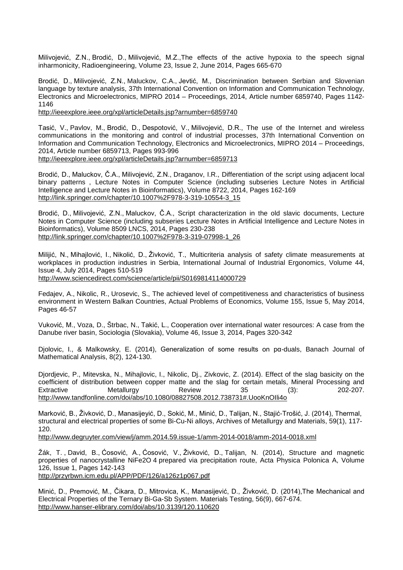[Milivojević, Z.N.](http://www.scopus.com/authid/detail.url?authorId=35727080400&eid=2-s2.0-84902331348), [Brodić, D.](http://www.scopus.com/authid/detail.url?authorId=35726542400&eid=2-s2.0-84902331348), [Milivojević, M.Z.](http://www.scopus.com/authid/detail.url?authorId=55342523700&eid=2-s2.0-84902331348),The effects of the active hypoxia to the speech signal inharmonicity, [Radioengineering,](http://www.scopus.com/source/sourceInfo.url?sourceId=17500155108&origin=recordpage) Volume 23, Issue 2, June 2014, Pages 665-670

[Brodić, D.](http://www.scopus.com/authid/detail.url?authorId=35726542400&eid=2-s2.0-84906920736), [Milivojević, Z.N.](http://www.scopus.com/authid/detail.url?authorId=35727080400&eid=2-s2.0-84906920736), [Maluckov, C.A.,](http://www.scopus.com/authid/detail.url?authorId=11240797600&eid=2-s2.0-84906920736) [Jevtić, M.](http://www.scopus.com/authid/detail.url?authorId=56349097200&eid=2-s2.0-84906920736), Discrimination between Serbian and Slovenian language by texture analysis, 37th International Convention on Information and Communication Technology, Electronics and Microelectronics, MIPRO 2014 – Proceedings, 2014, Article number 6859740, Pages 1142- 1146

<http://ieeexplore.ieee.org/xpl/articleDetails.jsp?arnumber=6859740>

[Tasić, V.](http://www.scopus.com/authid/detail.url?authorId=26657064800&eid=2-s2.0-84906895389), [Pavlov, M.,](http://www.scopus.com/authid/detail.url?authorId=7006751482&eid=2-s2.0-84906895389) [Brodić, D.](http://www.scopus.com/authid/detail.url?authorId=35726542400&eid=2-s2.0-84906895389), [Despotović, V.](http://www.scopus.com/authid/detail.url?authorId=35572969800&eid=2-s2.0-84906895389), [Milivojević, D.R.](http://www.scopus.com/authid/detail.url?authorId=35574251600&eid=2-s2.0-84906895389), The use of the Internet and wireless communications in the monitoring and control of industrial processes, 37th International Convention on Information and Communication Technology, Electronics and Microelectronics, MIPRO 2014 – Proceedings, 2014, Article number 6859713, Pages 993-996 <http://ieeexplore.ieee.org/xpl/articleDetails.jsp?arnumber=6859713>

Br[odić, D.](http://www.scopus.com/authid/detail.url?authorId=35726542400&eid=2-s2.0-84921762872), [Maluckov, Č.A.](http://www.scopus.com/authid/detail.url?authorId=11240797600&eid=2-s2.0-84921762872), [Milivojević, Z.N.](http://www.scopus.com/authid/detail.url?authorId=35727080400&eid=2-s2.0-84921762872), [Draganov, I.R.,](http://www.scopus.com/authid/detail.url?authorId=26667703400&eid=2-s2.0-84921762872) Differentiation of the script using adjacent local binary patterns , [Lecture Notes in Computer Science \(including subseries Lecture Notes in Artificial](http://www.scopus.com/source/sourceInfo.url?sourceId=25674&origin=recordpage)  [Intelligence and Lecture Notes in Bioinformatics\),](http://www.scopus.com/source/sourceInfo.url?sourceId=25674&origin=recordpage) Volume 8722, 2014, Pages 162-169 [http://link.springer.com/chapter/10.1007%2F978-3-319-10554-3\\_15](http://link.springer.com/chapter/10.1007%2F978-3-319-10554-3_15)

[Brodić, D.](http://www.scopus.com/authid/detail.url?authorId=35726542400&eid=2-s2.0-84903555124), [Milivojević, Z.N.](http://www.scopus.com/authid/detail.url?authorId=35727080400&eid=2-s2.0-84903555124), [Maluckov, Č.A.](http://www.scopus.com/authid/detail.url?authorId=56490782200&eid=2-s2.0-84903555124), Script characterization in the old slavic documents, [Lecture](http://www.scopus.com/source/sourceInfo.url?sourceId=25674&origin=recordpage)  [Notes in Computer Science \(including subseries Lecture Notes in Artificial Intelligence and Lecture Notes in](http://www.scopus.com/source/sourceInfo.url?sourceId=25674&origin=recordpage)  [Bioinformatics\),](http://www.scopus.com/source/sourceInfo.url?sourceId=25674&origin=recordpage) Volume 8509 LNCS, 2014, Pages 230-238 [http://link.springer.com/chapter/10.1007%2F978-3-319-07998-1\\_26](http://link.springer.com/chapter/10.1007%2F978-3-319-07998-1_26)

[Milijić, N.](http://www.scopus.com/authid/detail.url?authorId=55991423200&eid=2-s2.0-84902171270), [Mihajlović, I.](http://www.scopus.com/authid/detail.url?authorId=55915574200&eid=2-s2.0-84902171270), [Nikolić, D.](http://www.scopus.com/authid/detail.url?authorId=7005493850&eid=2-s2.0-84902171270), [Živković, T.](http://www.scopus.com/authid/detail.url?authorId=7006208145&eid=2-s2.0-84902171270), Multicriteria analysis of safety climate measurements at workplaces in production industries in Serbia, [International Journal of Industrial Ergonomics,](http://www.scopus.com/source/sourceInfo.url?sourceId=12385&origin=recordpage) Volume 44, Issue 4, July 2014, Pages 510-519

<http://www.sciencedirect.com/science/article/pii/S0169814114000729>

[Fedajev, A.,](http://www.scopus.com/authid/detail.url?authorId=44060987800&eid=2-s2.0-84906079298) [Nikolic, R.,](http://www.scopus.com/authid/detail.url?authorId=56328092300&eid=2-s2.0-84906079298) [Urosevic, S.,](http://www.scopus.com/authid/detail.url?authorId=55229215400&eid=2-s2.0-84906079298) The achieved level of competitiveness and characteristics of business environment in Western Balkan Countries, [Actual Problems of Economics,](http://www.scopus.com/source/sourceInfo.url?sourceId=19700167903&origin=recordpage) Volume 155, Issue 5, May 2014, Pages 46-57

[Vuković, M.](http://www.scopus.com/authid/detail.url?authorId=7003907319&eid=2-s2.0-84902974691), [Voza, D.,](http://www.scopus.com/authid/detail.url?authorId=56224467200&eid=2-s2.0-84902974691) [Štrbac, N.,](http://www.scopus.com/authid/detail.url?authorId=6508104423&eid=2-s2.0-84902974691) [Takić, L.](http://www.scopus.com/authid/detail.url?authorId=16176611700&eid=2-s2.0-84902974691), Cooperation over international water resources: A case from the Danube river basin, [Sociologia \(Slovakia\),](http://www.scopus.com/source/sourceInfo.url?sourceId=18032&origin=recordpage) Volume 46, Issue 3, 2014, Pages 320-342

Djolovic, I., & Malkowsky, E. (2014), Generalization of some results on pα-duals, Banach Journal of Mathematical Analysis, 8(2), 124-130.

Djordjevic, P., Mitevska, N., Mihajlovic, I., Nikolic, Dj., Zivkovic, Z. (2014). Effect of the slag basicity on the coefficient of distribution between copper matte and the slag for certain metals, Mineral Processing and Extractive Metallurgy Review 35 (3): 202-207. [http://www.tandfonline.com/doi/abs/10.1080/08827508.2012.738731#.UooKnOIli4o](http://www.tandfonline.com/doi/abs/10.1080/08827508.2012.738731%23.UooKnOIli4o)

Marković, B., Živković, D., Manasijeyić, D., Sokić, M., Minić, D., Talijan, N., Stajić-Trošić, J. (2014), Thermal, structural and electrical properties of some Bi-Cu-Ni alloys, Archives of Metallurgy and Materials, 59(1), 117- 120.

<http://www.degruyter.com/view/j/amm.2014.59.issue-1/amm-2014-0018/amm-2014-0018.xml>

[Žák, T.](http://www.scopus.com/authid/detail.url?authorId=24484327700&eid=2-s2.0-84902186209) [,](http://www.scopus.com/authid/detail.url?authorId=24484327700&eid=2-s2.0-84902186209) [David, B.,](http://www.scopus.com/authid/detail.url?authorId=13410091300&eid=2-s2.0-84902186209) [Ćosović, A.](http://www.scopus.com/authid/detail.url?authorId=55321907200&eid=2-s2.0-84902186209), [Ćosović, V.](http://www.scopus.com/authid/detail.url?authorId=8692406800&eid=2-s2.0-84902186209), [Živković, D.](http://www.scopus.com/authid/detail.url?authorId=56101982300&eid=2-s2.0-84902186209), [Talijan, N.](http://www.scopus.com/authid/detail.url?authorId=8692407100&eid=2-s2.0-84902186209) (2014), Structure and magnetic properties of nanocrystalline NiFe2O 4 prepared via precipitation route, [Acta Physica Polonica A,](http://www.scopus.com/source/sourceInfo.url?sourceId=26936&origin=recordpage) Volume 126, Issue 1, Pages 142-143

<http://przyrbwn.icm.edu.pl/APP/PDF/126/a126z1p067.pdf>

Minić, D., Premović, M., Čikara, D., Mitrovica, K., Manasijević, D., Živković, D. (2014),The Mechanical and Electrical Properties of the Ternary Bi-Ga-Sb System. Materials Testing, 56(9), 667-674. <http://www.hanser-elibrary.com/doi/abs/10.3139/120.110620>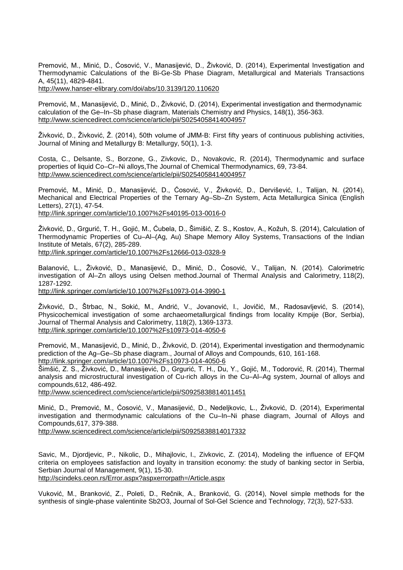Premović, M., Minić, D., Ćosović, V., Manasijević, D., Živković, D. (2014), Experimental Investigation and Thermodynamic Calculations of the Bi-Ge-Sb Phase Diagram, Metallurgical and Materials Transactions A, 45(11), 4829-4841.

<http://www.hanser-elibrary.com/doi/abs/10.3139/120.110620>

Premović, M., Manasijević, D., Minić, D., Živković, D. (2014), Experimental investigation and thermodynamic calculation of the Ge–In–Sb phase diagram, Materials Chemistry and Physics, 148(1), 356-363. <http://www.sciencedirect.com/science/article/pii/S0254058414004957>

Živković, D., Živković, Ž. (2014), 50th volume of JMM-B: First fifty years of continuous publishing activities, Journal of Mining and Metallurgy B: Metallurgy, 50(1), 1-3.

Costa, C., Delsante, S., Borzone, G., Zivkovic, D., Novakovic, R. (2014), Thermodynamic and surface properties of liquid Co–Cr–Ni alloys,The Journal of Chemical Thermodynamics, 69, 73-84. <http://www.sciencedirect.com/science/article/pii/S0254058414004957>

Premović, M., Minić, D., Manasijević, D., Ćosović, V., Živković, D., Dervišević, I., Talijan, N. (2014), Mechanical and Electrical Properties of the Ternary Ag–Sb–Zn System, Acta Metallurgica Sinica (English Letters), 27(1), 47-54.

<http://link.springer.com/article/10.1007%2Fs40195-013-0016-0>

Živković, D., Grgurić, T. H., Gojić, M., Ćubela, D., Šimišić, Z. S., Kostov, A., Kožuh, S. (2014), Calculation of Thermodynamic Properties of Cu–Al–(Ag, Au) Shape Memory Alloy Systems, Transactions of the Indian Institute of Metals, 67(2), 285-289. <http://link.springer.com/article/10.1007%2Fs12666-013-0328-9>

Balanović, L., Živković, D., Manasijević, D., Minić, D., Ćosović, V., Talijan, N. (2014). Calorimetric investigation of Al–Zn alloys using Oelsen method.Journal of Thermal Analysis and Calorimetry, 118(2), 1287-1292.

<http://link.springer.com/article/10.1007%2Fs10973-014-3990-1>

Živković, D., Štrbac, N., Sokić, M., Andrić, V., Jovanović, I., Jovičić, M., Radosavljević, S. (2014), Physicochemical investigation of some archaeometallurgical findings from locality Kmpije (Bor, Serbia), Journal of Thermal Analysis and Calorimetry, 118(2), 1369-1373. <http://link.springer.com/article/10.1007%2Fs10973-014-4050-6>

Premović, M., Manasijević, D., Minić, D., Živković, D. (2014), Experimental investigation and thermodynamic prediction of the Ag–Ge–Sb phase diagram., Journal of Alloys and Compounds, 610, 161-168. http://link.springer.com/article/10.1007%2Fs10973-014-4050-6

Šimšić, Z. S., Živković, D., Manasijević, D., Grgurić, T. H., Du, Y., Gojić, M., Todorović, R. (2014), Thermal analysis and microstructural investigation of Cu-rich alloys in the Cu–Al–Ag system, Journal of alloys and compounds,612, 486-492.

<http://www.sciencedirect.com/science/article/pii/S0925838814011451>

Minić, D., Premović, M., Ćosović, V., Manasijević, D., Nedeljkovic, L., Živković, D. (2014), Experimental investigation and thermodynamic calculations of the Cu–In–Ni phase diagram, Journal of Alloys and Compounds,617, 379-388.

<http://www.sciencedirect.com/science/article/pii/S0925838814017332>

Savic, M., Djordjevic, P., Nikolic, D., Mihajlovic, I., Zivkovic, Z. (2014), Modeling the influence of EFQM criteria on employees satisfaction and loyalty in transition economy: the study of banking sector in Serbia, Serbian Journal of Management, 9(1), 15-30. <http://scindeks.ceon.rs/Error.aspx?aspxerrorpath=/Article.aspx>

Vuković, M., Branković, Z., Poleti, D., Rečnik, A., Branković, G. (2014), Novel simple methods for the synthesis of single-phase valentinite Sb2O3, Journal of Sol-Gel Science and Technology, 72(3), 527-533.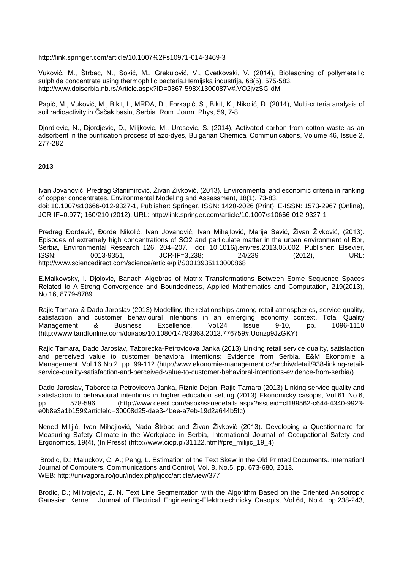<http://link.springer.com/article/10.1007%2Fs10971-014-3469-3>

Vuković, M., Štrbac, N., Sokić, M., Grekulović, V., Cvetkovski, V. (2014), Bioleaching of pollymetallic sulphide concentrate using thermophilic bacteria.Hemijska industrija, 68(5), 575-583. [http://www.doiserbia.nb.rs/Article.aspx?ID=0367-598X1300087V#.VO2jvzSG-dM](http://www.doiserbia.nb.rs/Article.aspx?ID=0367-598X1300087V%23.VO2jvzSG-dM)

Papić, M., Vuković, M., Bikit, I., MRĐA, D., Forkapić, S., Bikit, K., Nikolić, Đ. (2014), Multi-criteria analysis of soil radioactivity in Čačak basin, Serbia. Rom. Journ. Phys, 59, 7-8.

Djordjevic, N., Djordjevic, D., Miljkovic, M., Urosevic, S. (2014), Activated carbon from cotton waste as an adsorbent in the purification process of azo-dyes, [Bulgarian Chemical Communications,](http://www.scopus.com/source/sourceInfo.url?sourceId=19700175454&origin=recordpage) Volume 46, Issue 2, 277-282

# **2013**

Ivan Jovanović, Predrag Stanimirović, Živan Živković, (2013). Environmental and economic criteria in ranking of copper concentrates, Environmental Modeling and Assessment, 18(1), 73-83. doi: 10.1007/s10666-012-9327-1, Publisher: Springer, ISSN: 1420-2026 (Print); E-ISSN: 1573-2967 (Online), JCR-IF=0.977; 160/210 (2012), URL:<http://link.springer.com/article/10.1007/s10666-012-9327-1>

Predrag Đorđević, Đorđe Nikolić, Ivan Jovanović, Ivan Mihajlović, Marija Savić, Živan Živković, (2013). Episodes of extremely high concentrations of SO2 and particulate matter in the urban environment of Bor, Serbia, Environmental Research 126, 204–207. doi: 10.1016/j.envres.2013.05.002, Publisher: Elsevier, ISSN: 0013-9351, JCR-IF=3,238; 24/239 (2012), URL: <http://www.sciencedirect.com/science/article/pii/S0013935113000868>

E.Malkowsky, I. Djolović, Banach Algebras of Matrix Transformations Between Some Sequence Spaces Related to Λ-Strong Convergence and Boundedness, Applied Mathematics and Computation, 219(2013), No.16, 8779-8789

Rajic Tamara & Dado Jaroslav (2013) Modelling the relationships among retail atmospherics, service quality, satisfaction and customer behavioural intentions in an emerging economy context, Total Quality Management & Business Excellence, Vol.24 Issue 9-10, pp. 1096-1110 [\(http://www.tandfonline.com/doi/abs/10.1080/14783363.2013.776759#.Uonzp9JzGKY\)](http://www.tandfonline.com/doi/abs/10.1080/14783363.2013.776759%23.Uonzp9JzGKY)

Rajic Tamara, Dado Jaroslav, Taborecka-Petrovicova Janka (2013) Linking retail service quality, satisfaction and perceived value to customer behavioral intentions: Evidence from Serbia, E&M Ekonomie a Management, Vol.16 No.2, pp. 99-112 [\(http://www.ekonomie-management.cz/archiv/detail/938-linking-retail](http://www.ekonomie-management.cz/archiv/detail/938-linking-retail-service-quality-satisfaction-and-perceived-value-to-customer-behavioral-intentions-evidence-from-serbia/)[service-quality-satisfaction-and-perceived-value-to-customer-behavioral-intentions-evidence-from-serbia/\)](http://www.ekonomie-management.cz/archiv/detail/938-linking-retail-service-quality-satisfaction-and-perceived-value-to-customer-behavioral-intentions-evidence-from-serbia/)

Dado Jaroslav, Taborecka-Petrovicova Janka, Riznic Dejan, Rajic Tamara (2013) Linking service quality and satisfaction to behavioural intentions in higher education setting (2013) Ekonomicky casopis, Vol.61 No.6, pp. 578-596 [\(http://www.ceeol.com/aspx/issuedetails.aspx?issueid=cf189562-c644-4340-9923](http://www.ceeol.com/aspx/issuedetails.aspx?issueid=cf189562-c644-4340-9923-e0b8e3a1b159&articleId=30008d25-dae3-4bee-a7eb-19d2a644b5fc) [e0b8e3a1b159&articleId=30008d25-dae3-4bee-a7eb-19d2a644b5fc\)](http://www.ceeol.com/aspx/issuedetails.aspx?issueid=cf189562-c644-4340-9923-e0b8e3a1b159&articleId=30008d25-dae3-4bee-a7eb-19d2a644b5fc)

Nened Milijić, Ivan Mihajlović, Nada Štrbac and Živan Živković (2013). Developing a Questionnaire for Measuring Safety Climate in the Workplace in Serbia, International Journal of Occupational Safety and Ergonomics, 19(4), (In Press) [\(http://www.ciop.pl/31122.html#pre\\_milijic\\_19\\_4\)](http://www.ciop.pl/31122.html%23pre_milijic_19_4)

Brodic, D.; Maluckov, C. A.; Peng, L. [Estimation of the Text Skew in the Old Printed Documents. I](http://apps.webofknowledge.com.proxy.kobson.nb.rs:2048/full_record.do?product=WOS&search_mode=GeneralSearch&qid=2&SID=X2lMfQF26YHTJQRzRfr&page=1&doc=1)nternationl Journal of Computers, Communications and Control, Vol. 8, No.5, pp. 673-680, 2013. WEB:<http://univagora.ro/jour/index.php/ijccc/article/view/377>

Brodic, D.; Milivojevic, Z. N. [Text Line Segmentation with the Algorithm Based on the Oriented Anisotropic](http://apps.webofknowledge.com.proxy.kobson.nb.rs:2048/full_record.do?product=WOS&search_mode=GeneralSearch&qid=2&SID=X2lMfQF26YHTJQRzRfr&page=1&doc=2)  [Gaussian Kernel.](http://apps.webofknowledge.com.proxy.kobson.nb.rs:2048/full_record.do?product=WOS&search_mode=GeneralSearch&qid=2&SID=X2lMfQF26YHTJQRzRfr&page=1&doc=2) Journal of Electrical Engineering-Elektrotechnicky Casopis, Vol.64, No.4, pp.238-243,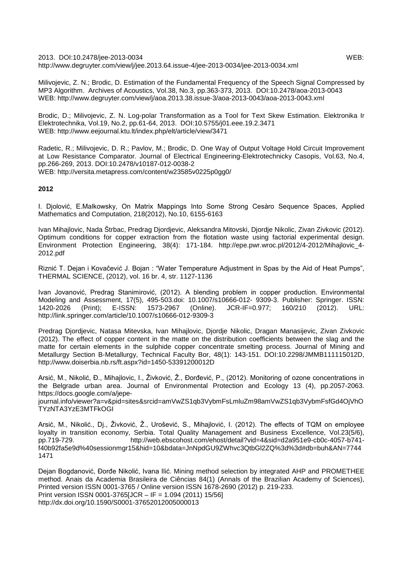2013. DOI:10.2478/jee-2013-0034 WEB: <http://www.degruyter.com/view/j/jee.2013.64.issue-4/jee-2013-0034/jee-2013-0034.xml>

Milivojevic, Z. N.; Brodic, D. [Estimation of the Fundamental Frequency of the Speech Signal Compressed by](http://apps.webofknowledge.com.proxy.kobson.nb.rs:2048/full_record.do?product=WOS&search_mode=GeneralSearch&qid=2&SID=X2lMfQF26YHTJQRzRfr&page=1&doc=3)  [MP3 Algorithm. A](http://apps.webofknowledge.com.proxy.kobson.nb.rs:2048/full_record.do?product=WOS&search_mode=GeneralSearch&qid=2&SID=X2lMfQF26YHTJQRzRfr&page=1&doc=3)rchives of Acoustics, Vol.38, No.3, pp.363-373, 2013. DOI:10.2478/aoa-2013-0043 WEB:<http://www.degruyter.com/view/j/aoa.2013.38.issue-3/aoa-2013-0043/aoa-2013-0043.xml>

Brodic, D.; Milivojevic, Z. N. [Log-polar Transformation as a Tool for Text Skew Estimation.](http://apps.webofknowledge.com.proxy.kobson.nb.rs:2048/full_record.do?product=WOS&search_mode=GeneralSearch&qid=2&SID=X2lMfQF26YHTJQRzRfr&page=1&doc=4) Elektronika Ir Elektrotechnika, Vol.19, No.2, pp.61-64, 2013. DOI:10.5755/j01.eee.19.2.3471 WEB:<http://www.eejournal.ktu.lt/index.php/elt/article/view/3471>

Radetic, R.; Milivojevic, D. R.; Pavlov, M.; Brodic, D. One Way of Output Voltage Hold Circuit Improvement at Low Resistance Comparator. Journal of Electrical Engineering-Elektrotechnicky Casopis, Vol.63, No.4, pp.266-269, 2013. DOI:10.2478/v10187-012-0038-2 WEB:<http://versita.metapress.com/content/w23585v0225p0gg0/>

# **2012**

I. Djolović, E.Malkowsky, On Matrix Mappings Into Some Strong Cesàro Sequence Spaces, Applied Mathematics and Computation, 218(2012), No.10, 6155-6163

Ivan Mihajlovic, Nada Štrbac, Predrag Djordjevic, Aleksandra Mitovski, Djordje Nikolic, Zivan Zivkovic (2012). Optimum conditions for copper extraction from the flotation waste using factorial experimental design. Environment Protection Engineering, 38(4): 171-184. [http://epe.pwr.wroc.pl/2012/4-2012/Mihajlovic\\_4-](http://epe.pwr.wroc.pl/2012/4-2012/Mihajlovic_4-2012.pdf) [2012.pdf](http://epe.pwr.wroc.pl/2012/4-2012/Mihajlovic_4-2012.pdf)

Riznić T. Dejan i Kovačević J. Bojan : "Water Temperature Adjustment in Spas by the Aid of Heat Pumps", THERMAL SCIENCE, (2012), vol. 16 br. 4, str. 1127-1136

Ivan Jovanović, Predrag Stanimirović, (2012). A blending problem in copper production. Environmental Modeling and Assessment, 17(5), 495-503.doi: 10.1007/s10666-012- 9309-3. Publisher: Springer. ISSN: JCR-IF=0.977; <http://link.springer.com/article/10.1007/s10666-012-9309-3>

Predrag Djordjevic, Natasa Mitevska, Ivan Mihajlovic, Djordje Nikolic, Dragan Manasijevic, Zivan Zivkovic (2012). The effect of copper content in the matte on the distribution coefficients between the slag and the matte for certain elements in the sulphide copper concentrate smelting process. Journal of Mining and Metallurgy Section B-Metallurgy, Technical Faculty Bor, 48(1): 143-151. DOI:10.2298/JMMB111115012D, <http://www.doiserbia.nb.rs/ft.aspx?id=1450-53391200012D>

Arsić, M., Nikolić, Đ., Mihajlovic, I., Živković, Ž., Đorđević, P., (2012). Monitoring of ozone concentrations in the Belgrade urban area. Journal of Environmental Protection and Ecology 13 (4), pp.2057-2063. [https://docs.google.com/a/jepe-](https://docs.google.com/a/jepe-journal.info/viewer?a=v&pid=sites&srcid=amVwZS1qb3VybmFsLmluZm98amVwZS1qb3VybmFsfGd4OjVhOTYzNTA3YzE3MTFkOGI)

[journal.info/viewer?a=v&pid=sites&srcid=amVwZS1qb3VybmFsLmluZm98amVwZS1qb3VybmFsfGd4OjVhO](https://docs.google.com/a/jepe-journal.info/viewer?a=v&pid=sites&srcid=amVwZS1qb3VybmFsLmluZm98amVwZS1qb3VybmFsfGd4OjVhOTYzNTA3YzE3MTFkOGI) [TYzNTA3YzE3MTFkOGI](https://docs.google.com/a/jepe-journal.info/viewer?a=v&pid=sites&srcid=amVwZS1qb3VybmFsLmluZm98amVwZS1qb3VybmFsfGd4OjVhOTYzNTA3YzE3MTFkOGI)

Arsić, M., Nikolić., Dj., Živković, Ž., Urošević, S., Mihajlović, I. (2012). The effects of TQM on employee loyalty in transition economy, Serbia. Total Quality Management and Business Excellence, Vol.23(5/6), pp.719-729. [http://web.ebscohost.com/ehost/detail?vid=4&sid=d2a951e9-cb0c-4057-b741](http://web.ebscohost.com/ehost/detail?vid=4&sid=d2a951e9-cb0c-4057-b741-f40b92fa5e9d%40sessionmgr15&hid=10&bdata=JnNpdGU9ZWhvc3QtbGl2ZQ%3d%3d%23db=buh&AN=77441471) [f40b92fa5e9d%40sessionmgr15&hid=10&bdata=JnNpdGU9ZWhvc3QtbGl2ZQ%3d%3d#db=buh&AN=7744](http://web.ebscohost.com/ehost/detail?vid=4&sid=d2a951e9-cb0c-4057-b741-f40b92fa5e9d%40sessionmgr15&hid=10&bdata=JnNpdGU9ZWhvc3QtbGl2ZQ%3d%3d%23db=buh&AN=77441471) [1471](http://web.ebscohost.com/ehost/detail?vid=4&sid=d2a951e9-cb0c-4057-b741-f40b92fa5e9d%40sessionmgr15&hid=10&bdata=JnNpdGU9ZWhvc3QtbGl2ZQ%3d%3d%23db=buh&AN=77441471)

Dejan Bogdanović, Đorđe Nikolić, Ivana Ilić. Mining method selection by integrated AHP and PROMETHEE method. Anais da Academia Brasileira de Ciências 84(1) (Annals of the Brazilian Academy of Sciences), Printed version ISSN 0001-3765 / Online version ISSN 1678-2690 (2012) p. 219-233. Print version ISSN 0001-3765[JCR – IF = 1.094 (2011) 15/56] <http://dx.doi.org/10.1590/S0001-37652012005000013>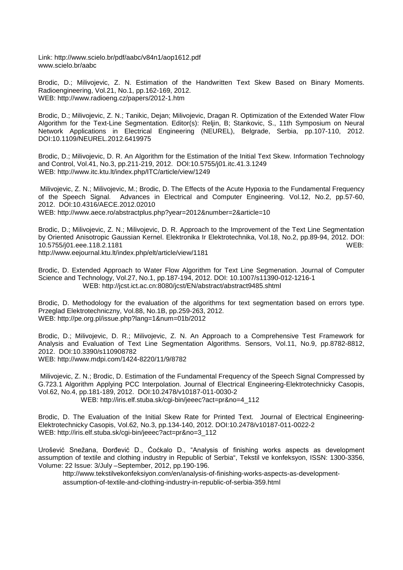Link:<http://www.scielo.br/pdf/aabc/v84n1/aop1612.pdf> [www.scielo.br/aabc](http://www.scielo.br/aabc)

Brodic, D.; Milivojevic, Z. N. [Estimation of the Handwritten Text Skew Based on Binary Moments.](http://apps.webofknowledge.com.proxy.kobson.nb.rs:2048/full_record.do?product=WOS&search_mode=GeneralSearch&qid=2&SID=X2lMfQF26YHTJQRzRfr&page=1&doc=6) Radioengineering, Vol.21, No.1, pp.162-169, 2012. WEB:<http://www.radioeng.cz/papers/2012-1.htm>

Brodic, D.; Milivojevic, Z. N.; Tanikic, Dejan; Milivojevic, Dragan R. [Optimization of the Extended Water Flow](http://apps.webofknowledge.com.proxy.kobson.nb.rs:2048/full_record.do?product=WOS&search_mode=GeneralSearch&qid=2&SID=X2lMfQF26YHTJQRzRfr&page=1&doc=7)  [Algorithm for the Text-Line Segmentation. E](http://apps.webofknowledge.com.proxy.kobson.nb.rs:2048/full_record.do?product=WOS&search_mode=GeneralSearch&qid=2&SID=X2lMfQF26YHTJQRzRfr&page=1&doc=7)ditor(s): Reljin, B; Stankovic, S., 11th Symposium on Neural Network Applications in Electrical Engineering (NEUREL), Belgrade, Serbia, pp.107-110, 2012. DOI[:10.1109/NEUREL.2012.6419975](http://dx.doi.org/10.1109/NEUREL.2012.6419975)

Brodic, D.; Milivojevic, D. R. [An Algorithm for the Estimation of the Initial Text Skew. I](http://apps.webofknowledge.com.proxy.kobson.nb.rs:2048/full_record.do?product=WOS&search_mode=GeneralSearch&qid=2&SID=X2lMfQF26YHTJQRzRfr&page=1&doc=8)nformation Technology and Control, Vol.41, No.3, pp.211-219, 2012. DOI:10.5755/j01.itc.41.3.1249 WEB: http://www.itc.ktu.lt/index.php/ITC/article/view/1249

Milivojevic, Z. N.; Milivojevic, M.; Brodic, D. [The Effects of the Acute Hypoxia to the Fundamental Frequency](http://apps.webofknowledge.com.proxy.kobson.nb.rs:2048/full_record.do?product=WOS&search_mode=GeneralSearch&qid=2&SID=X2lMfQF26YHTJQRzRfr&page=1&doc=9)  [of the Speech Signal. A](http://apps.webofknowledge.com.proxy.kobson.nb.rs:2048/full_record.do?product=WOS&search_mode=GeneralSearch&qid=2&SID=X2lMfQF26YHTJQRzRfr&page=1&doc=9)dvances in Electrical and Computer Engineering. Vol.12, No.2, pp.57-60, 2012. DOI:10.4316/AECE.2012.02010 WEB: http://www.aece.ro/abstractplus.php?year=2012&number=2&article=10

Brodic, D.; Milivojevic, Z. N.; Milivojevic, D. R. [Approach to the Improvement of the Text Line Segmentation](http://apps.webofknowledge.com.proxy.kobson.nb.rs:2048/full_record.do?product=WOS&search_mode=GeneralSearch&qid=2&SID=X2lMfQF26YHTJQRzRfr&page=1&doc=10)  [by Oriented Anisotropic Gaussian Kernel. E](http://apps.webofknowledge.com.proxy.kobson.nb.rs:2048/full_record.do?product=WOS&search_mode=GeneralSearch&qid=2&SID=X2lMfQF26YHTJQRzRfr&page=1&doc=10)lektronika Ir Elektrotechnika, Vol.18, No.2, pp.89-94, 2012. DOI: 10.5755/j01.eee.118.2.1181 WEB: http://www.eejournal.ktu.lt/index.php/elt/article/view/1181

Brodic, D. [Extended Approach to Water Flow Algorithm for Text Line Segmenation. J](http://apps.webofknowledge.com.proxy.kobson.nb.rs:2048/full_record.do?product=WOS&search_mode=GeneralSearch&qid=2&SID=X2lMfQF26YHTJQRzRfr&page=1&doc=11)ournal of Computer Science and Technology, Vol.27, No.1, pp.187-194, 2012. DOI: 10.1007/s11390-012-1216-1 WEB: http://jcst.ict.ac.cn:8080/jcst/EN/abstract/abstract9485.shtml

Brodic, D. [Methodology for the evaluation of the algorithms for text segmentation based on errors type.](http://apps.webofknowledge.com.proxy.kobson.nb.rs:2048/full_record.do?product=WOS&search_mode=GeneralSearch&qid=2&SID=X2lMfQF26YHTJQRzRfr&page=1&doc=12)  Przeglad Elektrotechniczny, Vol.88, No.1B, pp.259-263, 2012. WEB: http://pe.org.pl/issue.php?lang=1&num=01b/2012

Brodic, D.; Milivojevic, D. R.; Milivojevic, Z. N. [An Approach to a Comprehensive Test Framework for](http://apps.webofknowledge.com.proxy.kobson.nb.rs:2048/full_record.do?product=WOS&search_mode=GeneralSearch&qid=2&SID=X2lMfQF26YHTJQRzRfr&page=1&doc=13)  [Analysis and Evaluation of Text Line Segmentation Algorithms. Sensors, Vol.11, No.9, pp.8](http://apps.webofknowledge.com.proxy.kobson.nb.rs:2048/full_record.do?product=WOS&search_mode=GeneralSearch&qid=2&SID=X2lMfQF26YHTJQRzRfr&page=1&doc=13)782-8812, 2012. DOI:10.3390/s110908782 WEB: http://www.mdpi.com/1424-8220/11/9/8782

Milivojevic, Z. N.; Brodic, D. [Estimation of the Fundamental Frequency of the Speech Signal Compressed by](http://apps.webofknowledge.com.proxy.kobson.nb.rs:2048/full_record.do?product=WOS&search_mode=GeneralSearch&qid=2&SID=X2lMfQF26YHTJQRzRfr&page=1&doc=14)  [G.723.1 Algorithm Applying PCC Interpolation. J](http://apps.webofknowledge.com.proxy.kobson.nb.rs:2048/full_record.do?product=WOS&search_mode=GeneralSearch&qid=2&SID=X2lMfQF26YHTJQRzRfr&page=1&doc=14)ournal of Electrical Engineering-Elektrotechnicky Casopis, Vol.62, No.4, pp.181-189, 2012. DOI:10.2478/v10187-011-0030-2 WEB: http://iris.elf.stuba.sk/cgi-bin/jeeec?act=pr&no=4\_112

Brodic, D. The Evaluation of the Initial Skew Rate for Printed Text. Journal of Electrical Engineering-Elektrotechnicky Casopis, Vol.62, No.3, pp.134-140, 2012. DOI:10.2478/v10187-011-0022-2 WEB: [http://iris.elf.stuba.sk/cgi-bin/jeeec?act=pr&no=3\\_112](http://iris.elf.stuba.sk/cgi-bin/jeeec?act=pr&no=3_112)

Urošević Snežana, Đorđević D., Ćoćkalo D., "Analysis of finishing works aspects as development assumption of textile and clothing industry in Republic of Serbia", Tekstil ve konfeksyon, ISSN: 1300-3356, Volume: 22 Issue: 3/July –September, 2012, pp.190-196.

[http://www.tekstilvekonfeksiyon.com/en/analysis-of-finishing-works-aspects-as-development](http://www.tekstilvekonfeksiyon.com/en/analysis-of-finishing-works-aspects-as-development-assumption-of-textile-and-clothing-industry-in-republic-of-serbia-359.html)[assumption-of-textile-and-clothing-industry-in-republic-of-serbia-359.html](http://www.tekstilvekonfeksiyon.com/en/analysis-of-finishing-works-aspects-as-development-assumption-of-textile-and-clothing-industry-in-republic-of-serbia-359.html)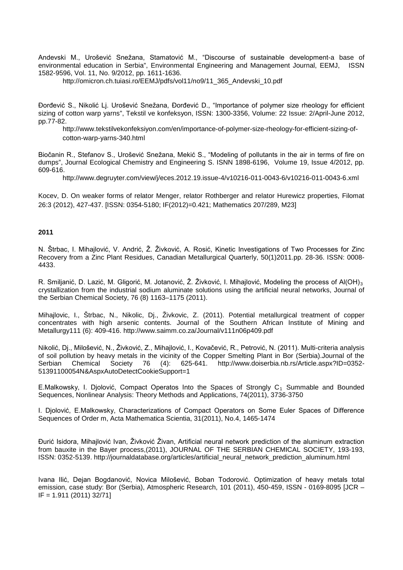Andevski M., Urošević Snežana, Stamatović M., "Discourse of sustainable development-a base of environmental education in Serbia", Environmental Engineering and Management Journal, EEMJ, ISSN 1582-9596, Vol. 11, No. 9/2012, pp. 1611-1636.

[http://omicron.ch.tuiasi.ro/EEMJ/pdfs/vol11/no9/11\\_365\\_Andevski\\_10.pdf](http://omicron.ch.tuiasi.ro/EEMJ/pdfs/vol11/no9/11_365_Andevski_10.pdf)

Đorđević S., Nikolić Lj. Urošević Snežana, Đorđević D., "Importance of polymer size rheology for efficient sizing of cotton warp yarns", Tekstil ve konfeksyon, ISSN: 1300-3356, Volume: 22 Issue: 2/April-June 2012, pp.77-82.

[http://www.tekstilvekonfeksiyon.com/en/importance-of-polymer-size-rheology-for-efficient-sizing-of](http://www.tekstilvekonfeksiyon.com/en/importance-of-polymer-size-rheology-for-efficient-sizing-of-cotton-warp-yarns-340.html)[cotton-warp-yarns-340.html](http://www.tekstilvekonfeksiyon.com/en/importance-of-polymer-size-rheology-for-efficient-sizing-of-cotton-warp-yarns-340.html)

Biočanin R., Stefanov S., Urošević Snežana, Mekić S., "Modeling of pollutants in the air in terms of fire on dumps", Journal Ecological Chemistry and Engineering S. ISNN 1898-6196, Volume 19, Issue 4/2012, pp. 609-616.

<http://www.degruyter.com/view/j/eces.2012.19.issue-4/v10216-011-0043-6/v10216-011-0043-6.xml>

Kocev, D. On weaker forms of relator Menger, relator Rothberger and relator Hurewicz properties, Filomat 26:3 (2012), 427-437. [ISSN: 0354-5180; IF(2012)=0.421; Mathematics 207/289, M23]

## **2011**

N. Štrbac, I. Mihajlović, V. Andrić, Ž. Živković, A. Rosić, Kinetic Investigations of Two Processes for Zinc Recovery from a Zinc Plant Residues, Canadian Metallurgical Quarterly, 50(1)2011.pp. 28-36. ISSN: 0008- 4433.

R. Smiljanić, D. Lazić, M. Gligorić, M. Jotanović, Ž. Živković, I. Mihajlović, Modeling the process of Al(OH)<sub>3</sub> crystallization from the industrial sodium aluminate solutions using the artificial neural networks, Journal of the Serbian Chemical Society, 76 (8) 1163–1175 (2011).

Mihajlovic, I., Štrbac, N., Nikolic, Dj., Živkovic, Z. (2011). Potential metallurgical treatment of copper concentrates with high arsenic contents. Journal of the Southern African Institute of Mining and Metallurgy111 (6): 409-416.<http://www.saimm.co.za/Journal/v111n06p409.pdf>

Nikolić, Dj., Milošević, N., Živković, Z., Mihajlović, I., Kovačević, R., Petrović, N. (2011). Multi-criteria analysis of soil pollution by heavy metals in the vicinity of the Copper Smelting Plant in Bor (Serbia).Journal of the Serbian Chemical Society 76 (4): 625-641. [http://www.doiserbia.nb.rs/Article.aspx?ID=0352-](http://www.doiserbia.nb.rs/Article.aspx?ID=0352-51391100054N&AspxAutoDetectCookieSupport=1) [51391100054N&AspxAutoDetectCookieSupport=1](http://www.doiserbia.nb.rs/Article.aspx?ID=0352-51391100054N&AspxAutoDetectCookieSupport=1)

E.Malkowsky, I. Djolović, Compact Operatos Into the Spaces of Strongly  $C_1$  Summable and Bounded Sequences, Nonlinear Analysis: Theory Methods and Applications, 74(2011), 3736-3750

I. Djolović, E.Malkowsky, Characterizations of Compact Operators on Some Euler Spaces of Difference Sequences of Order m, Acta Mathematica Scientia, 31(2011), No.4, 1465-1474

Đurić Isidora, Mihajlović Ivan, Živković Živan, Artificial neural network prediction of the aluminum extraction from bauxite in the Bayer process,(2011), JOURNAL OF THE SERBIAN CHEMICAL SOCIETY, 193-193, ISSN: 0352-5139. [http://journaldatabase.org/articles/artificial\\_neural\\_network\\_prediction\\_aluminum.html](http://journaldatabase.org/articles/artificial_neural_network_prediction_aluminum.html)

Ivana Ilić, Dejan Bogdanović, Novica Milošević, Boban Todorović. Optimization of heavy metals total emission, case study: Bor (Serbia), Atmospheric Research, 101 (2011), 450-459, ISSN - 0169-8095 [JCR – IF = 1.911 (2011) 32/71]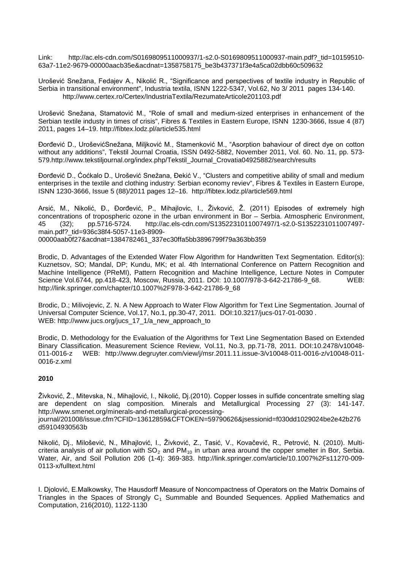Link: [http://ac.els-cdn.com/S0169809511000937/1-s2.0-S0169809511000937-main.pdf?\\_tid=10159510-](http://ac.els-cdn.com/S0169809511000937/1-s2.0-S0169809511000937-main.pdf?_tid=10159510-63a7-11e2-9679-00000aacb35e&acdnat=1358758175_be3b437371f3e4a5ca02dbb60c509632) [63a7-11e2-9679-00000aacb35e&acdnat=1358758175\\_be3b437371f3e4a5ca02dbb60c509632](http://ac.els-cdn.com/S0169809511000937/1-s2.0-S0169809511000937-main.pdf?_tid=10159510-63a7-11e2-9679-00000aacb35e&acdnat=1358758175_be3b437371f3e4a5ca02dbb60c509632)

Urošević Snežana, Fedajev A., Nikolić R., "Significance and perspectives of textile industry in Republic of Serbia in transitional environment", Industria textila, ISNN 1222-5347, Vol.62, No 3/ 2011 pages 134-140. <http://www.certex.ro/Certex/IndustriaTextila/RezumateArticole201103.pdf>

Urošević Snežana, Stamatović M., "Role of small and medium-sized enterprises in enhancement of the Serbian textile industy in times of crisis", Fibres & Textiles in Eastern Europe, ISNN 1230-3666, Issue 4 (87) 2011, pages 14–19.<http://fibtex.lodz.pl/article535.html>

Đorđević D., UroševićSnežana, Miljković M., Stamenković M., "Asorption bahaviour of direct dye on cotton without any additions", Tekstil Journal Croatia, ISSN 0492-5882, November 2011, Vol. 60. No. 11, pp. 573- 579[.http://www.tekstiljournal.org/index.php/Tekstil\\_Journal\\_Crovatia04925882/search/results](http://www.tekstiljournal.org/index.php/Tekstil_Journal_Crovatia04925882/search/results)

Đorđević D., Ćoćkalo D., Urošević Snežana, Đekić V., "Clusters and competitive ability of small and medium enterprises in the textile and clothing industry: Serbian economy reviev", Fibres & Textiles in Eastern Europe, ISNN 1230-3666, Issue 5 (88)/2011 pages 12–16. <http://fibtex.lodz.pl/article569.html>

Arsić, M., Nikolić, Đ., Đorđević, P., Mihajlovic, I., Živković, Ž. (2011) Episodes of extremely high concentrations of tropospheric ozone in the urban environment in Bor – Serbia. Atmospheric Environment, 45 (32); pp.5716-5724. [http://ac.els-cdn.com/S1352231011007497/1-s2.0-S1352231011007497](http://ac.els-cdn.com/S1352231011007497/1-s2.0-S1352231011007497-main.pdf?_tid=936c38f4-5057-11e3-8909-00000aab0f27&acdnat=1384782461_337ec30ffa5bb3896799f79a363bb359) main.pdf? tid=936c38f4-5057-11e3-8909-

[00000aab0f27&acdnat=1384782461\\_337ec30ffa5bb3896799f79a363bb359](http://ac.els-cdn.com/S1352231011007497/1-s2.0-S1352231011007497-main.pdf?_tid=936c38f4-5057-11e3-8909-00000aab0f27&acdnat=1384782461_337ec30ffa5bb3896799f79a363bb359)

Brodic, D. [Advantages of the Extended Water Flow Algorithm for Handwritten Text Segmentation. E](http://apps.webofknowledge.com.proxy.kobson.nb.rs:2048/full_record.do?product=WOS&search_mode=GeneralSearch&qid=2&SID=X2lMfQF26YHTJQRzRfr&page=1&doc=16)ditor(s): Kuznetsov, SO; Mandal, DP; Kundu, MK; et al. 4th International Conference on Pattern Recognition and Machine Intelligence (PReMI), Pattern Recognition and Machine Intelligence, Lecture Notes in Computer Science Vol.6744, pp.418-423, Moscow, Russia, 2011. DOI: 10.1007/978-3-642-21786-9 68. WEB: http://link.springer.com/chapter/10.1007%2F978-3-642-21786-9\_68

Brodic, D.; Milivojevic, Z. N. [A New Approach to Water Flow Algorithm for Text Line Segmentation.](http://apps.webofknowledge.com.proxy.kobson.nb.rs:2048/full_record.do?product=WOS&search_mode=GeneralSearch&qid=2&SID=X2lMfQF26YHTJQRzRfr&page=1&doc=17) Journal of Universal Computer Science, Vol.17, No.1, pp.30-47, 2011. DOI:10.3217/jucs-017-01-0030 . WEB: http://www.jucs.org/jucs\_17\_1/a\_new\_approach\_to

Brodic, D. [Methodology for the Evaluation of the Algorithms for Text Line Segmentation Based on Extended](http://apps.webofknowledge.com.proxy.kobson.nb.rs:2048/full_record.do?product=WOS&search_mode=GeneralSearch&qid=2&SID=X2lMfQF26YHTJQRzRfr&page=1&doc=18)  [Binary Classification. M](http://apps.webofknowledge.com.proxy.kobson.nb.rs:2048/full_record.do?product=WOS&search_mode=GeneralSearch&qid=2&SID=X2lMfQF26YHTJQRzRfr&page=1&doc=18)easurement Science Review, Vol.11, No.3, pp.71-78, 2011. DOI:10.2478/v10048-<br>011-0016-z WEB: http://www.degruvter.com/view/i/msr.2011.11.issue-3/v10048-011-0016-z/v10048-011-011-0016-z WEB: [http://www.degruyter.com/view/j/msr.2011.11.issue-3/v10048-011-0016-z/v10048-011-](http://www.degruyter.com/view/j/msr.2011.11.issue-3/v10048-011-0016-z/v10048-011-0016-z.xml) [0016-z.xml](http://www.degruyter.com/view/j/msr.2011.11.issue-3/v10048-011-0016-z/v10048-011-0016-z.xml)

# **2010**

Živković, Ž., Mitevska, N., Mihajlović, I., Nikolić, Dj.(2010). Copper losses in sulfide concentrate smelting slag are dependent on slag composition. Minerals and Metallurgical Processing 27 (3): 141-147. [http://www.smenet.org/minerals-and-metallurgical-processing-](http://www.smenet.org/minerals-and-metallurgical-processing-journal/201008/issue.cfm?CFID=13612859&CFTOKEN=59790626&jsessionid=f030dd1029024be2e42b276d59104930563b)

[journal/201008/issue.cfm?CFID=13612859&CFTOKEN=59790626&jsessionid=f030dd1029024be2e42b276](http://www.smenet.org/minerals-and-metallurgical-processing-journal/201008/issue.cfm?CFID=13612859&CFTOKEN=59790626&jsessionid=f030dd1029024be2e42b276d59104930563b) [d59104930563b](http://www.smenet.org/minerals-and-metallurgical-processing-journal/201008/issue.cfm?CFID=13612859&CFTOKEN=59790626&jsessionid=f030dd1029024be2e42b276d59104930563b)

Nikolić, Dj., Milošević, N., Mihajlović, I., Živković, Z., Tasić, V., Kovačević, R., Petrović, N. (2010). Multicriteria analysis of air pollution with  $SO<sub>2</sub>$  and PM<sub>10</sub> in urban area around the copper smelter in Bor, Serbia. Water, Air, and Soil Pollution 206 (1-4): 369-383. [http://link.springer.com/article/10.1007%2Fs11270-009-](http://link.springer.com/article/10.1007%2Fs11270-009-0113-x/fulltext.html) [0113-x/fulltext.html](http://link.springer.com/article/10.1007%2Fs11270-009-0113-x/fulltext.html)

I. Djolović, E.Malkowsky, The Hausdorff Measure of Noncompactness of Operators on the Matrix Domains of Triangles in the Spaces of Strongly  $C_1$  Summable and Bounded Sequences. Applied Mathematics and Computation, 216(2010), 1122-1130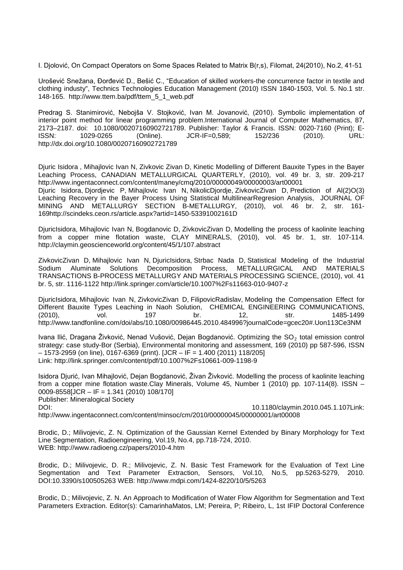I. Djolović, On Compact Operators on Some Spaces Related to Matrix B(r,s), Filomat, 24(2010), No.2, 41-51

Urošević Snežana, Đorđević D., Bešić C., "Education of skilled workers-the concurrence factor in textile and clothing industy", Technics Technologies Education Management (2010) ISSN 1840-1503, Vol. 5. No.1 str. 148-165. [http://www.ttem.ba/pdf/ttem\\_5\\_1\\_web.pdf](http://www.ttem.ba/pdf/ttem_5_1_web.pdf)

Predrag S. Stanimirović, Nebojša V. Stojković, Ivan M. Jovanović, (2010). Symbolic implementation of interior point method for linear programming problem.International Journal of Computer Mathematics, 87, 2173–2187. doi: 10.1080/00207160902721789. Publisher: Taylor & Francis. ISSN: 0020-7160 (Print); E-<br>ISSN: 152/236 (2010). URL: (Online). UR-IF=0,589; 152/236 (2010). URL: ISSN: 1029-0265 (Online). JCR-IF=0,589; 152/236 (2010). URL: <http://dx.doi.org/10.1080/00207160902721789>

[Djuric Isidora](http://www.kobson.nb.rs.proxy.kobson.nb.rs:2048/nauka_u_srbiji.132.html?autor=Djuric%20Isidora) , [Mihajlovic Ivan N,](http://www.kobson.nb.rs.proxy.kobson.nb.rs:2048/nauka_u_srbiji.132.html?autor=Mihajlovic%20Ivan%20N) [Zivkovic Zivan D,](http://www.kobson.nb.rs.proxy.kobson.nb.rs:2048/nauka_u_srbiji.132.html?autor=Mihajlovic%20Ivan%20N) Kinetic Modelling of Different Bauxite Types in the Bayer Leaching Process, CANADIAN METALLURGICAL QUARTERLY, (2010), vol. 49 br. 3, str. 209-217 <http://www.ingentaconnect.com/content/maney/cmq/2010/00000049/00000003/art00001>

[Djuric Isidora,](http://www.kobson.nb.rs.proxy.kobson.nb.rs:2048/nauka_u_srbiji.132.html?autor=Djuric%20Isidora) [Djordjevic P,](http://www.kobson.nb.rs.proxy.kobson.nb.rs:2048/nauka_u_srbiji.132.html?autor=Djuric%20Isidora) [Mihajlovic Ivan N,](http://www.kobson.nb.rs.proxy.kobson.nb.rs:2048/nauka_u_srbiji.132.html?autor=Mihajlovic%20Ivan%20N) [NikolicDjordje,](http://www.kobson.nb.rs.proxy.kobson.nb.rs:2048/nauka_u_srbiji.132.html?autor=Mihajlovic%20Ivan%20N) [ZivkovicZivan D,](http://www.kobson.nb.rs.proxy.kobson.nb.rs:2048/nauka_u_srbiji.132.html?autor=Zivkovic%20Zivan%20D) Prediction of Al(2)O(3) Leaching Recovery in the Bayer Process Using Statistical MultilinearRegresion Analysis, JOURNAL OF MINING AND METALLURGY SECTION B-METALLURGY, (2010), vol. 46 br. 2, str. 161- 16[9http://scindeks.ceon.rs/article.aspx?artid=1450-53391002161D](http://scindeks.ceon.rs/article.aspx?artid=1450-53391002161D)

[DjuricIsidora,](http://www.kobson.nb.rs.proxy.kobson.nb.rs:2048/nauka_u_srbiji.132.html?autor=Djuric%20Isidora) [Mihajlovic Ivan N,](http://www.kobson.nb.rs.proxy.kobson.nb.rs:2048/nauka_u_srbiji.132.html?autor=Djuric%20Isidora) [Bogdanovic D,](http://www.kobson.nb.rs.proxy.kobson.nb.rs:2048/nauka_u_srbiji.132.html?autor=Bogdanovic%20D) [ZivkovicZivan D,](http://www.kobson.nb.rs.proxy.kobson.nb.rs:2048/nauka_u_srbiji.132.html?autor=Bogdanovic%20D) Modelling the process of kaolinite leaching from a copper mine flotation waste, CLAY MINERALS, (2010), vol. 45 br. 1, str. 107-114. <http://claymin.geoscienceworld.org/content/45/1/107.abstract>

ZivkovicZivan D, Mihajlovic Ivan N, DjuricIsidora, [Strbac Nada D,](http://www.kobson.nb.rs.proxy.kobson.nb.rs:2048/nauka_u_srbiji.132.html?autor=Strbac%20Nada%20D) Statistical Modeling of the Industrial Sodium Aluminate Solutions Decomposition Process, METALLURGICAL AND MATERIALS Sodium Aluminate Solutions Decomposition Process, METALLURGICAL AND MATERIALS TRANSACTIONS B-PROCESS METALLURGY AND MATERIALS PROCESSING SCIENCE, (2010), vol. 41 br. 5, str. 1116-1122<http://link.springer.com/article/10.1007%2Fs11663-010-9407-z>

DjuricIsidora, Mihajlovic Ivan N, ZivkovicZivan D, FilipovicRadislav, Modeling the Compensation Effect for Different Bauxite Types Leaching in Naoh Solution, CHEMICAL ENGINEERING COMMUNICATIONS,<br>(2010), vol. 197 br. 12, str. 1485-1499 (2010), vol. 197 br. 12, str. 1485-1499 [http://www.tandfonline.com/doi/abs/10.1080/00986445.2010.484996?journalCode=gcec20#.Uon113Ce3NM](http://www.tandfonline.com/doi/abs/10.1080/00986445.2010.484996?journalCode=gcec20%23.Uon113Ce3NM)

Ivana Ilić, Dragana Živković, Nenad Vušović, Dejan Bogdanović. Optimizing the  $SO<sub>2</sub>$  total emission control strategy: case study-Bor (Serbia), Environmental monitoring and assessment, 169 (2010) pp 587-596, ISSN  $-1573-2959$  (on line), 0167-6369 (print). [JCR – IF = 1.400 (2011) 118/205] Link:<http://link.springer.com/content/pdf/10.1007%2Fs10661-009-1198-9>

Isidora Djurić, Ivan Mihajlović, Dejan Bogdanović, Živan Živković. Modelling the process of kaolinite leaching from a copper mine flotation waste.Clay Minerals, Volume 45, Number 1 (2010) pp. 107-114(8). ISSN – 0009-8558[JCR – IF = 1.341 (2010) 108/170] Publisher: Mineralogical Society DOI: 10.1180/claymin.2010.045.1.107Link:

<http://www.ingentaconnect.com/content/minsoc/cm/2010/00000045/00000001/art00008>

Brodic, D.; Milivojevic, Z. N. [Optimization of the Gaussian Kernel Extended by Binary Morphology for Text](http://apps.webofknowledge.com.proxy.kobson.nb.rs:2048/full_record.do?product=WOS&search_mode=GeneralSearch&qid=2&SID=X2lMfQF26YHTJQRzRfr&page=1&doc=19)  [Line Segmentation, Radioengineering, Vol.19, No.4, pp.718-724, 2010.](http://apps.webofknowledge.com.proxy.kobson.nb.rs:2048/full_record.do?product=WOS&search_mode=GeneralSearch&qid=2&SID=X2lMfQF26YHTJQRzRfr&page=1&doc=19)  [WEB: http://www.radioeng.cz/papers/2010-4.htm](http://apps.webofknowledge.com.proxy.kobson.nb.rs:2048/full_record.do?product=WOS&search_mode=GeneralSearch&qid=2&SID=X2lMfQF26YHTJQRzRfr&page=1&doc=19)

Brodic, D.; Milivojevic, D. R.; Milivojevic, Z. N. [Basic Test Framework for the Evaluation of Text Line](http://apps.webofknowledge.com.proxy.kobson.nb.rs:2048/full_record.do?product=WOS&search_mode=GeneralSearch&qid=2&SID=X2lMfQF26YHTJQRzRfr&page=1&doc=20)  [Segmentation and Text Parameter Extraction, Sensors, Vol.10, No.5, pp.5](http://apps.webofknowledge.com.proxy.kobson.nb.rs:2048/full_record.do?product=WOS&search_mode=GeneralSearch&qid=2&SID=X2lMfQF26YHTJQRzRfr&page=1&doc=20)263-5279, 2010. DOI:10.3390/s100505263 WEB: http://www.mdpi.com/1424-8220/10/5/5263

Brodic, D.; Milivojevic, Z. N. [An Approach to Modification of Water Flow Algorithm for Segmentation and Text](http://apps.webofknowledge.com.proxy.kobson.nb.rs:2048/full_record.do?product=WOS&search_mode=GeneralSearch&qid=2&SID=X2lMfQF26YHTJQRzRfr&page=1&doc=21)  [Parameters Extraction. E](http://apps.webofknowledge.com.proxy.kobson.nb.rs:2048/full_record.do?product=WOS&search_mode=GeneralSearch&qid=2&SID=X2lMfQF26YHTJQRzRfr&page=1&doc=21)ditor(s): CamarinhaMatos, LM; Pereira, P; Ribeiro, L, 1st IFIP Doctoral Conference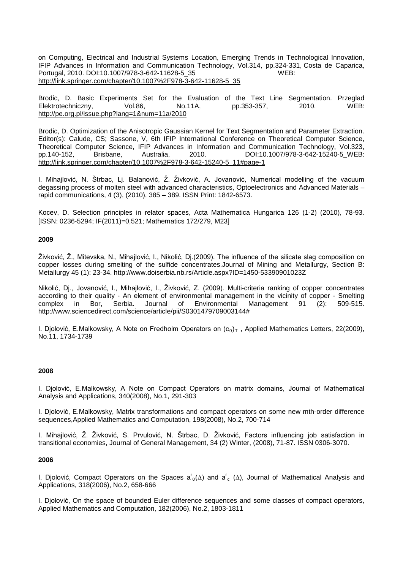on Computing, Electrical and Industrial Systems Location, Emerging Trends in Technological Innovation, IFIP Advances in Information and Communication Technology, Vol.314, pp.324-331, Costa de Caparica, Portugal, 2010. DOI:10.1007/978-3-642-11628-5\_35 WEB: [http://link.springer.com/chapter/10.1007%2F978-3-642-11628-5\\_35](http://link.springer.com/chapter/10.1007%2F978-3-642-11628-5_35)

Brodic, D. [Basic Experiments Set for the Evaluation of the Text Line Segmentation.](http://apps.webofknowledge.com.proxy.kobson.nb.rs:2048/full_record.do?product=WOS&search_mode=GeneralSearch&qid=2&SID=X2lMfQF26YHTJQRzRfr&page=1&doc=22) Przeglad Elektrotechniczny, Vol.86, No.11A, pp.353-357, 2010. WEB: http://pe.org.pl/issue.php?lang=1&num=11a/2010

Brodic, D. [Optimization of the Anisotropic Gaussian Kernel for Text Segmentation and Parameter Extraction.](http://apps.webofknowledge.com.proxy.kobson.nb.rs:2048/full_record.do?product=WOS&search_mode=GeneralSearch&qid=2&SID=X2lMfQF26YHTJQRzRfr&page=1&doc=23) Editor(s): Calude, CS; Sassone, V, 6th IFIP International Conference on Theoretical Computer Science, Theoretical Computer Science, IFIP Advances in Information and Communication Technology, Vol.323, pp.140-152, Brisbane, Australia, 2010. DOI:10.1007/978-3-642-15240-5\_WEB: [http://link.springer.com/chapter/10.1007%2F978-3-642-15240-5\\_11#page-1](http://link.springer.com/chapter/10.1007%2F978-3-642-15240-5_11%23page-1)

I. Mihajlović, N. Štrbac, Lj. Balanović, Ž. Živković, A. Jovanović, Numerical modelling of the vacuum degassing process of molten steel with advanced characteristics, Optoelectronics and Advanced Materials – rapid communications, 4 (3), (2010), 385 – 389. ISSN Print: 1842-6573.

Kocev, D. Selection principles in relator spaces, Acta Mathematica Hungarica 126 (1-2) (2010), 78-93. [ISSN: 0236-5294; IF(2011)=0,521; Mathematics 172/279, M23]

## **2009**

Živković, Ž., Mitevska, N., Mihajlović, I., Nikolić, Dj.(2009). The influence of the silicate slag composition on copper losses during smelting of the sulfide concentrates.Journal of Mining and Metallurgy, Section B: Metallurgy 45 (1): 23-34.<http://www.doiserbia.nb.rs/Article.aspx?ID=1450-53390901023Z>

Nikolić, Dj., Jovanović, I., Mihajlović, I., Živković, Z. (2009). Multi-criteria ranking of copper concentrates according to their quality - An element of environmental management in the vicinity of copper - Smelting complex in Bor, Serbia. Journal of Environmental Management 91 (2): 509-515. [http://www.sciencedirect.com/science/article/pii/S0301479709003144#](http://www.sciencedirect.com/science/article/pii/S0301479709003144)

I. Djolović, E.Malkowsky, A Note on Fredholm Operators on  $(c_0)_T$ , Applied Mathematics Letters, 22(2009), No.11, 1734-1739

## **2008**

I. Djolović, E.Malkowsky, A Note on Compact Operators on matrix domains, Journal of Mathematical Analysis and Applications, 340(2008), No.1, 291-303

I. Djolović, E.Malkowsky, Matrix transformations and compact operators on some new mth-order difference sequences,Applied Mathematics and Computation, 198(2008), No.2, 700-714

I. Mihajlović, Ž. Živković, S. Prvulović, N. Štrbac, D. Živković, Factors influencing job satisfaction in transitional economies, Journal of General Management, 34 (2) Winter, (2008), 71-87. ISSN 0306-3070.

#### **2006**

I. Djolović, Compact Operators on the Spaces a<sup>r</sup><sub>0</sub>( $\Delta$ ) and a<sup>r</sup><sub>c</sub> ( $\Delta$ ), Journal of Mathematical Analysis and Applications, 318(2006), No.2, 658-666

I. Djolović, On the space of bounded Euler difference sequences and some classes of compact operators, Applied Mathematics and Computation, 182(2006), No.2, 1803-1811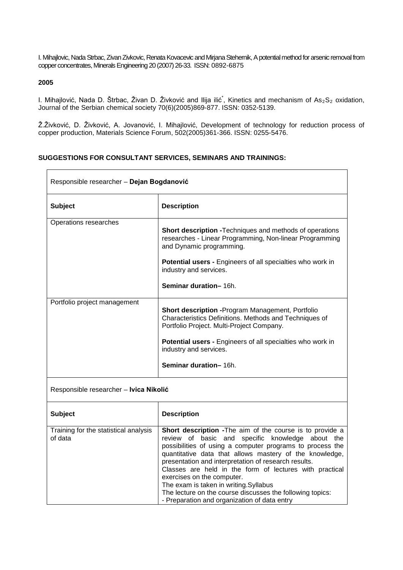I. Mihajlovic, Nada Strbac, Zivan Zivkovic, Renata Kovacevic and Mirjana Stehernik, A potential method for arsenic removal from copper concentrates, Minerals Engineering 20 (2007) 26-33. ISSN: 0892-6875

# **2005**

 $\overline{1}$ 

I. Mihajlović, Nada D. Štrbac, Živan D. Živković and Ilija ilić<sup>\*</sup>, Kinetics and mechanism of As<sub>2</sub>S<sub>2</sub> oxidation, Journal of the Serbian chemical society 70(6)(2005)869-877. ISSN: 0352-5139.

Ž.Živković, D. Živković, A. Jovanović, I. Mihajlović, Development of technology for reduction process of copper production, Materials Science Forum, 502(2005)361-366. ISSN: 0255-5476.

٦

# **SUGGESTIONS FOR CONSULTANT SERVICES, SEMINARS AND TRAININGS:**

| Responsible researcher - Dejan Bogdanović        |                                                                                                                                                                                                                                                                                                                                                                                                                                                                                                                                              |  |
|--------------------------------------------------|----------------------------------------------------------------------------------------------------------------------------------------------------------------------------------------------------------------------------------------------------------------------------------------------------------------------------------------------------------------------------------------------------------------------------------------------------------------------------------------------------------------------------------------------|--|
| <b>Subject</b>                                   | <b>Description</b>                                                                                                                                                                                                                                                                                                                                                                                                                                                                                                                           |  |
| Operations researches                            | Short description - Techniques and methods of operations<br>researches - Linear Programming, Non-linear Programming<br>and Dynamic programming.                                                                                                                                                                                                                                                                                                                                                                                              |  |
|                                                  | Potential users - Engineers of all specialties who work in<br>industry and services.                                                                                                                                                                                                                                                                                                                                                                                                                                                         |  |
|                                                  | Seminar duration-16h.                                                                                                                                                                                                                                                                                                                                                                                                                                                                                                                        |  |
| Portfolio project management                     | <b>Short description - Program Management, Portfolio</b><br>Characteristics Definitions. Methods and Techniques of<br>Portfolio Project. Multi-Project Company.<br>Potential users - Engineers of all specialties who work in<br>industry and services.<br>Seminar duration-16h.                                                                                                                                                                                                                                                             |  |
|                                                  |                                                                                                                                                                                                                                                                                                                                                                                                                                                                                                                                              |  |
| Responsible researcher - Ivica Nikolić           |                                                                                                                                                                                                                                                                                                                                                                                                                                                                                                                                              |  |
| <b>Subject</b>                                   | <b>Description</b>                                                                                                                                                                                                                                                                                                                                                                                                                                                                                                                           |  |
| Training for the statistical analysis<br>of data | Short description - The aim of the course is to provide a<br>review of basic and specific knowledge about the<br>possibilities of using a computer programs to process the<br>quantitative data that allows mastery of the knowledge,<br>presentation and interpretation of research results.<br>Classes are held in the form of lectures with practical<br>exercises on the computer.<br>The exam is taken in writing.Syllabus<br>The lecture on the course discusses the following topics:<br>- Preparation and organization of data entry |  |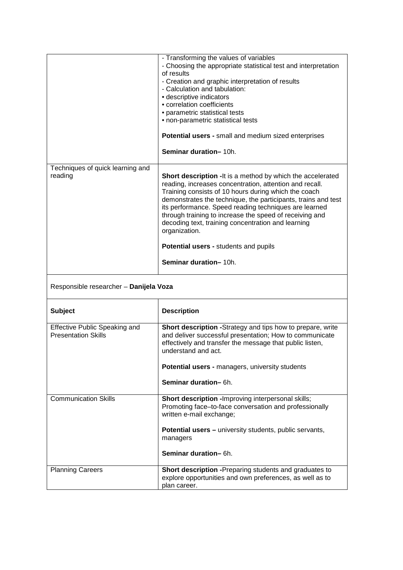|                                             | - Transforming the values of variables<br>- Choosing the appropriate statistical test and interpretation<br>of results<br>- Creation and graphic interpretation of results<br>- Calculation and tabulation:<br>• descriptive indicators<br>• correlation coefficients<br>• parametric statistical tests<br>• non-parametric statistical tests<br><b>Potential users - small and medium sized enterprises</b><br>Seminar duration-10h.                                                                                      |
|---------------------------------------------|----------------------------------------------------------------------------------------------------------------------------------------------------------------------------------------------------------------------------------------------------------------------------------------------------------------------------------------------------------------------------------------------------------------------------------------------------------------------------------------------------------------------------|
|                                             |                                                                                                                                                                                                                                                                                                                                                                                                                                                                                                                            |
| Techniques of quick learning and<br>reading | <b>Short description - It is a method by which the accelerated</b><br>reading, increases concentration, attention and recall.<br>Training consists of 10 hours during which the coach<br>demonstrates the technique, the participants, trains and test<br>its performance. Speed reading techniques are learned<br>through training to increase the speed of receiving and<br>decoding text, training concentration and learning<br>organization.<br><b>Potential users - students and pupils</b><br>Seminar duration-10h. |

| Responsible researcher - Danijela Voza |  |
|----------------------------------------|--|
|                                        |  |

| <b>Subject</b>                                                     | <b>Description</b>                                                                                                                                                                                               |
|--------------------------------------------------------------------|------------------------------------------------------------------------------------------------------------------------------------------------------------------------------------------------------------------|
| <b>Effective Public Speaking and</b><br><b>Presentation Skills</b> | <b>Short description -</b> Strategy and tips how to prepare, write<br>and deliver successful presentation; How to communicate<br>effectively and transfer the message that public listen,<br>understand and act. |
|                                                                    | <b>Potential users - managers, university students</b>                                                                                                                                                           |
|                                                                    | Seminar duration-6h.                                                                                                                                                                                             |
| <b>Communication Skills</b>                                        | <b>Short description - Improving interpersonal skills;</b><br>Promoting face-to-face conversation and professionally<br>written e-mail exchange;                                                                 |
|                                                                    | <b>Potential users</b> – university students, public servants,<br>managers                                                                                                                                       |
|                                                                    | Seminar duration-6h.                                                                                                                                                                                             |
| <b>Planning Careers</b>                                            | <b>Short description - Preparing students and graduates to</b><br>explore opportunities and own preferences, as well as to<br>plan career.                                                                       |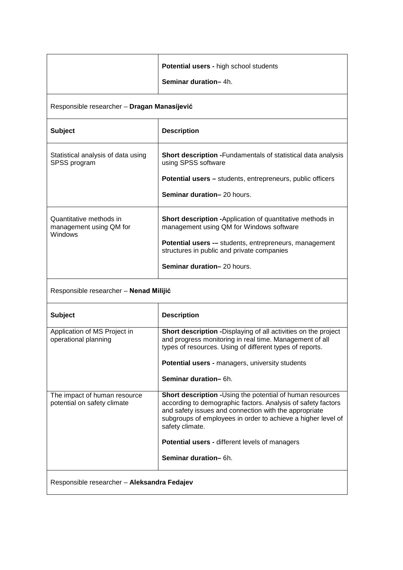|                                                               | <b>Potential users - high school students</b><br>Seminar duration-4h.                                                                                                                                                                                                                                                                           |  |
|---------------------------------------------------------------|-------------------------------------------------------------------------------------------------------------------------------------------------------------------------------------------------------------------------------------------------------------------------------------------------------------------------------------------------|--|
| Responsible researcher - Dragan Manasijević                   |                                                                                                                                                                                                                                                                                                                                                 |  |
| <b>Subject</b>                                                | <b>Description</b>                                                                                                                                                                                                                                                                                                                              |  |
| Statistical analysis of data using<br>SPSS program            | <b>Short description - Fundamentals of statistical data analysis</b><br>using SPSS software<br><b>Potential users - students, entrepreneurs, public officers</b><br>Seminar duration-20 hours.                                                                                                                                                  |  |
| Quantitative methods in<br>management using QM for<br>Windows | <b>Short description -Application of quantitative methods in</b><br>management using QM for Windows software<br><b>Potential users -- students, entrepreneurs, management</b><br>structures in public and private companies<br>Seminar duration-20 hours.                                                                                       |  |
| Responsible researcher - Nenad Milijić                        |                                                                                                                                                                                                                                                                                                                                                 |  |
| <b>Subject</b>                                                | <b>Description</b>                                                                                                                                                                                                                                                                                                                              |  |
| Application of MS Project in<br>operational planning          | Short description - Displaying of all activities on the project<br>and progress monitoring in real time. Management of all<br>types of resources. Using of different types of reports.<br>Potential users - managers, university students<br>Seminar duration-6h.                                                                               |  |
| The impact of human resource<br>potential on safety climate   | Short description -Using the potential of human resources<br>according to demographic factors. Analysis of safety factors<br>and safety issues and connection with the appropriate<br>subgroups of employees in order to achieve a higher level of<br>safety climate.<br>Potential users - different levels of managers<br>Seminar duration-6h. |  |
| Responsible researcher - Aleksandra Fedajev                   |                                                                                                                                                                                                                                                                                                                                                 |  |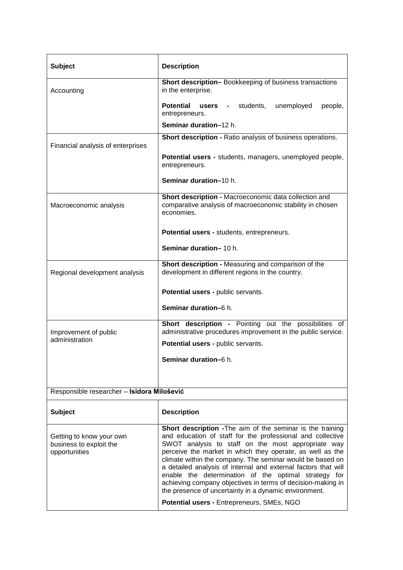| <b>Subject</b>                                                       | <b>Description</b>                                                                                                                                                                                                                                                                                                                                                                                                                                                                                                                                         |
|----------------------------------------------------------------------|------------------------------------------------------------------------------------------------------------------------------------------------------------------------------------------------------------------------------------------------------------------------------------------------------------------------------------------------------------------------------------------------------------------------------------------------------------------------------------------------------------------------------------------------------------|
| Accounting                                                           | Short description-Bookkeeping of business transactions<br>in the enterprise.                                                                                                                                                                                                                                                                                                                                                                                                                                                                               |
|                                                                      | <b>Potential</b><br><b>users</b> - students,<br>unemployed<br>people,<br>entrepreneurs.                                                                                                                                                                                                                                                                                                                                                                                                                                                                    |
|                                                                      | Seminar duration-12 h.                                                                                                                                                                                                                                                                                                                                                                                                                                                                                                                                     |
| Financial analysis of enterprises                                    | Short description - Ratio analysis of business operations.                                                                                                                                                                                                                                                                                                                                                                                                                                                                                                 |
|                                                                      | <b>Potential users - students, managers, unemployed people,</b><br>entrepreneurs.                                                                                                                                                                                                                                                                                                                                                                                                                                                                          |
|                                                                      | Seminar duration-10 h.                                                                                                                                                                                                                                                                                                                                                                                                                                                                                                                                     |
| Macroeconomic analysis                                               | Short description - Macroeconomic data collection and<br>comparative analysis of macroeconomic stability in chosen<br>economies.                                                                                                                                                                                                                                                                                                                                                                                                                           |
|                                                                      | Potential users - students, entrepreneurs.                                                                                                                                                                                                                                                                                                                                                                                                                                                                                                                 |
|                                                                      | Seminar duration-10 h.                                                                                                                                                                                                                                                                                                                                                                                                                                                                                                                                     |
| Regional development analysis                                        | Short description - Measuring and comparison of the<br>development in different regions in the country.                                                                                                                                                                                                                                                                                                                                                                                                                                                    |
|                                                                      | Potential users - public servants.                                                                                                                                                                                                                                                                                                                                                                                                                                                                                                                         |
|                                                                      | Seminar duration-6 h.                                                                                                                                                                                                                                                                                                                                                                                                                                                                                                                                      |
| Improvement of public<br>administration                              | Short description - Pointing out the possibilities of<br>administrative procedures improvement in the public service.                                                                                                                                                                                                                                                                                                                                                                                                                                      |
|                                                                      | Potential users - public servants.                                                                                                                                                                                                                                                                                                                                                                                                                                                                                                                         |
|                                                                      | Seminar duration-6 h.                                                                                                                                                                                                                                                                                                                                                                                                                                                                                                                                      |
|                                                                      |                                                                                                                                                                                                                                                                                                                                                                                                                                                                                                                                                            |
| Responsible researcher - Isidora Milošević                           |                                                                                                                                                                                                                                                                                                                                                                                                                                                                                                                                                            |
| <b>Subject</b>                                                       | <b>Description</b>                                                                                                                                                                                                                                                                                                                                                                                                                                                                                                                                         |
| Getting to know your own<br>business to exploit the<br>opportunities | Short description - The aim of the seminar is the training<br>and education of staff for the professional and collective<br>SWOT analysis to staff on the most appropriate way<br>perceive the market in which they operate, as well as the<br>climate within the company. The seminar would be based on<br>a detailed analysis of internal and external factors that will<br>enable the determination of the optimal strategy for<br>achieving company objectives in terms of decision-making in<br>the presence of uncertainty in a dynamic environment. |
|                                                                      | Potential users - Entrepreneurs, SMEs, NGO                                                                                                                                                                                                                                                                                                                                                                                                                                                                                                                 |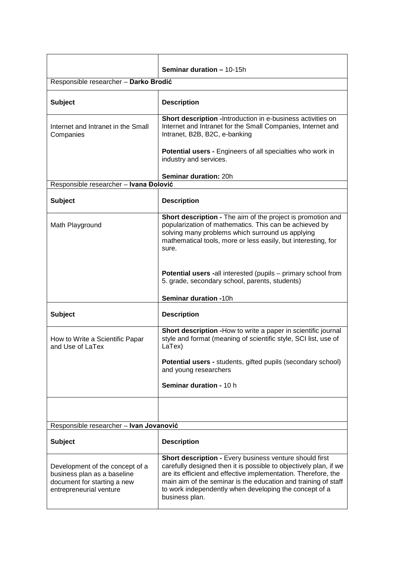|                                                                                                                          | <b>Seminar duration - 10-15h</b>                                                                                                                                                                                                                                                                                                                    |
|--------------------------------------------------------------------------------------------------------------------------|-----------------------------------------------------------------------------------------------------------------------------------------------------------------------------------------------------------------------------------------------------------------------------------------------------------------------------------------------------|
| Responsible researcher - Darko Brodić                                                                                    |                                                                                                                                                                                                                                                                                                                                                     |
| <b>Subject</b>                                                                                                           | <b>Description</b>                                                                                                                                                                                                                                                                                                                                  |
| Internet and Intranet in the Small<br>Companies                                                                          | Short description - Introduction in e-business activities on<br>Internet and Intranet for the Small Companies, Internet and<br>Intranet, B2B, B2C, e-banking                                                                                                                                                                                        |
|                                                                                                                          | <b>Potential users - Engineers of all specialties who work in</b><br>industry and services.                                                                                                                                                                                                                                                         |
|                                                                                                                          | Seminar duration: 20h                                                                                                                                                                                                                                                                                                                               |
| Responsible researcher - Ivana Đolović                                                                                   |                                                                                                                                                                                                                                                                                                                                                     |
| <b>Subject</b>                                                                                                           | <b>Description</b>                                                                                                                                                                                                                                                                                                                                  |
| Math Playground                                                                                                          | Short description - The aim of the project is promotion and<br>popularization of mathematics. This can be achieved by<br>solving many problems which surround us applying<br>mathematical tools, more or less easily, but interesting, for<br>sure.                                                                                                 |
|                                                                                                                          | <b>Potential users -all interested (pupils - primary school from</b><br>5. grade, secondary school, parents, students)                                                                                                                                                                                                                              |
|                                                                                                                          | Seminar duration -10h                                                                                                                                                                                                                                                                                                                               |
| <b>Subject</b>                                                                                                           | <b>Description</b>                                                                                                                                                                                                                                                                                                                                  |
| How to Write a Scientific Papar<br>and Use of LaTex                                                                      | Short description - How to write a paper in scientific journal<br>style and format (meaning of scientific style, SCI list, use of<br>LaTex)                                                                                                                                                                                                         |
|                                                                                                                          | <b>Potential users - students, gifted pupils (secondary school)</b><br>and young researchers                                                                                                                                                                                                                                                        |
|                                                                                                                          | Seminar duration - 10 h                                                                                                                                                                                                                                                                                                                             |
|                                                                                                                          |                                                                                                                                                                                                                                                                                                                                                     |
| Responsible researcher - Ivan Jovanović                                                                                  |                                                                                                                                                                                                                                                                                                                                                     |
| <b>Subject</b>                                                                                                           | <b>Description</b>                                                                                                                                                                                                                                                                                                                                  |
| Development of the concept of a<br>business plan as a baseline<br>document for starting a new<br>entrepreneurial venture | <b>Short description - Every business venture should first</b><br>carefully designed then it is possible to objectively plan, if we<br>are its efficient and effective implementation. Therefore, the<br>main aim of the seminar is the education and training of staff<br>to work independently when developing the concept of a<br>business plan. |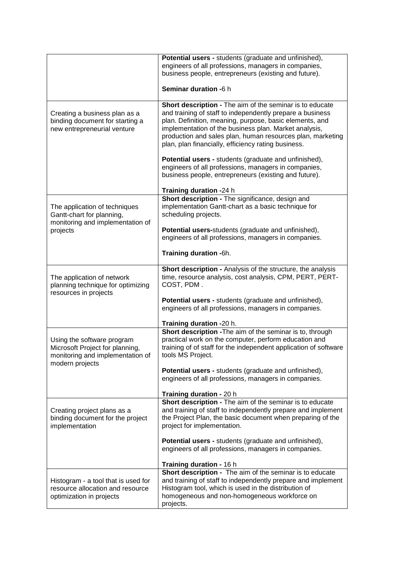|                                                                                                                      | <b>Potential users - students (graduate and unfinished),</b><br>engineers of all professions, managers in companies,<br>business people, entrepreneurs (existing and future).<br>Seminar duration -6 h                                                                                                                                                         |
|----------------------------------------------------------------------------------------------------------------------|----------------------------------------------------------------------------------------------------------------------------------------------------------------------------------------------------------------------------------------------------------------------------------------------------------------------------------------------------------------|
| Creating a business plan as a<br>binding document for starting a<br>new entrepreneurial venture                      | Short description - The aim of the seminar is to educate<br>and training of staff to independently prepare a business<br>plan. Definition, meaning, purpose, basic elements, and<br>implementation of the business plan. Market analysis,<br>production and sales plan, human resources plan, marketing<br>plan, plan financially, efficiency rating business. |
|                                                                                                                      | Potential users - students (graduate and unfinished),<br>engineers of all professions, managers in companies,<br>business people, entrepreneurs (existing and future).<br>Training duration -24 h                                                                                                                                                              |
| The application of techniques<br>Gantt-chart for planning,<br>monitoring and implementation of                       | Short description - The significance, design and<br>implementation Gantt-chart as a basic technique for<br>scheduling projects.                                                                                                                                                                                                                                |
| projects                                                                                                             | Potential users-students (graduate and unfinished),<br>engineers of all professions, managers in companies.                                                                                                                                                                                                                                                    |
|                                                                                                                      | Training duration -6h.                                                                                                                                                                                                                                                                                                                                         |
| The application of network<br>planning technique for optimizing<br>resources in projects                             | Short description - Analysis of the structure, the analysis<br>time, resource analysis, cost analysis, CPM, PERT, PERT-<br>COST, PDM.                                                                                                                                                                                                                          |
|                                                                                                                      | Potential users - students (graduate and unfinished),<br>engineers of all professions, managers in companies.                                                                                                                                                                                                                                                  |
|                                                                                                                      | Training duration -20 h.                                                                                                                                                                                                                                                                                                                                       |
| Using the software program<br>Microsoft Project for planning,<br>monitoring and implementation of<br>modern projects | Short description - The aim of the seminar is to, through<br>practical work on the computer, perform education and<br>training of of staff for the independent application of software<br>tools MS Project.                                                                                                                                                    |
|                                                                                                                      | <b>Potential users - students (graduate and unfinished),</b><br>engineers of all professions, managers in companies.                                                                                                                                                                                                                                           |
|                                                                                                                      | Training duration - 20 h                                                                                                                                                                                                                                                                                                                                       |
| Creating project plans as a<br>binding document for the project<br>implementation                                    | Short description - The aim of the seminar is to educate<br>and training of staff to independently prepare and implement<br>the Project Plan, the basic document when preparing of the<br>project for implementation.                                                                                                                                          |
|                                                                                                                      | <b>Potential users - students (graduate and unfinished),</b><br>engineers of all professions, managers in companies.                                                                                                                                                                                                                                           |
|                                                                                                                      | Training duration - 16 h<br>Short description - The aim of the seminar is to educate                                                                                                                                                                                                                                                                           |
| Histogram - a tool that is used for<br>resource allocation and resource<br>optimization in projects                  | and training of staff to independently prepare and implement<br>Histogram tool, which is used in the distribution of<br>homogeneous and non-homogeneous workforce on<br>projects.                                                                                                                                                                              |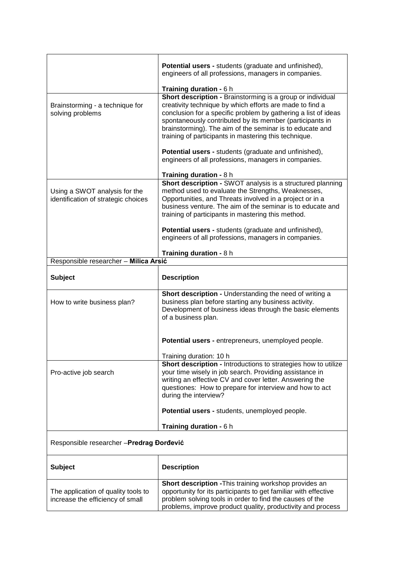|                                                                         | Potential users - students (graduate and unfinished),<br>engineers of all professions, managers in companies.<br>Training duration - 6 h                                                                                                                                                                                                                                  |
|-------------------------------------------------------------------------|---------------------------------------------------------------------------------------------------------------------------------------------------------------------------------------------------------------------------------------------------------------------------------------------------------------------------------------------------------------------------|
| Brainstorming - a technique for<br>solving problems                     | Short description - Brainstorming is a group or individual<br>creativity technique by which efforts are made to find a<br>conclusion for a specific problem by gathering a list of ideas<br>spontaneously contributed by its member (participants in<br>brainstorming). The aim of the seminar is to educate and<br>training of participants in mastering this technique. |
|                                                                         | Potential users - students (graduate and unfinished),<br>engineers of all professions, managers in companies.                                                                                                                                                                                                                                                             |
| Using a SWOT analysis for the<br>identification of strategic choices    | Training duration - 8 h<br>Short description - SWOT analysis is a structured planning<br>method used to evaluate the Strengths, Weaknesses,<br>Opportunities, and Threats involved in a project or in a<br>business venture. The aim of the seminar is to educate and<br>training of participants in mastering this method.                                               |
|                                                                         | Potential users - students (graduate and unfinished),<br>engineers of all professions, managers in companies.                                                                                                                                                                                                                                                             |
| Training duration - 8 h                                                 |                                                                                                                                                                                                                                                                                                                                                                           |
| Responsible researcher - Milica Arsić                                   |                                                                                                                                                                                                                                                                                                                                                                           |
| <b>Subject</b>                                                          | <b>Description</b>                                                                                                                                                                                                                                                                                                                                                        |
| How to write business plan?                                             | Short description - Understanding the need of writing a<br>business plan before starting any business activity.<br>Development of business ideas through the basic elements<br>of a business plan.                                                                                                                                                                        |
|                                                                         | Potential users - entrepreneurs, unemployed people.                                                                                                                                                                                                                                                                                                                       |
|                                                                         | Training duration: 10 h                                                                                                                                                                                                                                                                                                                                                   |
| Pro-active job search                                                   | <b>Short description - Introductions to strategies how to utilize</b><br>your time wisely in job search. Providing assistance in<br>writing an effective CV and cover letter. Answering the<br>questiones: How to prepare for interview and how to act<br>during the interview?                                                                                           |
|                                                                         | Potential users - students, unemployed people.                                                                                                                                                                                                                                                                                                                            |
|                                                                         | Training duration - 6 h                                                                                                                                                                                                                                                                                                                                                   |
| Responsible researcher - Predrag Đorđević                               |                                                                                                                                                                                                                                                                                                                                                                           |
| <b>Subject</b>                                                          | <b>Description</b>                                                                                                                                                                                                                                                                                                                                                        |
| The application of quality tools to<br>increase the efficiency of small | Short description - This training workshop provides an<br>opportunity for its participants to get familiar with effective<br>problem solving tools in order to find the causes of the<br>problems, improve product quality, productivity and process                                                                                                                      |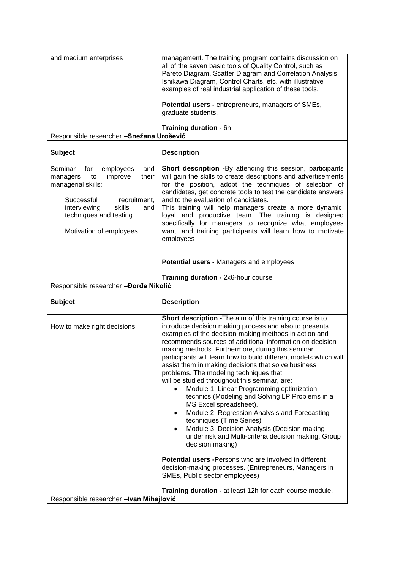| and medium enterprises                                                                         | management. The training program contains discussion on<br>all of the seven basic tools of Quality Control, such as<br>Pareto Diagram, Scatter Diagram and Correlation Analysis,<br>Ishikawa Diagram, Control Charts, etc. with illustrative<br>examples of real industrial application of these tools.<br><b>Potential users - entrepreneurs, managers of SMEs,</b>                                                                                                                                                                                                                                                                                                                                                                                                                                                                                                                                                                                                                                                      |  |
|------------------------------------------------------------------------------------------------|---------------------------------------------------------------------------------------------------------------------------------------------------------------------------------------------------------------------------------------------------------------------------------------------------------------------------------------------------------------------------------------------------------------------------------------------------------------------------------------------------------------------------------------------------------------------------------------------------------------------------------------------------------------------------------------------------------------------------------------------------------------------------------------------------------------------------------------------------------------------------------------------------------------------------------------------------------------------------------------------------------------------------|--|
|                                                                                                | graduate students.                                                                                                                                                                                                                                                                                                                                                                                                                                                                                                                                                                                                                                                                                                                                                                                                                                                                                                                                                                                                        |  |
| Training duration - 6h<br>Responsible researcher - Snežana Urošević                            |                                                                                                                                                                                                                                                                                                                                                                                                                                                                                                                                                                                                                                                                                                                                                                                                                                                                                                                                                                                                                           |  |
|                                                                                                |                                                                                                                                                                                                                                                                                                                                                                                                                                                                                                                                                                                                                                                                                                                                                                                                                                                                                                                                                                                                                           |  |
| <b>Subject</b>                                                                                 | <b>Description</b>                                                                                                                                                                                                                                                                                                                                                                                                                                                                                                                                                                                                                                                                                                                                                                                                                                                                                                                                                                                                        |  |
| Seminar<br>employees<br>for<br>and<br>to<br>improve<br>their<br>managers<br>managerial skills: | Short description -By attending this session, participants<br>will gain the skills to create descriptions and advertisements<br>for the position, adopt the techniques of selection of<br>candidates, get concrete tools to test the candidate answers                                                                                                                                                                                                                                                                                                                                                                                                                                                                                                                                                                                                                                                                                                                                                                    |  |
| Successful<br>recruitment,<br>interviewing<br>skills<br>and<br>techniques and testing          | and to the evaluation of candidates.<br>This training will help managers create a more dynamic,<br>loyal and productive team. The training is designed                                                                                                                                                                                                                                                                                                                                                                                                                                                                                                                                                                                                                                                                                                                                                                                                                                                                    |  |
| Motivation of employees                                                                        | specifically for managers to recognize what employees<br>want, and training participants will learn how to motivate<br>employees                                                                                                                                                                                                                                                                                                                                                                                                                                                                                                                                                                                                                                                                                                                                                                                                                                                                                          |  |
|                                                                                                | Potential users - Managers and employees                                                                                                                                                                                                                                                                                                                                                                                                                                                                                                                                                                                                                                                                                                                                                                                                                                                                                                                                                                                  |  |
|                                                                                                | Training duration - 2x6-hour course                                                                                                                                                                                                                                                                                                                                                                                                                                                                                                                                                                                                                                                                                                                                                                                                                                                                                                                                                                                       |  |
| Responsible researcher - Dorde Nikolić                                                         |                                                                                                                                                                                                                                                                                                                                                                                                                                                                                                                                                                                                                                                                                                                                                                                                                                                                                                                                                                                                                           |  |
| <b>Subject</b>                                                                                 | <b>Description</b>                                                                                                                                                                                                                                                                                                                                                                                                                                                                                                                                                                                                                                                                                                                                                                                                                                                                                                                                                                                                        |  |
| How to make right decisions                                                                    | Short description - The aim of this training course is to<br>introduce decision making process and also to presents<br>examples of the decision-making methods in action and<br>recommends sources of additional information on decision-<br>making methods. Furthermore, during this seminar<br>participants will learn how to build different models which will<br>assist them in making decisions that solve business<br>problems. The modeling techniques that<br>will be studied throughout this seminar, are:<br>Module 1: Linear Programming optimization<br>$\bullet$<br>technics (Modeling and Solving LP Problems in a<br>MS Excel spreadsheet),<br>Module 2: Regression Analysis and Forecasting<br>$\bullet$<br>techniques (Time Series)<br>Module 3: Decision Analysis (Decision making<br>$\bullet$<br>under risk and Multi-criteria decision making, Group<br>decision making)<br><b>Potential users - Persons who are involved in different</b><br>decision-making processes. (Entrepreneurs, Managers in |  |
|                                                                                                | SMEs, Public sector employees)                                                                                                                                                                                                                                                                                                                                                                                                                                                                                                                                                                                                                                                                                                                                                                                                                                                                                                                                                                                            |  |
| Responsible researcher - Ivan Mihajlović                                                       | Training duration - at least 12h for each course module.                                                                                                                                                                                                                                                                                                                                                                                                                                                                                                                                                                                                                                                                                                                                                                                                                                                                                                                                                                  |  |
|                                                                                                |                                                                                                                                                                                                                                                                                                                                                                                                                                                                                                                                                                                                                                                                                                                                                                                                                                                                                                                                                                                                                           |  |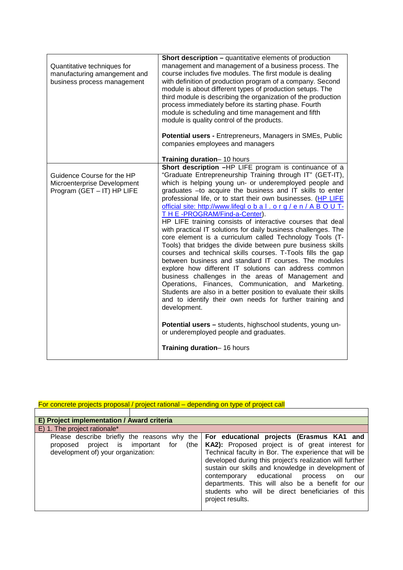| Quantitative techniques for<br>manufacturing amangement and<br>business process management | <b>Short description - quantitative elements of production</b><br>management and management of a business process. The<br>course includes five modules. The first module is dealing<br>with definition of production program of a company. Second<br>module is about different types of production setups. The<br>third module is describing the organization of the production<br>process immediately before its starting phase. Fourth<br>module is scheduling and time management and fifth<br>module is quality control of the products.<br>Potential users - Entrepreneurs, Managers in SMEs, Public<br>companies employees and managers                                                                                                                                                                                                                                                                                                                                                                                                                                                                                                                                                                                                                   |
|--------------------------------------------------------------------------------------------|-----------------------------------------------------------------------------------------------------------------------------------------------------------------------------------------------------------------------------------------------------------------------------------------------------------------------------------------------------------------------------------------------------------------------------------------------------------------------------------------------------------------------------------------------------------------------------------------------------------------------------------------------------------------------------------------------------------------------------------------------------------------------------------------------------------------------------------------------------------------------------------------------------------------------------------------------------------------------------------------------------------------------------------------------------------------------------------------------------------------------------------------------------------------------------------------------------------------------------------------------------------------|
|                                                                                            | Training duration-10 hours                                                                                                                                                                                                                                                                                                                                                                                                                                                                                                                                                                                                                                                                                                                                                                                                                                                                                                                                                                                                                                                                                                                                                                                                                                      |
| Guidence Course for the HP<br>Microenterprise Development<br>Program (GET - IT) HP LIFE    | Short description -HP LIFE program is continuance of a<br>"Graduate Entrepreneurship Training through IT" (GET-IT),<br>which is helping young un- or underemployed people and<br>graduates -to acquire the business and IT skills to enter<br>professional life, or to start their own businesses. (HP LIFE<br>official site: http://www.lifegl o b a l . o r g / e n / A B O U T-<br>THE-PROGRAM/Find-a-Center).<br>HP LIFE training consists of interactive courses that deal<br>with practical IT solutions for daily business challenges. The<br>core element is a curriculum called Technology Tools (T-<br>Tools) that bridges the divide between pure business skills<br>courses and technical skills courses. T-Tools fills the gap<br>between business and standard IT courses. The modules<br>explore how different IT solutions can address common<br>business challenges in the areas of Management and<br>Operations, Finances, Communication, and Marketing.<br>Students are also in a better position to evaluate their skills<br>and to identify their own needs for further training and<br>development.<br>Potential users - students, highschool students, young un-<br>or underemployed people and graduates.<br>Training duration-16 hours |

| For concrete projects proposal / project rational – depending on type of project call |
|---------------------------------------------------------------------------------------|
|                                                                                       |

| E) Project implementation / Award criteria     |                                                          |  |
|------------------------------------------------|----------------------------------------------------------|--|
| E) 1. The project rationale*                   |                                                          |  |
| Please describe briefly the reasons why the    | For educational projects (Erasmus KA1 and                |  |
| (the I<br>proposed project is important<br>for | KA2): Proposed project is of great interest for          |  |
| development of) your organization:             | Technical faculty in Bor. The experience that will be    |  |
|                                                | developed during this project's realization will further |  |
|                                                | sustain our skills and knowledge in development of       |  |
|                                                | contemporary educational<br>process on<br>our            |  |
|                                                | departments. This will also be a benefit for our         |  |
|                                                | students who will be direct beneficiaries of this        |  |
|                                                | project results.                                         |  |
|                                                |                                                          |  |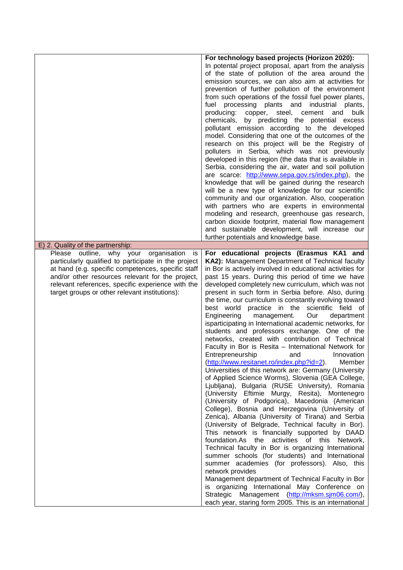|                                                                                                                                                                                                                                                                                                                      | For technology based projects (Horizon 2020):<br>In potental project proposal, apart from the analysis<br>of the state of pollution of the area around the<br>emission sources, we can also aim at activities for<br>prevention of further pollution of the environment<br>from such operations of the fossil fuel power plants,<br>fuel processing plants and<br>industrial<br>plants,<br>producing: copper, steel, cement<br>bulk<br>and<br>chemicals, by predicting the potential excess<br>pollutant emission according to the developed<br>model. Considering that one of the outcomes of the<br>research on this project will be the Registry of<br>polluters in Serbia, which was not previously<br>developed in this region (the data that is available in<br>Serbia, considering the air, water and soil pollution<br>are scarce: http://www.sepa.gov.rs/index.php), the<br>knowledge that will be gained during the research<br>will be a new type of knowledge for our scientific<br>community and our organization. Also, cooperation<br>with partners who are experts in environmental<br>modeling and research, greenhouse gas research,<br>carbon dioxide footprint, material flow management<br>and sustainable development, will increase our                                                                                                                                                                                                                                                                                                                                                                                                                                                                                        |
|----------------------------------------------------------------------------------------------------------------------------------------------------------------------------------------------------------------------------------------------------------------------------------------------------------------------|-------------------------------------------------------------------------------------------------------------------------------------------------------------------------------------------------------------------------------------------------------------------------------------------------------------------------------------------------------------------------------------------------------------------------------------------------------------------------------------------------------------------------------------------------------------------------------------------------------------------------------------------------------------------------------------------------------------------------------------------------------------------------------------------------------------------------------------------------------------------------------------------------------------------------------------------------------------------------------------------------------------------------------------------------------------------------------------------------------------------------------------------------------------------------------------------------------------------------------------------------------------------------------------------------------------------------------------------------------------------------------------------------------------------------------------------------------------------------------------------------------------------------------------------------------------------------------------------------------------------------------------------------------------------------------------------------------------------------------------------------------|
| E) 2. Quality of the partnership:                                                                                                                                                                                                                                                                                    | further potentials and knowledge base.                                                                                                                                                                                                                                                                                                                                                                                                                                                                                                                                                                                                                                                                                                                                                                                                                                                                                                                                                                                                                                                                                                                                                                                                                                                                                                                                                                                                                                                                                                                                                                                                                                                                                                                |
| Please outline, why your organisation<br>is<br>particularly qualified to participate in the project<br>at hand (e.g. specific competences, specific staff<br>and/or other resources relevant for the project,<br>relevant references, specific experience with the<br>target groups or other relevant institutions): | For educational projects (Erasmus KA1 and<br>KA2): Management Department of Technical faculty<br>in Bor is actively involved in educational activities for<br>past 15 years. During this period of time we have<br>developed completely new curriculum, which was not<br>present in such form in Serbia before. Also, during<br>the time, our curriculum is constantly evolving toward<br>best world practice in the scientific field of<br>Engineering<br>Our<br>management.<br>department<br>isparticipating in International academic networks, for<br>students and professors exchange. One of the<br>networks, created with contribution of Technical<br>Faculty in Bor is Resita - International Network for<br>Entrepreneurship and Innovation<br>(http://www.resitanet.ro/index.php?id=2).<br>Member<br>Universities of this network are: Germany (University<br>of Applied Science Worms), Slovenia (GEA College,<br>Ljubljana), Bulgaria (RUSE University), Romania<br>(University Eftimie Murgy, Resita), Montenegro<br>(University of Podgorica), Macedonia (American<br>College), Bosnia and Herzegovina (University of<br>Zenica), Albania (University of Tirana) and Serbia<br>(University of Belgrade, Technical faculty in Bor).<br>This network is financially supported by DAAD<br>foundation.As the activities of this Network,<br>Technical faculty in Bor is organizing International<br>summer schools (for students) and International<br>summer academies (for professors). Also, this<br>network provides<br>Management department of Technical Faculty in Bor<br>is organizing International May Conference on<br>Strategic Management (http://mksm.sjm06.com/),<br>each year, staring form 2005. This is an international |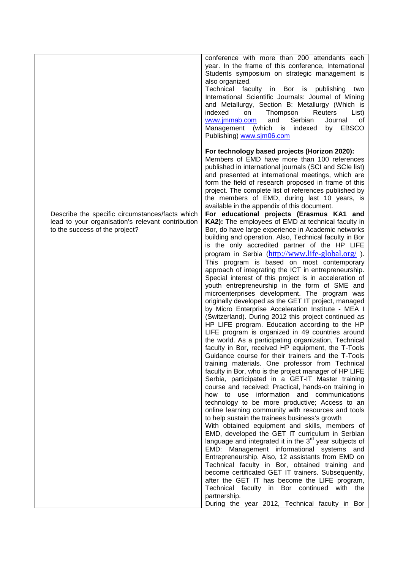|                                                                                                                                        | conference with more than 200 attendants each<br>year. In the frame of this conference, International<br>Students symposium on strategic management is<br>also organized.<br>Technical faculty in Bor is publishing<br>two<br>International Scientific Journals: Journal of Mining<br>and Metallurgy, Section B: Metallurgy (Which is<br>indexed<br>Thompson<br>on<br>Reuters<br>List)<br>Serbian<br>www.jmmab.com<br>and<br>Journal<br>of<br>Management (which is indexed<br>by EBSCO<br>Publishing) www.sim06.com                                                                                                                                                                                                                                                                                                                                                                                                                                                                                                                                                                                                                                                                                                                                                                                                                                                                                                                                                                                                                                                                                                                                                                                                                                                                                                                                                                                                                                                                                                     |
|----------------------------------------------------------------------------------------------------------------------------------------|-------------------------------------------------------------------------------------------------------------------------------------------------------------------------------------------------------------------------------------------------------------------------------------------------------------------------------------------------------------------------------------------------------------------------------------------------------------------------------------------------------------------------------------------------------------------------------------------------------------------------------------------------------------------------------------------------------------------------------------------------------------------------------------------------------------------------------------------------------------------------------------------------------------------------------------------------------------------------------------------------------------------------------------------------------------------------------------------------------------------------------------------------------------------------------------------------------------------------------------------------------------------------------------------------------------------------------------------------------------------------------------------------------------------------------------------------------------------------------------------------------------------------------------------------------------------------------------------------------------------------------------------------------------------------------------------------------------------------------------------------------------------------------------------------------------------------------------------------------------------------------------------------------------------------------------------------------------------------------------------------------------------------|
|                                                                                                                                        | For technology based projects (Horizon 2020):<br>Members of EMD have more than 100 references<br>published in international journals (SCI and SCIe list)<br>and presented at international meetings, which are<br>form the field of research proposed in frame of this<br>project. The complete list of references published by<br>the members of EMD, during last 10 years, is<br>available in the appendix of this document.                                                                                                                                                                                                                                                                                                                                                                                                                                                                                                                                                                                                                                                                                                                                                                                                                                                                                                                                                                                                                                                                                                                                                                                                                                                                                                                                                                                                                                                                                                                                                                                          |
| Describe the specific circumstances/facts which<br>lead to your organisation's relevant contribution<br>to the success of the project? | For educational projects (Erasmus KA1 and<br>KA2): The employees of EMD at technical faculty in<br>Bor, do have large experience in Academic networks<br>building and operation. Also, Technical faculty in Bor<br>is the only accredited partner of the HP LIFE<br>program in Serbia (http://www.life-global.org/).<br>This program is based on most contemporary<br>approach of integrating the ICT in entrepreneurship.<br>Special interest of this project is in acceleration of<br>youth entrepreneurship in the form of SME and<br>microenterprises development. The program was<br>originally developed as the GET IT project, managed<br>by Micro Enterprise Acceleration Institute - MEA I<br>(Switzerland). During 2012 this project continued as<br>HP LIFE program. Education according to the HP<br>LIFE program is organized in 49 countries around<br>the world. As a participating organization, Technical<br>faculty in Bor, received HP equipment, the T-Tools<br>Guidance course for their trainers and the T-Tools<br>training materials. One professor from Technical<br>faculty in Bor, who is the project manager of HP LIFE<br>Serbia, participated in a GET-IT Master training<br>course and received: Practical, hands-on training in<br>how to use information and communications<br>technology to be more productive; Access to an<br>online learning community with resources and tools<br>to help sustain the trainees business's growth<br>With obtained equipment and skills, members of<br>EMD, developed the GET IT curriculum in Serbian<br>language and integrated it in the $3^{rd}$ year subjects of<br>EMD: Management informational systems and<br>Entrepreneurship. Also, 12 assistants from EMD on<br>Technical faculty in Bor, obtained training and<br>become certificated GET IT trainers. Subsequently,<br>after the GET IT has become the LIFE program,<br>Technical faculty in Bor continued with the<br>partnership.<br>During the year 2012, Technical faculty in Bor |